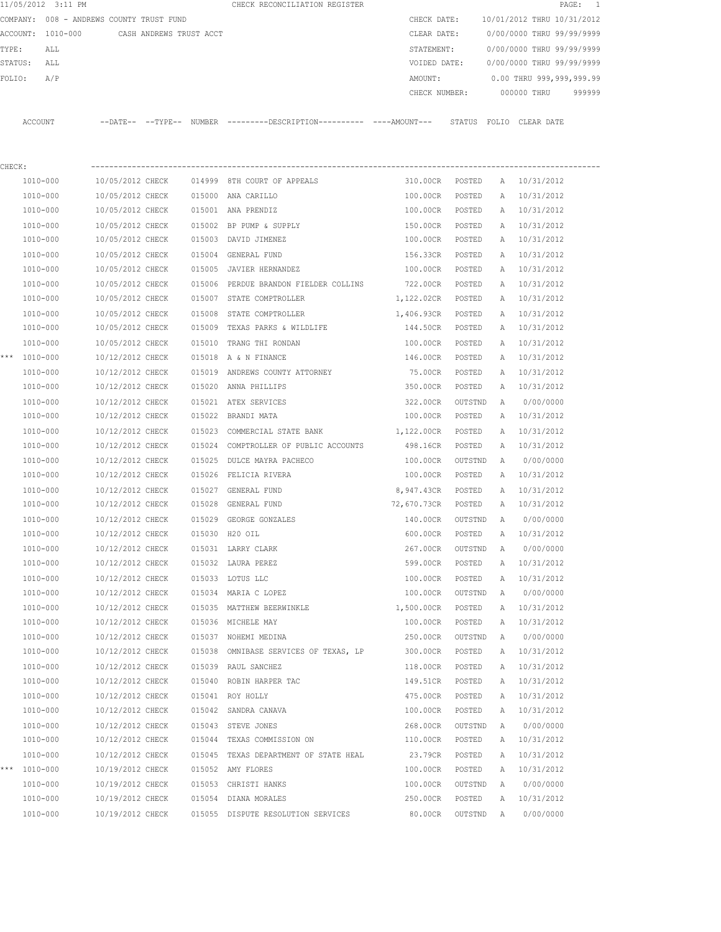|         | 11/05/2012 3:11 PM                       |                  |                         |        | CHECK RECONCILIATION REGISTER                                                                |               |         |              |                            | $\mathtt{PAGE}$ :<br>$\overline{\phantom{0}}$ |
|---------|------------------------------------------|------------------|-------------------------|--------|----------------------------------------------------------------------------------------------|---------------|---------|--------------|----------------------------|-----------------------------------------------|
|         | COMPANY: 008 - ANDREWS COUNTY TRUST FUND |                  |                         |        |                                                                                              | CHECK DATE:   |         |              | 10/01/2012 THRU 10/31/2012 |                                               |
|         | ACCOUNT: 1010-000                        |                  | CASH ANDREWS TRUST ACCT |        |                                                                                              | CLEAR DATE:   |         |              | 0/00/0000 THRU 99/99/9999  |                                               |
| TYPE:   | ALL                                      |                  |                         |        |                                                                                              | STATEMENT:    |         |              | 0/00/0000 THRU 99/99/9999  |                                               |
| STATUS: | ALL                                      |                  |                         |        |                                                                                              | VOIDED DATE:  |         |              | 0/00/0000 THRU 99/99/9999  |                                               |
| FOLIO:  | A/P                                      |                  |                         |        |                                                                                              | AMOUNT:       |         |              | 0.00 THRU 999,999,999.99   |                                               |
|         |                                          |                  |                         |        |                                                                                              | CHECK NUMBER: |         |              | 000000 THRU                | 999999                                        |
|         | ACCOUNT                                  |                  |                         |        | --DATE-- --TYPE-- NUMBER ---------DESCRIPTION---------- ----AMOUNT--- STATUS FOLIO CLEARDATE |               |         |              |                            |                                               |
| CHECK:  |                                          |                  |                         |        |                                                                                              |               |         |              |                            |                                               |
|         | 1010-000                                 | 10/05/2012 CHECK |                         |        | 014999 8TH COURT OF APPEALS                                                                  | 310.00CR      | POSTED  | A            | 10/31/2012                 |                                               |
|         | 1010-000                                 | 10/05/2012 CHECK |                         |        | 015000 ANA CARILLO                                                                           | 100.00CR      | POSTED  | A            | 10/31/2012                 |                                               |
|         | 1010-000                                 | 10/05/2012 CHECK |                         |        | 015001 ANA PRENDIZ                                                                           | 100.00CR      | POSTED  | A            | 10/31/2012                 |                                               |
|         | 1010-000                                 | 10/05/2012 CHECK |                         |        | 015002 BP PUMP & SUPPLY                                                                      | 150.00CR      | POSTED  | A            | 10/31/2012                 |                                               |
|         | 1010-000                                 | 10/05/2012 CHECK |                         |        | 015003 DAVID JIMENEZ                                                                         | 100.00CR      | POSTED  | A            | 10/31/2012                 |                                               |
|         | 1010-000                                 | 10/05/2012 CHECK |                         | 015004 | GENERAL FUND                                                                                 | 156.33CR      | POSTED  | А            | 10/31/2012                 |                                               |
|         | 1010-000                                 | 10/05/2012 CHECK |                         |        | 015005 JAVIER HERNANDEZ                                                                      | 100.00CR      | POSTED  | A            | 10/31/2012                 |                                               |
|         | 1010-000                                 | 10/05/2012 CHECK |                         | 015006 | PERDUE BRANDON FIELDER COLLINS                                                               | 722.00CR      | POSTED  | A            | 10/31/2012                 |                                               |
|         | 1010-000                                 | 10/05/2012 CHECK |                         |        | 015007 STATE COMPTROLLER                                                                     | 1,122.02CR    | POSTED  | Α            | 10/31/2012                 |                                               |
|         | 1010-000                                 | 10/05/2012 CHECK |                         | 015008 | STATE COMPTROLLER                                                                            | 1,406.93CR    | POSTED  | A            | 10/31/2012                 |                                               |
|         | 1010-000                                 | 10/05/2012 CHECK |                         | 015009 | TEXAS PARKS & WILDLIFE                                                                       | 144.50CR      | POSTED  | A            | 10/31/2012                 |                                               |
|         | 1010-000                                 | 10/05/2012 CHECK |                         | 015010 | TRANG THI RONDAN                                                                             | 100.00CR      | POSTED  | А            | 10/31/2012                 |                                               |
| ***     | 1010-000                                 | 10/12/2012 CHECK |                         |        | 015018 A & N FINANCE                                                                         | 146.00CR      | POSTED  | Α            | 10/31/2012                 |                                               |
|         | 1010-000                                 | 10/12/2012 CHECK |                         |        | 015019 ANDREWS COUNTY ATTORNEY                                                               | 75.00CR       | POSTED  | Α            | 10/31/2012                 |                                               |
|         | 1010-000                                 | 10/12/2012 CHECK |                         |        | 015020 ANNA PHILLIPS                                                                         | 350.00CR      | POSTED  | Α            | 10/31/2012                 |                                               |
|         | 1010-000                                 | 10/12/2012 CHECK |                         |        | 015021 ATEX SERVICES                                                                         | 322.00CR      | OUTSTND | Α            | 0/00/0000                  |                                               |
|         | 1010-000                                 | 10/12/2012 CHECK |                         | 015022 | BRANDI MATA                                                                                  | 100.00CR      | POSTED  | A            | 10/31/2012                 |                                               |
|         | 1010-000                                 | 10/12/2012 CHECK |                         | 015023 | COMMERCIAL STATE BANK                                                                        | 1,122.00CR    | POSTED  | Α            | 10/31/2012                 |                                               |
|         | 1010-000                                 | 10/12/2012 CHECK |                         | 015024 | COMPTROLLER OF PUBLIC ACCOUNTS                                                               | 498.16CR      | POSTED  | Α            | 10/31/2012                 |                                               |
|         | 1010-000                                 | 10/12/2012 CHECK |                         | 015025 | DULCE MAYRA PACHECO                                                                          | 100.00CR      | OUTSTND | $\mathbb{A}$ | 0/00/0000                  |                                               |
|         | 1010-000                                 | 10/12/2012 CHECK |                         |        | 015026 FELICIA RIVERA                                                                        | 100.00CR      | POSTED  | A            | 10/31/2012                 |                                               |
|         | 1010-000                                 | 10/12/2012 CHECK |                         | 015027 | GENERAL FUND                                                                                 | 8,947.43CR    | POSTED  | $\mathbb{A}$ | 10/31/2012                 |                                               |
|         | 1010-000                                 | 10/12/2012 CHECK |                         | 015028 | GENERAL FUND                                                                                 | 72,670.73CR   | POSTED  | A            | 10/31/2012                 |                                               |
|         | 1010-000                                 | 10/12/2012 CHECK |                         |        | 015029 GEORGE GONZALES                                                                       | 140.00CR      | OUTSTND | A            | 0/00/0000                  |                                               |
|         | 1010-000                                 | 10/12/2012 CHECK |                         |        | 015030 H20 OIL                                                                               | 600.00CR      | POSTED  | Α            | 10/31/2012                 |                                               |
|         | 1010-000                                 | 10/12/2012 CHECK |                         |        | 015031 LARRY CLARK                                                                           | 267.00CR      | OUTSTND | А            | 0/00/0000                  |                                               |
|         | 1010-000                                 | 10/12/2012 CHECK |                         |        | 015032 LAURA PEREZ                                                                           | 599.00CR      | POSTED  | Α            | 10/31/2012                 |                                               |
|         | 1010-000                                 | 10/12/2012 CHECK |                         |        | 015033 LOTUS LLC                                                                             | 100.00CR      | POSTED  | Α            | 10/31/2012                 |                                               |
|         | 1010-000                                 | 10/12/2012 CHECK |                         |        | 015034 MARIA C LOPEZ                                                                         | 100.00CR      | OUTSTND | А            | 0/00/0000                  |                                               |
|         | 1010-000                                 | 10/12/2012 CHECK |                         |        | 015035 MATTHEW BEERWINKLE                                                                    | 1,500.00CR    | POSTED  | Α            | 10/31/2012                 |                                               |
|         | 1010-000                                 | 10/12/2012 CHECK |                         |        | 015036 MICHELE MAY                                                                           | 100.00CR      | POSTED  | Α            | 10/31/2012                 |                                               |
|         | 1010-000                                 | 10/12/2012 CHECK |                         |        | 015037 NOHEMI MEDINA                                                                         | 250.00CR      | OUTSTND | Α            | 0/00/0000                  |                                               |
|         | 1010-000                                 | 10/12/2012 CHECK |                         |        | 015038 OMNIBASE SERVICES OF TEXAS, LP                                                        | 300.00CR      | POSTED  | Α            | 10/31/2012                 |                                               |
|         | 1010-000                                 | 10/12/2012 CHECK |                         |        | 015039 RAUL SANCHEZ                                                                          | 118.00CR      | POSTED  | Α            | 10/31/2012                 |                                               |
|         | 1010-000                                 | 10/12/2012 CHECK |                         |        | 015040 ROBIN HARPER TAC                                                                      | 149.51CR      | POSTED  | Α            | 10/31/2012                 |                                               |
|         | 1010-000                                 | 10/12/2012 CHECK |                         |        | 015041 ROY HOLLY                                                                             | 475.00CR      | POSTED  | Α            | 10/31/2012                 |                                               |
|         | 1010-000                                 | 10/12/2012 CHECK |                         |        | 015042 SANDRA CANAVA                                                                         | 100.00CR      | POSTED  | Α            | 10/31/2012                 |                                               |
|         | 1010-000                                 | 10/12/2012 CHECK |                         |        | 015043 STEVE JONES                                                                           | 268.00CR      | OUTSTND | Α            | 0/00/0000                  |                                               |
|         | 1010-000                                 | 10/12/2012 CHECK |                         |        | 015044 TEXAS COMMISSION ON                                                                   | 110.00CR      | POSTED  | Α            | 10/31/2012                 |                                               |
|         | 1010-000                                 | 10/12/2012 CHECK |                         |        | 015045 TEXAS DEPARTMENT OF STATE HEAL                                                        | 23.79CR       | POSTED  | Α            | 10/31/2012                 |                                               |
| * * *   | 1010-000                                 | 10/19/2012 CHECK |                         |        | 015052 AMY FLORES                                                                            | 100.00CR      | POSTED  | Α            | 10/31/2012                 |                                               |
|         | 1010-000                                 | 10/19/2012 CHECK |                         |        | 015053 CHRISTI HANKS                                                                         | 100.00CR      | OUTSTND | А            | 0/00/0000                  |                                               |
|         | 1010-000                                 | 10/19/2012 CHECK |                         |        | 015054 DIANA MORALES                                                                         | 250.00CR      | POSTED  | Α            | 10/31/2012                 |                                               |
|         | 1010-000                                 | 10/19/2012 CHECK |                         |        | 015055 DISPUTE RESOLUTION SERVICES                                                           | 80.00CR       | OUTSTND | A            | 0/00/0000                  |                                               |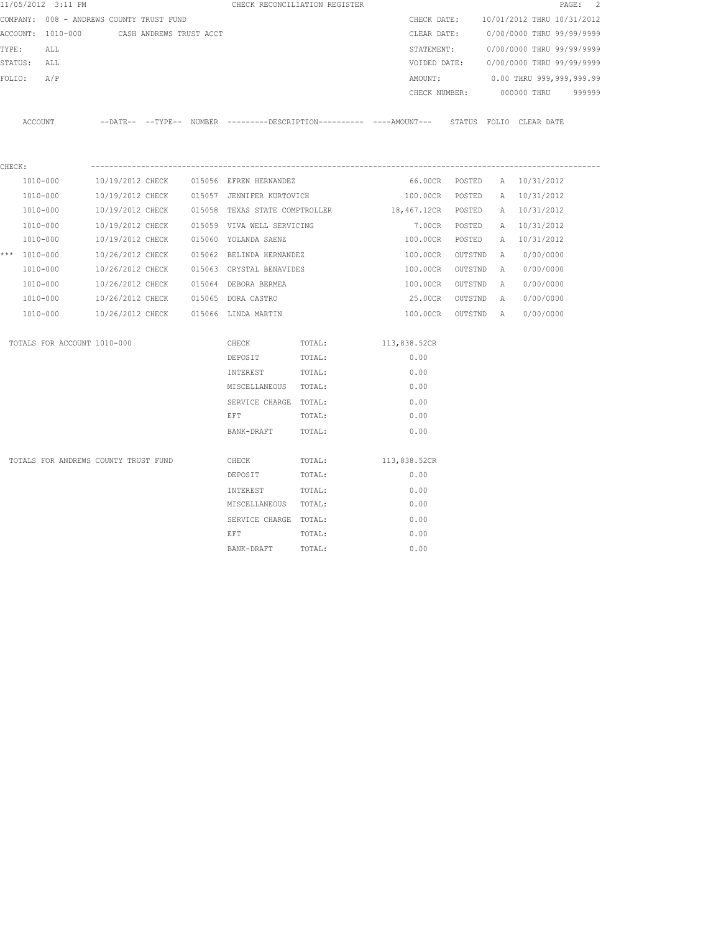|        | 11/05/2012 3:11 PM                       |                         |  |                                             | CHECK RECONCILIATION REGISTER                                                              |                    |         |          |                                        | PAGE: 2 |
|--------|------------------------------------------|-------------------------|--|---------------------------------------------|--------------------------------------------------------------------------------------------|--------------------|---------|----------|----------------------------------------|---------|
|        | COMPANY: 008 - ANDREWS COUNTY TRUST FUND |                         |  |                                             |                                                                                            |                    |         |          | CHECK DATE: 10/01/2012 THRU 10/31/2012 |         |
|        | ACCOUNT: 1010-000                        | CASH ANDREWS TRUST ACCT |  |                                             |                                                                                            | CLEAR DATE:        |         |          | 0/00/0000 THRU 99/99/9999              |         |
| TYPE:  | ALL                                      |                         |  |                                             |                                                                                            |                    |         |          | STATEMENT: 0/00/0000 THRU 99/99/9999   |         |
|        | STATUS:<br>ALL                           |                         |  |                                             |                                                                                            |                    |         |          | VOIDED DATE: 0/00/0000 THRU 99/99/9999 |         |
| FOLIO: | A/P                                      |                         |  |                                             |                                                                                            | AMOUNT:            |         |          | 0.00 THRU 999,999,999.99               |         |
|        |                                          |                         |  |                                             |                                                                                            |                    |         |          | CHECK NUMBER: 000000 THRU              | 999999  |
|        | ACCOUNT                                  |                         |  |                                             | --DATE-- --TYPE-- NUMBER --------DESCRIPTION---------- ---AMOUNT--- STATUS FOLIO CLEARDATE |                    |         |          |                                        |         |
| CHECK: |                                          |                         |  |                                             |                                                                                            |                    |         |          |                                        |         |
|        | 1010-000                                 |                         |  | 10/19/2012 CHECK 015056 EFREN HERNANDEZ     |                                                                                            | 66.00CR POSTED     |         |          | A 10/31/2012                           |         |
|        | 1010-000                                 |                         |  | 10/19/2012 CHECK 015057 JENNIFER KURTOVICH  |                                                                                            | 100.00CR POSTED    |         |          | A 10/31/2012                           |         |
|        | 1010-000                                 |                         |  |                                             | 10/19/2012 CHECK 015058 TEXAS STATE COMPTROLLER 18,467.12CR POSTED                         |                    |         |          | A 10/31/2012                           |         |
|        | 1010-000                                 |                         |  | 10/19/2012 CHECK 015059 VIVA WELL SERVICING |                                                                                            | 7.00CR POSTED      |         |          | A 10/31/2012                           |         |
|        | 1010-000                                 |                         |  | 10/19/2012 CHECK 015060 YOLANDA SAENZ       |                                                                                            | 100.00CR           | POSTED  |          | A 10/31/2012                           |         |
|        | *** $1010 - 000$                         |                         |  | 10/26/2012 CHECK 015062 BELINDA HERNANDEZ   |                                                                                            | 100.00CR           | OUTSTND | A        | 0/00/0000                              |         |
|        | 1010-000                                 |                         |  | 10/26/2012 CHECK 015063 CRYSTAL BENAVIDES   |                                                                                            | 100.00CR           | OUTSTND | A        | 0/00/0000                              |         |
|        | 1010-000                                 |                         |  | 10/26/2012 CHECK 015064 DEBORA BERMEA       |                                                                                            | 100.00CR           | OUTSTND | A        | 0/00/0000                              |         |
|        | 1010-000                                 |                         |  | 10/26/2012 CHECK 015065 DORA CASTRO         |                                                                                            | 25.00CR            | OUTSTND | <b>A</b> | 0/00/0000                              |         |
|        | 1010-000                                 |                         |  | 10/26/2012 CHECK 015066 LINDA MARTIN        |                                                                                            | 100.00CR OUTSTND A |         |          | 0/00/0000                              |         |
|        | TOTALS FOR ACCOUNT 1010-000              |                         |  | CHECK                                       | TOTAL:                                                                                     | 113,838.52CR       |         |          |                                        |         |
|        |                                          |                         |  | DEPOSIT                                     | TOTAL:                                                                                     | 0.00               |         |          |                                        |         |
|        |                                          |                         |  | INTEREST                                    | TOTAL:                                                                                     | 0.00               |         |          |                                        |         |
|        |                                          |                         |  | MISCELLANEOUS TOTAL:                        |                                                                                            | 0.00               |         |          |                                        |         |
|        |                                          |                         |  | SERVICE CHARGE TOTAL:                       |                                                                                            | 0.00               |         |          |                                        |         |
|        |                                          |                         |  | EFT                                         | TOTAL:                                                                                     | 0.00               |         |          |                                        |         |
|        |                                          |                         |  | BANK-DRAFT                                  | TOTAL:                                                                                     | 0.00               |         |          |                                        |         |
|        | TOTALS FOR ANDREWS COUNTY TRUST FUND     |                         |  | CHECK                                       | TOTAL:                                                                                     | 113,838.52CR       |         |          |                                        |         |
|        |                                          |                         |  | DEPOSIT                                     | TOTAL:                                                                                     | 0.00               |         |          |                                        |         |
|        |                                          |                         |  | INTEREST                                    | TOTAL:                                                                                     | 0.00               |         |          |                                        |         |
|        |                                          |                         |  | MISCELLANEOUS TOTAL:                        |                                                                                            | 0.00               |         |          |                                        |         |
|        |                                          |                         |  | SERVICE CHARGE TOTAL:                       |                                                                                            | 0.00               |         |          |                                        |         |
|        |                                          |                         |  | EFT                                         | TOTAL:                                                                                     | 0.00               |         |          |                                        |         |
|        |                                          |                         |  | BANK-DRAFT                                  | TOTAL:                                                                                     | 0.00               |         |          |                                        |         |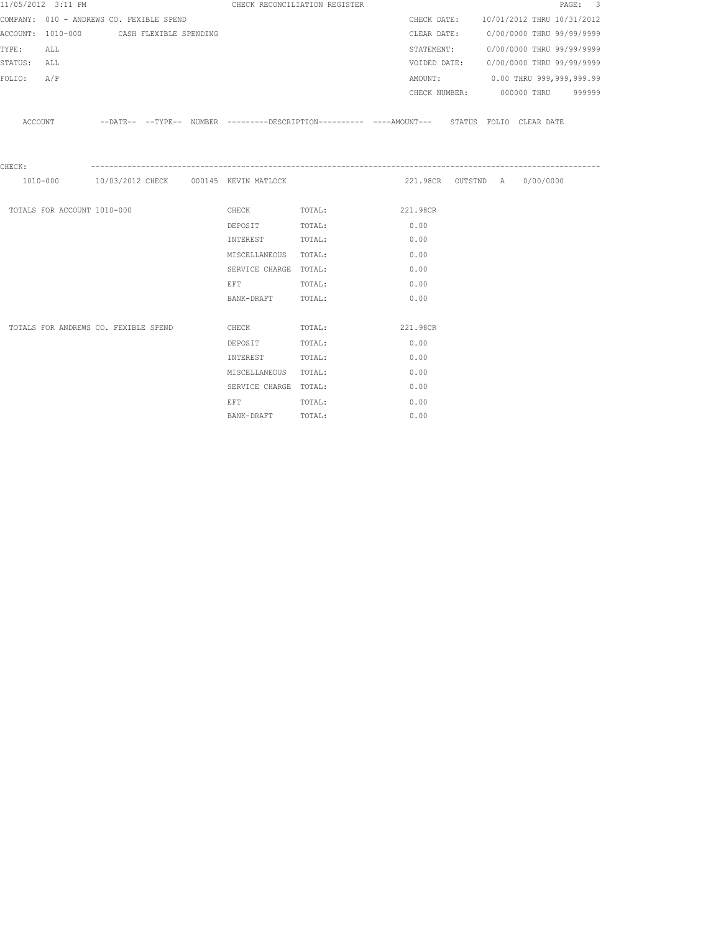|             | 11/05/2012 3:11 PM                       |  | CHECK RECONCILIATION REGISTER                                                                                  |                       |                                                                                                     |            |                                        | PAGE: 3 |
|-------------|------------------------------------------|--|----------------------------------------------------------------------------------------------------------------|-----------------------|-----------------------------------------------------------------------------------------------------|------------|----------------------------------------|---------|
|             | COMPANY: 010 - ANDREWS CO. FEXIBLE SPEND |  |                                                                                                                |                       |                                                                                                     |            | CHECK DATE: 10/01/2012 THRU 10/31/2012 |         |
|             | ACCOUNT: 1010-000 CASH FLEXIBLE SPENDING |  |                                                                                                                |                       |                                                                                                     |            | CLEAR DATE: 0/00/0000 THRU 99/99/9999  |         |
| TYPE:       | ALL                                      |  |                                                                                                                |                       |                                                                                                     | STATEMENT: | 0/00/0000 THRU 99/99/9999              |         |
| STATUS: ALL |                                          |  |                                                                                                                |                       |                                                                                                     |            | VOIDED DATE: 0/00/0000 THRU 99/99/9999 |         |
| FOLIO: A/P  |                                          |  |                                                                                                                |                       |                                                                                                     |            | AMOUNT: 0.00 THRU 999,999,999.99       |         |
|             |                                          |  |                                                                                                                |                       |                                                                                                     |            | CHECK NUMBER: 000000 THRU 999999       |         |
|             |                                          |  |                                                                                                                |                       | ACCOUNT -DATE-- --TYPE-- NUMBER ---------DESCRIPTION---------- ---AMOUNT--- STATUS FOLIO CLEAR DATE |            |                                        |         |
| CHECK:      |                                          |  |                                                                                                                |                       |                                                                                                     |            |                                        |         |
|             |                                          |  |                                                                                                                |                       | 221.98CR OUTSTND A 0/00/0000                                                                        |            |                                        |         |
|             | TOTALS FOR ACCOUNT 1010-000              |  |                                                                                                                | CHECK TOTAL: 221.98CR |                                                                                                     |            |                                        |         |
|             |                                          |  |                                                                                                                |                       | 0.00                                                                                                |            |                                        |         |
|             |                                          |  | DEPOSIT TOTAL:                                                                                                 |                       | 0.00                                                                                                |            |                                        |         |
|             |                                          |  | INTEREST TOTAL:                                                                                                |                       |                                                                                                     |            |                                        |         |
|             |                                          |  | MISCELLANEOUS TOTAL:                                                                                           |                       | 0.00                                                                                                |            |                                        |         |
|             |                                          |  | SERVICE CHARGE TOTAL:                                                                                          |                       | 0.00                                                                                                |            |                                        |         |
|             |                                          |  | EFT FOR THE RESIDENCE OF A STRIKE STRIKE STRIKE STRIKE STRIKE STRIKE STRIKE STRIKE STRIKE STRIKE STRIKE STRIKE | TOTAL:                | 0.00                                                                                                |            |                                        |         |
|             |                                          |  | BANK-DRAFT TOTAL:                                                                                              |                       | 0.00                                                                                                |            |                                        |         |
|             | TOTALS FOR ANDREWS CO. FEXIBLE SPEND     |  |                                                                                                                | CHECK TOTAL:          | 221.98CR                                                                                            |            |                                        |         |
|             |                                          |  |                                                                                                                |                       |                                                                                                     |            |                                        |         |
|             |                                          |  | DEPOSIT                                                                                                        | TOTAL:                | 0.00                                                                                                |            |                                        |         |
|             |                                          |  | INTEREST                                                                                                       | TOTAL:                | 0.00                                                                                                |            |                                        |         |
|             |                                          |  | MISCELLANEOUS TOTAL:                                                                                           |                       | 0.00                                                                                                |            |                                        |         |
|             |                                          |  | SERVICE CHARGE TOTAL:                                                                                          |                       | 0.00                                                                                                |            |                                        |         |
|             |                                          |  | EFT FOR THE STATE OF THE STATE OF THE STATE OF THE STATE OF THE STATE OF THE STATE OF THE STATE OF THE STATE O | TOTAL:                | 0.00                                                                                                |            |                                        |         |
|             |                                          |  | BANK-DRAFT                                                                                                     | TOTAL:                | 0.00                                                                                                |            |                                        |         |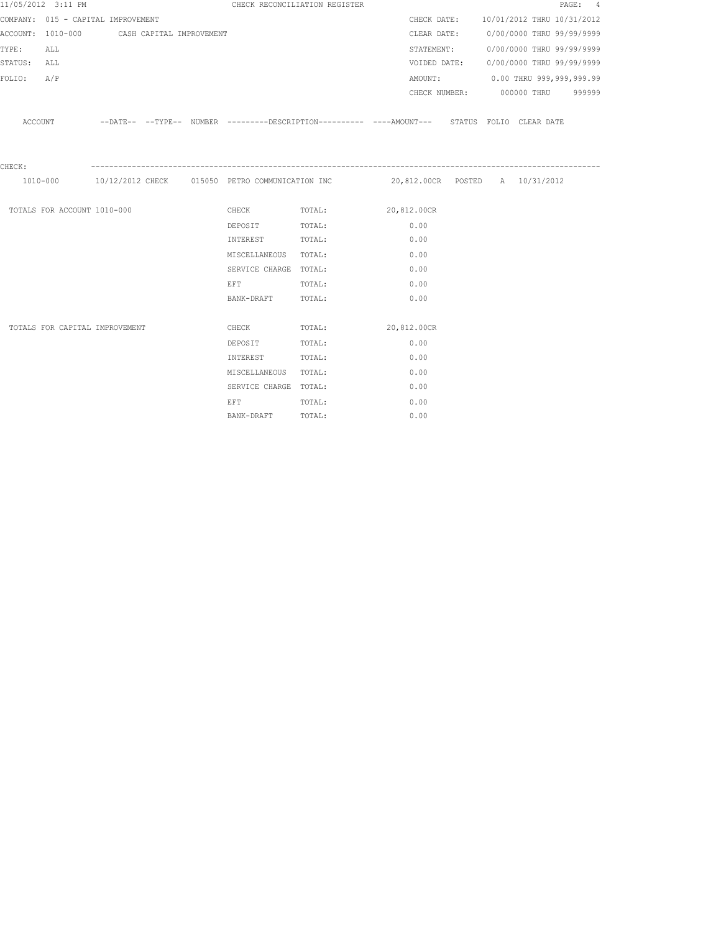|             | 11/05/2012 3:11 PM                         |  |                                                                                                                | CHECK RECONCILIATION REGISTER                                                                       |             |            |  |                                        | PAGE: 4 |
|-------------|--------------------------------------------|--|----------------------------------------------------------------------------------------------------------------|-----------------------------------------------------------------------------------------------------|-------------|------------|--|----------------------------------------|---------|
|             | COMPANY: 015 - CAPITAL IMPROVEMENT         |  |                                                                                                                |                                                                                                     |             |            |  | CHECK DATE: 10/01/2012 THRU 10/31/2012 |         |
|             | ACCOUNT: 1010-000 CASH CAPITAL IMPROVEMENT |  |                                                                                                                |                                                                                                     |             |            |  | CLEAR DATE: 0/00/0000 THRU 99/99/9999  |         |
| TYPE:       | ALL                                        |  |                                                                                                                |                                                                                                     |             | STATEMENT: |  | 0/00/0000 THRU 99/99/9999              |         |
| STATUS: ALL |                                            |  |                                                                                                                |                                                                                                     |             |            |  | VOIDED DATE: 0/00/0000 THRU 99/99/9999 |         |
| FOLIO: A/P  |                                            |  |                                                                                                                |                                                                                                     |             |            |  | AMOUNT: 0.00 THRU 999,999,999.99       |         |
|             |                                            |  |                                                                                                                |                                                                                                     |             |            |  | CHECK NUMBER: 000000 THRU              | 999999  |
|             |                                            |  |                                                                                                                | ACCOUNT -DATE-- --TYPE-- NUMBER ---------DESCRIPTION---------- ---AMOUNT--- STATUS FOLIO CLEAR DATE |             |            |  |                                        |         |
| CHECK:      |                                            |  |                                                                                                                |                                                                                                     |             |            |  |                                        |         |
|             |                                            |  |                                                                                                                | 1010-000 10/12/2012 CHECK 015050 PETRO COMMUNICATION INC 20,812.00CR POSTED A 10/31/2012            |             |            |  |                                        |         |
|             |                                            |  |                                                                                                                |                                                                                                     |             |            |  |                                        |         |
|             | TOTALS FOR ACCOUNT 1010-000                |  |                                                                                                                | CHECK TOTAL: 20,812.00CR                                                                            |             |            |  |                                        |         |
|             |                                            |  | DEPOSIT                                                                                                        | TOTAL:                                                                                              |             | 0.00       |  |                                        |         |
|             |                                            |  | INTEREST                                                                                                       | TOTAL:                                                                                              |             | 0.00       |  |                                        |         |
|             |                                            |  | MISCELLANEOUS TOTAL:                                                                                           |                                                                                                     | 0.00        |            |  |                                        |         |
|             |                                            |  | SERVICE CHARGE TOTAL:                                                                                          |                                                                                                     |             | 0.00       |  |                                        |         |
|             |                                            |  | EFT FOR THE STATE OF THE STATE OF THE STATE OF THE STATE OF THE STATE OF THE STATE OF THE STATE OF THE STATE O | TOTAL:                                                                                              |             | 0.00       |  |                                        |         |
|             |                                            |  | BANK-DRAFT TOTAL:                                                                                              |                                                                                                     |             | 0.00       |  |                                        |         |
|             |                                            |  |                                                                                                                |                                                                                                     |             |            |  |                                        |         |
|             | TOTALS FOR CAPITAL IMPROVEMENT             |  | <b>CHECK</b>                                                                                                   | TOTAL:                                                                                              | 20,812.00CR |            |  |                                        |         |
|             |                                            |  | DEPOSIT                                                                                                        | TOTAL:                                                                                              |             | 0.00       |  |                                        |         |
|             |                                            |  | INTEREST                                                                                                       | TOTAL:                                                                                              |             | 0.00       |  |                                        |         |
|             |                                            |  | MISCELLANEOUS TOTAL:                                                                                           |                                                                                                     |             | 0.00       |  |                                        |         |
|             |                                            |  | SERVICE CHARGE TOTAL:                                                                                          |                                                                                                     |             | 0.00       |  |                                        |         |
|             |                                            |  | EFT FOR THE STATE OF THE STATE OF THE STATE OF THE STATE OF THE STATE OF THE STATE OF THE STATE OF THE STATE O | TOTAL:                                                                                              |             | 0.00       |  |                                        |         |
|             |                                            |  | BANK-DRAFT                                                                                                     | TOTAL:                                                                                              |             | 0.00       |  |                                        |         |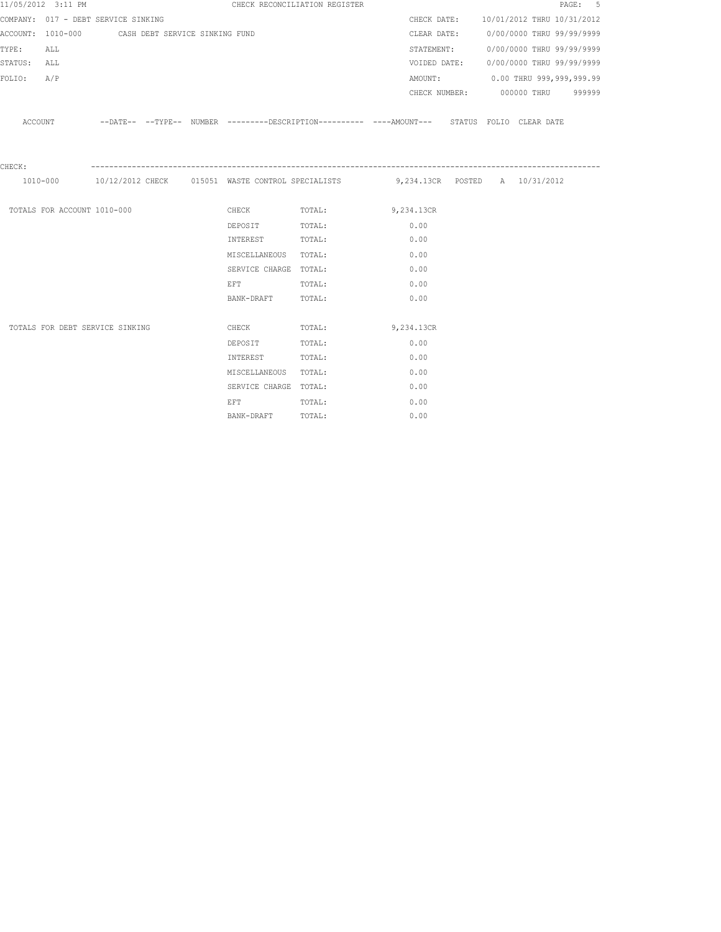|             | 11/05/2012 3:11 PM          |                                                  |  |                                                                                                                | CHECK RECONCILIATION REGISTER                                                                |            |            |                                        | PAGE: 5 |  |
|-------------|-----------------------------|--------------------------------------------------|--|----------------------------------------------------------------------------------------------------------------|----------------------------------------------------------------------------------------------|------------|------------|----------------------------------------|---------|--|
|             |                             | COMPANY: 017 - DEBT SERVICE SINKING              |  |                                                                                                                |                                                                                              |            |            | CHECK DATE: 10/01/2012 THRU 10/31/2012 |         |  |
|             |                             | ACCOUNT: 1010-000 CASH DEBT SERVICE SINKING FUND |  |                                                                                                                |                                                                                              |            |            | CLEAR DATE: 0/00/0000 THRU 99/99/9999  |         |  |
| TYPE:       | ALL                         |                                                  |  |                                                                                                                |                                                                                              |            | STATEMENT: | 0/00/0000 THRU 99/99/9999              |         |  |
| STATUS: ALL |                             |                                                  |  |                                                                                                                |                                                                                              |            |            | VOIDED DATE: 0/00/0000 THRU 99/99/9999 |         |  |
| FOLIO: A/P  |                             |                                                  |  |                                                                                                                |                                                                                              |            |            | AMOUNT: 0.00 THRU 999,999,999.99       |         |  |
|             |                             |                                                  |  |                                                                                                                |                                                                                              |            |            | CHECK NUMBER: 000000 THRU 999999       |         |  |
|             | ACCOUNT                     |                                                  |  |                                                                                                                | --DATE-- --TYPE-- NUMBER ---------DESCRIPTION---------- ----AMOUNT--- STATUS FOLIO CLEARDATE |            |            |                                        |         |  |
| CHECK:      |                             |                                                  |  |                                                                                                                |                                                                                              |            |            |                                        |         |  |
|             |                             |                                                  |  |                                                                                                                | 1010-000 10/12/2012 CHECK 015051 WASTE CONTROL SPECIALISTS 9,234.13CR POSTED A 10/31/2012    |            |            |                                        |         |  |
|             | TOTALS FOR ACCOUNT 1010-000 |                                                  |  |                                                                                                                | CHECK TOTAL: 9,234.13CR                                                                      |            |            |                                        |         |  |
|             |                             |                                                  |  | DEPOSIT                                                                                                        | TOTAL:                                                                                       | 0.00       |            |                                        |         |  |
|             |                             |                                                  |  | INTEREST                                                                                                       | TOTAL:                                                                                       | 0.00       |            |                                        |         |  |
|             |                             |                                                  |  | MISCELLANEOUS TOTAL:                                                                                           |                                                                                              | 0.00       |            |                                        |         |  |
|             |                             |                                                  |  | SERVICE CHARGE TOTAL:                                                                                          |                                                                                              | 0.00       |            |                                        |         |  |
|             |                             |                                                  |  | EFT FOR THE STATE OF THE STATE OF THE STATE OF THE STATE OF THE STATE OF THE STATE OF THE STATE OF THE STATE O | TOTAL:                                                                                       | 0.00       |            |                                        |         |  |
|             |                             |                                                  |  | BANK-DRAFT TOTAL:                                                                                              |                                                                                              | 0.00       |            |                                        |         |  |
|             |                             |                                                  |  |                                                                                                                |                                                                                              |            |            |                                        |         |  |
|             |                             | TOTALS FOR DEBT SERVICE SINKING                  |  | CHECK                                                                                                          | TOTAL:                                                                                       | 9,234.13CR |            |                                        |         |  |
|             |                             |                                                  |  | DEPOSIT                                                                                                        | TOTAL:                                                                                       | 0.00       |            |                                        |         |  |
|             |                             |                                                  |  | INTEREST                                                                                                       | TOTAL:                                                                                       | 0.00       |            |                                        |         |  |
|             |                             |                                                  |  | MISCELLANEOUS TOTAL:                                                                                           |                                                                                              | 0.00       |            |                                        |         |  |
|             |                             |                                                  |  | SERVICE CHARGE TOTAL:                                                                                          |                                                                                              | 0.00       |            |                                        |         |  |
|             |                             |                                                  |  | EFT FOR THE STATE OF THE STATE OF THE STATE OF THE STATE OF THE STATE OF THE STATE OF THE STATE OF THE STATE O | TOTAL:                                                                                       | 0.00       |            |                                        |         |  |
|             |                             |                                                  |  | BANK-DRAFT                                                                                                     | TOTAL:                                                                                       | 0.00       |            |                                        |         |  |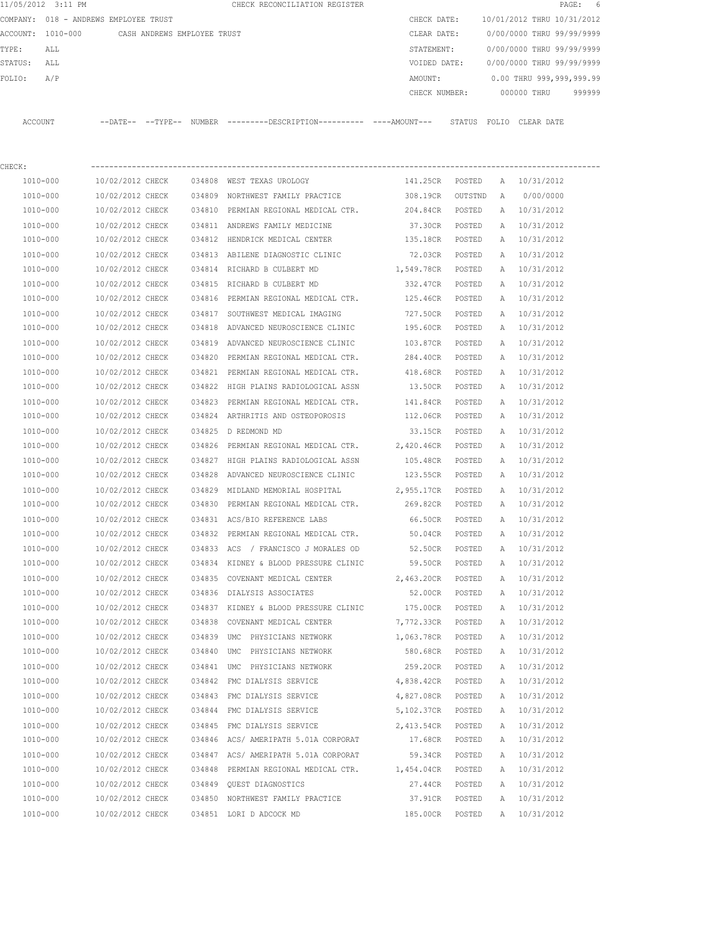|          | 11/05/2012 3:11 PM |                                       |               | CHECK RECONCILIATION REGISTER                |               |        |                            |            | PAGE: 6                  |  |
|----------|--------------------|---------------------------------------|---------------|----------------------------------------------|---------------|--------|----------------------------|------------|--------------------------|--|
|          |                    | COMPANY: 018 - ANDREWS EMPLOYEE TRUST |               |                                              | CHECK DATE:   |        | 10/01/2012 THRU 10/31/2012 |            |                          |  |
| ACCOUNT: | 1010-000           | CASH ANDREWS EMPLOYEE TRUST           |               |                                              | CLEAR DATE:   |        | 0/00/0000 THRU 99/99/9999  |            |                          |  |
| TYPE:    | ALL                |                                       |               |                                              | STATEMENT:    |        | 0/00/0000 THRU 99/99/9999  |            |                          |  |
| STATUS:  | ALL                |                                       |               |                                              | VOIDED DATE:  |        | 0/00/0000 THRU 99/99/9999  |            |                          |  |
| FOLIO:   | A/P                |                                       |               |                                              | AMOUNT:       |        |                            |            | 0.00 THRU 999,999,999.99 |  |
|          |                    |                                       |               |                                              | CHECK NUMBER: |        | 000000 THRU                |            | 999999                   |  |
|          |                    |                                       |               |                                              |               |        |                            |            |                          |  |
| ACCOUNT  |                    | $--$ DATE $- --$ TYPE $--$            | <b>NUMBER</b> | ---------DESCRIPTION---------- ----AMOUNT--- |               | STATUS | FOLIO                      | CLEAR DATE |                          |  |
|          |                    |                                       |               |                                              |               |        |                            |            |                          |  |

| CHECK:       |                  |        |                                                        |                   |         |   |              |
|--------------|------------------|--------|--------------------------------------------------------|-------------------|---------|---|--------------|
| 1010-000     | 10/02/2012 CHECK |        | 034808 WEST TEXAS UROLOGY                              | 141.25CR POSTED   |         |   | A 10/31/2012 |
| 1010-000     |                  |        | 10/02/2012 CHECK 034809 NORTHWEST FAMILY PRACTICE      | 308.19CR          | OUTSTND | A | 0/00/0000    |
| 1010-000     |                  |        | 10/02/2012 CHECK 034810 PERMIAN REGIONAL MEDICAL CTR.  | 204.84CR POSTED   |         |   | A 10/31/2012 |
| 1010-000     | 10/02/2012 CHECK |        | 034811 ANDREWS FAMILY MEDICINE                         | 37.30CR POSTED    |         |   | A 10/31/2012 |
| 1010-000     | 10/02/2012 CHECK |        | 034812 HENDRICK MEDICAL CENTER                         | 135.18CR POSTED   |         |   | A 10/31/2012 |
| 1010-000     | 10/02/2012 CHECK |        | 034813 ABILENE DIAGNOSTIC CLINIC                       | 72.03CR POSTED    |         |   | A 10/31/2012 |
| 1010-000     |                  |        | 10/02/2012 CHECK 034814 RICHARD B CULBERT MD           | 1,549.78CR POSTED |         |   | A 10/31/2012 |
| 1010-000     | 10/02/2012 CHECK |        | 034815 RICHARD B CULBERT MD                            | 332.47CR POSTED   |         |   | A 10/31/2012 |
| 1010-000     |                  |        | 10/02/2012 CHECK 034816 PERMIAN REGIONAL MEDICAL CTR.  | 125.46CR POSTED   |         |   | A 10/31/2012 |
| 1010-000     |                  |        | 10/02/2012 CHECK 034817 SOUTHWEST MEDICAL IMAGING      | 727.50CR POSTED   |         |   | A 10/31/2012 |
| 1010-000     |                  |        | 10/02/2012 CHECK 034818 ADVANCED NEUROSCIENCE CLINIC   | 195.60CR POSTED   |         |   | A 10/31/2012 |
| 1010-000     |                  |        | 10/02/2012 CHECK 034819 ADVANCED NEUROSCIENCE CLINIC   | 103.87CR POSTED   |         |   | A 10/31/2012 |
| 1010-000     | 10/02/2012 CHECK |        | 034820 PERMIAN REGIONAL MEDICAL CTR.                   | 284.40CR POSTED   |         |   | A 10/31/2012 |
| 1010-000     | 10/02/2012 CHECK |        | 034821 PERMIAN REGIONAL MEDICAL CTR.                   | 418.68CR POSTED   |         | A | 10/31/2012   |
| 1010-000     | 10/02/2012 CHECK |        | 034822 HIGH PLAINS RADIOLOGICAL ASSN                   | 13.50CR POSTED    |         |   | A 10/31/2012 |
| 1010-000     | 10/02/2012 CHECK |        | 034823 PERMIAN REGIONAL MEDICAL CTR.                   | 141.84CR POSTED   |         |   | A 10/31/2012 |
| 1010-000     | 10/02/2012 CHECK |        | 034824 ARTHRITIS AND OSTEOPOROSIS                      | 112.06CR POSTED   |         |   | A 10/31/2012 |
| 1010-000     | 10/02/2012 CHECK |        | 034825 D REDMOND MD                                    | 33.15CR POSTED    |         |   | A 10/31/2012 |
| 1010-000     | 10/02/2012 CHECK |        | 034826 PERMIAN REGIONAL MEDICAL CTR. 2,420.46CR POSTED |                   |         |   | A 10/31/2012 |
| 1010-000     | 10/02/2012 CHECK |        | 034827 HIGH PLAINS RADIOLOGICAL ASSN                   | 105.48CR POSTED   |         |   | A 10/31/2012 |
| 1010-000     | 10/02/2012 CHECK | 034828 | ADVANCED NEUROSCIENCE CLINIC                           | 123.55CR POSTED   |         |   | A 10/31/2012 |
| 1010-000     | 10/02/2012 CHECK |        | 034829 MIDLAND MEMORIAL HOSPITAL                       | 2,955.17CR POSTED |         |   | A 10/31/2012 |
| 1010-000     | 10/02/2012 CHECK |        | 034830 PERMIAN REGIONAL MEDICAL CTR. 269.82CR POSTED   |                   |         |   | A 10/31/2012 |
| 1010-000     | 10/02/2012 CHECK |        | 034831 ACS/BIO REFERENCE LABS                          | 66.50CR POSTED    |         |   | A 10/31/2012 |
| 1010-000     | 10/02/2012 CHECK |        | 034832 PERMIAN REGIONAL MEDICAL CTR. 50.04CR POSTED    |                   |         |   | A 10/31/2012 |
| 1010-000     | 10/02/2012 CHECK |        | 034833 ACS / FRANCISCO J MORALES OD                    | 52.50CR           | POSTED  |   | A 10/31/2012 |
| 1010-000     |                  |        | 10/02/2012 CHECK 034834 KIDNEY & BLOOD PRESSURE CLINIC | 59.50CR POSTED    |         |   | A 10/31/2012 |
| 1010-000     | 10/02/2012 CHECK |        | 034835 COVENANT MEDICAL CENTER                         | 2,463.20CR POSTED |         |   | A 10/31/2012 |
| 1010-000     |                  |        | 10/02/2012 CHECK 034836 DIALYSIS ASSOCIATES            | 52.00CR POSTED    |         |   | A 10/31/2012 |
| 1010-000     | 10/02/2012 CHECK |        | 034837 KIDNEY & BLOOD PRESSURE CLINIC                  | 175.00CR POSTED   |         |   | A 10/31/2012 |
| 1010-000     | 10/02/2012 CHECK |        | 034838 COVENANT MEDICAL CENTER                         | 7,772.33CR POSTED |         |   | A 10/31/2012 |
| 1010-000     | 10/02/2012 CHECK |        | 034839 UMC PHYSICIANS NETWORK                          | 1,063.78CR POSTED |         |   | A 10/31/2012 |
| 1010-000     | 10/02/2012 CHECK |        | 034840 UMC PHYSICIANS NETWORK                          | 580.68CR POSTED   |         |   | A 10/31/2012 |
| $1010 - 000$ | 10/02/2012 CHECK |        | 034841 UMC PHYSICIANS NETWORK                          | 259.20CR          | POSTED  |   | A 10/31/2012 |
| 1010-000     | 10/02/2012 CHECK |        | 034842 FMC DIALYSIS SERVICE                            | 4,838.42CR        | POSTED  |   | A 10/31/2012 |
| 1010-000     | 10/02/2012 CHECK |        | 034843 FMC DIALYSIS SERVICE                            | 4,827.08CR        | POSTED  | Α | 10/31/2012   |
| 1010-000     | 10/02/2012 CHECK |        | 034844 FMC DIALYSIS SERVICE                            | 5,102.37CR        | POSTED  | Α | 10/31/2012   |
| 1010-000     | 10/02/2012 CHECK |        | 034845 FMC DIALYSIS SERVICE                            | 2,413.54CR        | POSTED  | Α | 10/31/2012   |
| 1010-000     | 10/02/2012 CHECK |        | 034846 ACS/ AMERIPATH 5.01A CORPORAT                   | 17.68CR           | POSTED  | Α | 10/31/2012   |
| 1010-000     | 10/02/2012 CHECK |        | 034847 ACS/ AMERIPATH 5.01A CORPORAT                   | 59.34CR           | POSTED  | Α | 10/31/2012   |
| 1010-000     | 10/02/2012 CHECK |        | 034848 PERMIAN REGIONAL MEDICAL CTR.                   | 1,454.04CR        | POSTED  | A | 10/31/2012   |
| 1010-000     | 10/02/2012 CHECK |        | 034849 QUEST DIAGNOSTICS                               | 27.44CR           | POSTED  | A | 10/31/2012   |
| 1010-000     | 10/02/2012 CHECK |        | 034850 NORTHWEST FAMILY PRACTICE                       | 37.91CR           | POSTED  | Α | 10/31/2012   |
| 1010-000     | 10/02/2012 CHECK |        | 034851 LORI D ADCOCK MD                                | 185.00CR          | POSTED  | Α | 10/31/2012   |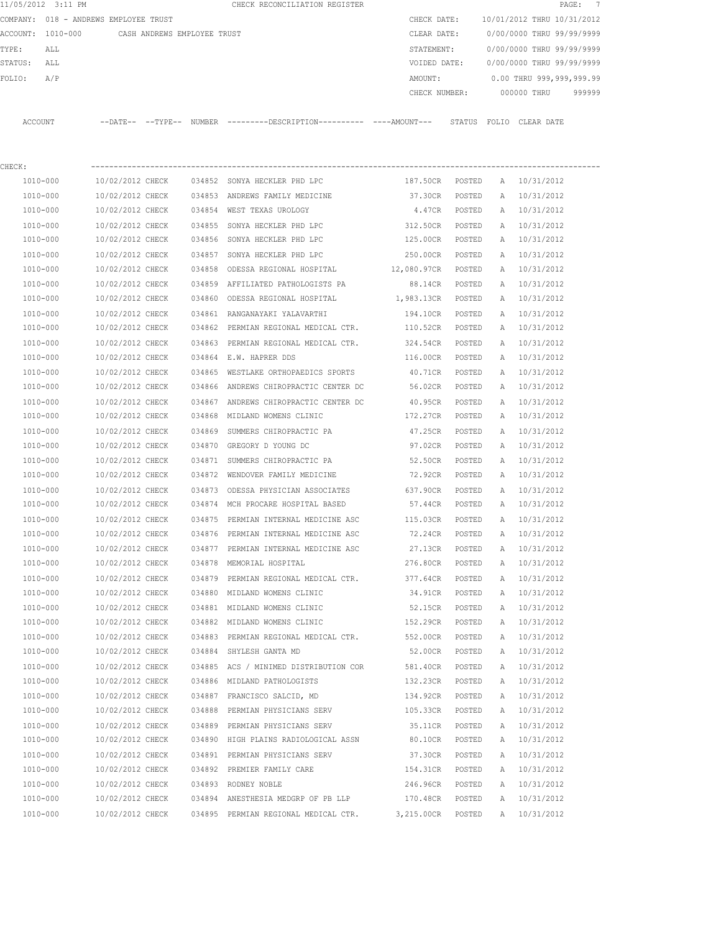|                                                                                                                               | 11/05/2012 3:11 PM |                  |  | CHECK RECONCILIATION REGISTER                                                              |                    |        |              | PAGE: 7                                |
|-------------------------------------------------------------------------------------------------------------------------------|--------------------|------------------|--|--------------------------------------------------------------------------------------------|--------------------|--------|--------------|----------------------------------------|
|                                                                                                                               |                    |                  |  |                                                                                            |                    |        |              | CHECK DATE: 10/01/2012 THRU 10/31/2012 |
| COMPANY: 018 - ANDREWS EMPLOYEE TRUST<br>ACCOUNT: 1010-000<br>CASH ANDREWS EMPLOYEE TRUST<br>ALL<br>STATUS: ALL<br>FOLIO: A/P |                    |                  |  |                                                                                            |                    |        |              | CLEAR DATE: 0/00/0000 THRU 99/99/9999  |
| TYPE:                                                                                                                         |                    |                  |  |                                                                                            | STATEMENT:         |        |              | 0/00/0000 THRU 99/99/9999              |
|                                                                                                                               |                    |                  |  |                                                                                            |                    |        |              | VOIDED DATE: 0/00/0000 THRU 99/99/9999 |
|                                                                                                                               |                    |                  |  |                                                                                            | AMOUNT:            |        |              | $0.00$ THRU 999,999,999.99             |
|                                                                                                                               |                    |                  |  |                                                                                            |                    |        |              | CHECK NUMBER: 000000 THRU<br>999999    |
|                                                                                                                               | ACCOUNT            |                  |  | --DATE-- --TYPE-- NUMBER --------DESCRIPTION--------- ----AMOUNT--- STATUS FOLIO CLEARDATE |                    |        |              |                                        |
|                                                                                                                               |                    |                  |  |                                                                                            |                    |        |              |                                        |
| CHECK:                                                                                                                        |                    |                  |  |                                                                                            |                    |        |              |                                        |
|                                                                                                                               | 1010-000           |                  |  | 10/02/2012 CHECK 034852 SONYA HECKLER PHD LPC                                              | 187.50CR POSTED    |        |              | A 10/31/2012                           |
|                                                                                                                               | 1010-000           |                  |  | 10/02/2012 CHECK 034853 ANDREWS FAMILY MEDICINE                                            | 37.30CR POSTED     |        |              | A 10/31/2012                           |
|                                                                                                                               | 1010-000           |                  |  | 10/02/2012 CHECK 034854 WEST TEXAS UROLOGY                                                 | 4.47CR POSTED      |        |              | A 10/31/2012                           |
|                                                                                                                               | 1010-000           |                  |  | 10/02/2012 CHECK 034855 SONYA HECKLER PHD LPC                                              | 312.50CR POSTED    |        |              | A 10/31/2012                           |
|                                                                                                                               | 1010-000           |                  |  | 10/02/2012 CHECK 034856 SONYA HECKLER PHD LPC                                              | 125.00CR POSTED    |        |              | A 10/31/2012                           |
|                                                                                                                               | 1010-000           |                  |  | 10/02/2012 CHECK 034857 SONYA HECKLER PHD LPC                                              | 250.00CR POSTED    |        |              | A 10/31/2012                           |
|                                                                                                                               | 1010-000           |                  |  | 10/02/2012 CHECK 034858 ODESSA REGIONAL HOSPITAL                                           | 12,080.97CR POSTED |        |              | A 10/31/2012                           |
|                                                                                                                               | 1010-000           |                  |  | 10/02/2012 CHECK 034859 AFFILIATED PATHOLOGISTS PA                                         | 88.14CR POSTED     |        |              | A 10/31/2012                           |
|                                                                                                                               | 1010-000           |                  |  | 10/02/2012 CHECK 034860 ODESSA REGIONAL HOSPITAL                                           | 1,983.13CR POSTED  |        |              | A 10/31/2012                           |
|                                                                                                                               | 1010-000           | 10/02/2012 CHECK |  | 034861 RANGANAYAKI YALAVARTHI                                                              | 194.10CR POSTED    |        |              | A 10/31/2012                           |
|                                                                                                                               | 1010-000           | 10/02/2012 CHECK |  | 034862 PERMIAN REGIONAL MEDICAL CTR.                                                       | 110.52CR POSTED    |        |              | A 10/31/2012                           |
|                                                                                                                               | 1010-000           | 10/02/2012 CHECK |  | 034863 PERMIAN REGIONAL MEDICAL CTR. 324.54CR POSTED                                       |                    |        |              | A 10/31/2012                           |
|                                                                                                                               | 1010-000           | 10/02/2012 CHECK |  | 034864 E.W. HAPRER DDS                                                                     | 116.00CR POSTED    |        |              | A 10/31/2012                           |
|                                                                                                                               | 1010-000           | 10/02/2012 CHECK |  | 034865 WESTLAKE ORTHOPAEDICS SPORTS 40.71CR POSTED                                         |                    |        |              | A 10/31/2012                           |
|                                                                                                                               | 1010-000           |                  |  | 10/02/2012 CHECK 034866 ANDREWS CHIROPRACTIC CENTER DC 56.02CR POSTED                      |                    |        |              | A 10/31/2012                           |
|                                                                                                                               | 1010-000           |                  |  | 10/02/2012 CHECK 034867 ANDREWS CHIROPRACTIC CENTER DC 40.95CR POSTED                      |                    |        |              | A 10/31/2012                           |
|                                                                                                                               | 1010-000           |                  |  | 10/02/2012 CHECK 034868 MIDLAND WOMENS CLINIC                                              | 172.27CR POSTED    |        |              | A 10/31/2012                           |
|                                                                                                                               | 1010-000           | 10/02/2012 CHECK |  | 034869 SUMMERS CHIROPRACTIC PA                                                             | 47.25CR POSTED     |        |              | A 10/31/2012                           |
|                                                                                                                               | 1010-000           |                  |  | 10/02/2012 CHECK 034870 GREGORY D YOUNG DC                                                 | 97.02CR POSTED     |        |              | A 10/31/2012                           |
|                                                                                                                               | 1010-000           |                  |  | 10/02/2012 CHECK 034871 SUMMERS CHIROPRACTIC PA                                            | 52.50CR POSTED     |        |              | A 10/31/2012                           |
|                                                                                                                               | 1010-000           |                  |  | 10/02/2012 CHECK 034872 WENDOVER FAMILY MEDICINE                                           | 72.92CR POSTED     |        |              | A 10/31/2012                           |
|                                                                                                                               | 1010-000           |                  |  | 10/02/2012 CHECK 034873 ODESSA PHYSICIAN ASSOCIATES                                        | 637.90CR POSTED    |        |              | A 10/31/2012                           |
|                                                                                                                               | 1010-000           |                  |  | 10/02/2012 CHECK 034874 MCH PROCARE HOSPITAL BASED                                         | 57.44CR POSTED     |        |              | A 10/31/2012                           |
|                                                                                                                               | 1010-000           |                  |  | 10/02/2012 CHECK 034875 PERMIAN INTERNAL MEDICINE ASC                                      | 115.03CR POSTED    |        |              | A 10/31/2012                           |
|                                                                                                                               | 1010-000           | 10/02/2012 CHECK |  | 034876 PERMIAN INTERNAL MEDICINE ASC                                                       | 72.24CR            | POSTED | Α            | 10/31/2012                             |
|                                                                                                                               | 1010-000           | 10/02/2012 CHECK |  | 034877 PERMIAN INTERNAL MEDICINE ASC                                                       | 27.13CR            | POSTED | Α            | 10/31/2012                             |
|                                                                                                                               | 1010-000           | 10/02/2012 CHECK |  | 034878 MEMORIAL HOSPITAL                                                                   | 276.80CR           | POSTED | Α            | 10/31/2012                             |
|                                                                                                                               | 1010-000           | 10/02/2012 CHECK |  | 034879 PERMIAN REGIONAL MEDICAL CTR.                                                       | 377.64CR POSTED    |        | A            | 10/31/2012                             |
|                                                                                                                               | 1010-000           | 10/02/2012 CHECK |  | 034880 MIDLAND WOMENS CLINIC                                                               | 34.91CR POSTED     |        | Α            | 10/31/2012                             |
|                                                                                                                               | 1010-000           | 10/02/2012 CHECK |  | 034881 MIDLAND WOMENS CLINIC                                                               | 52.15CR            | POSTED | Α            | 10/31/2012                             |
|                                                                                                                               | 1010-000           | 10/02/2012 CHECK |  | 034882 MIDLAND WOMENS CLINIC                                                               | 152.29CR           | POSTED | Α            | 10/31/2012                             |
|                                                                                                                               | 1010-000           |                  |  | 10/02/2012 CHECK 034883 PERMIAN REGIONAL MEDICAL CTR.                                      | 552.00CR POSTED    |        | $\mathbb{A}$ | 10/31/2012                             |
|                                                                                                                               | 1010-000           |                  |  | 10/02/2012 CHECK 034884 SHYLESH GANTA MD                                                   | 52.00CR POSTED     |        |              | A 10/31/2012                           |
|                                                                                                                               | 1010-000           |                  |  | 10/02/2012 CHECK 034885 ACS / MINIMED DISTRIBUTION COR                                     | 581.40CR POSTED    |        | A            | 10/31/2012                             |
|                                                                                                                               | 1010-000           | 10/02/2012 CHECK |  | 034886 MIDLAND PATHOLOGISTS                                                                | 132.23CR POSTED    |        |              | A 10/31/2012                           |
|                                                                                                                               | 1010-000           | 10/02/2012 CHECK |  | 034887 FRANCISCO SALCID, MD                                                                | 134.92CR POSTED    |        | Α            | 10/31/2012                             |
|                                                                                                                               | 1010-000           | 10/02/2012 CHECK |  | 034888 PERMIAN PHYSICIANS SERV                                                             | 105.33CR POSTED    |        | Α            | 10/31/2012                             |
|                                                                                                                               | 1010-000           | 10/02/2012 CHECK |  | 034889 PERMIAN PHYSICIANS SERV                                                             | 35.11CR POSTED     |        | Α            | 10/31/2012                             |
|                                                                                                                               | 1010-000           | 10/02/2012 CHECK |  | 034890 HIGH PLAINS RADIOLOGICAL ASSN                                                       | 80.10CR POSTED     |        |              | A 10/31/2012                           |
|                                                                                                                               | 1010-000           | 10/02/2012 CHECK |  | 034891 PERMIAN PHYSICIANS SERV                                                             | 37.30CR POSTED     |        | A            | 10/31/2012                             |
|                                                                                                                               | 1010-000           | 10/02/2012 CHECK |  | 034892 PREMIER FAMILY CARE                                                                 | 154.31CR POSTED    |        |              | A 10/31/2012                           |
|                                                                                                                               | 1010-000           | 10/02/2012 CHECK |  | 034893 RODNEY NOBLE                                                                        | 246.96CR POSTED    |        |              | A 10/31/2012                           |

 1010-000 10/02/2012 CHECK 034894 ANESTHESIA MEDGRP OF PB LLP 170.48CR POSTED A 10/31/2012 1010-000 10/02/2012 CHECK 034895 PERMIAN REGIONAL MEDICAL CTR. 3,215.00CR POSTED A 10/31/2012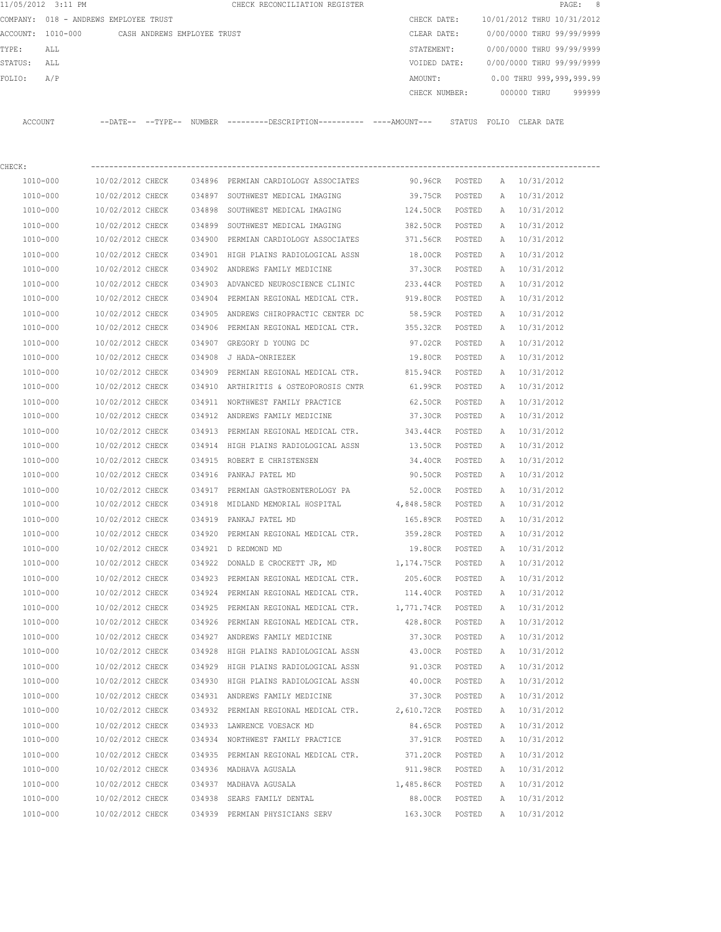|         | 11/05/2012 3:11 PM                    |                                      |                             |        | CHECK RECONCILIATION REGISTER                                                                 |                   |                  |   |                            | 8<br>PAGE: |
|---------|---------------------------------------|--------------------------------------|-----------------------------|--------|-----------------------------------------------------------------------------------------------|-------------------|------------------|---|----------------------------|------------|
|         | COMPANY: 018 - ANDREWS EMPLOYEE TRUST |                                      |                             |        |                                                                                               | CHECK DATE:       |                  |   | 10/01/2012 THRU 10/31/2012 |            |
|         | ACCOUNT: 1010-000                     |                                      | CASH ANDREWS EMPLOYEE TRUST |        |                                                                                               | CLEAR DATE:       |                  |   | 0/00/0000 THRU 99/99/9999  |            |
| TYPE:   | ALL                                   |                                      |                             |        |                                                                                               | STATEMENT:        |                  |   | 0/00/0000 THRU 99/99/9999  |            |
| STATUS: | ALL                                   |                                      |                             |        |                                                                                               | VOIDED DATE:      |                  |   | 0/00/0000 THRU 99/99/9999  |            |
| FOLIO:  | A/P                                   |                                      |                             |        |                                                                                               | AMOUNT:           |                  |   | 0.00 THRU 999,999,999.99   |            |
|         |                                       |                                      |                             |        |                                                                                               | CHECK NUMBER:     |                  |   | 000000 THRU                | 999999     |
|         | ACCOUNT                               |                                      |                             |        | --DATE-- --TYPE-- NUMBER ---------DESCRIPTION---------- ----AMOUNT--- STATUS FOLIO CLEAR DATE |                   |                  |   |                            |            |
| CHECK:  |                                       |                                      |                             |        |                                                                                               |                   |                  |   |                            |            |
|         | 1010-000                              | 10/02/2012 CHECK                     |                             |        | 034896 PERMIAN CARDIOLOGY ASSOCIATES                                                          | 90.96CR POSTED    |                  |   | A 10/31/2012               |            |
|         | 1010-000                              | 10/02/2012 CHECK                     |                             |        | 034897 SOUTHWEST MEDICAL IMAGING                                                              | 39.75CR           | POSTED           | A | 10/31/2012                 |            |
|         | 1010-000                              | 10/02/2012 CHECK                     |                             |        | 034898 SOUTHWEST MEDICAL IMAGING                                                              | 124.50CR          | POSTED           |   | A 10/31/2012               |            |
|         | 1010-000                              | 10/02/2012 CHECK                     |                             |        | 034899 SOUTHWEST MEDICAL IMAGING                                                              | 382.50CR          | POSTED           |   | A 10/31/2012               |            |
|         | 1010-000                              | 10/02/2012 CHECK                     |                             |        | 034900 PERMIAN CARDIOLOGY ASSOCIATES                                                          | 371.56CR POSTED   |                  |   | A 10/31/2012               |            |
|         | 1010-000                              | 10/02/2012 CHECK                     |                             |        | 034901 HIGH PLAINS RADIOLOGICAL ASSN                                                          | 18.00CR           | POSTED           |   | A 10/31/2012               |            |
|         | 1010-000                              | 10/02/2012 CHECK                     |                             |        | 034902 ANDREWS FAMILY MEDICINE                                                                | 37.30CR           | POSTED           |   | A 10/31/2012               |            |
|         | 1010-000                              | 10/02/2012 CHECK                     |                             |        | 034903 ADVANCED NEUROSCIENCE CLINIC                                                           | 233.44CR          | POSTED           |   | A 10/31/2012               |            |
|         | 1010-000                              | 10/02/2012 CHECK                     |                             |        | 034904 PERMIAN REGIONAL MEDICAL CTR.                                                          | 919.80CR          | POSTED           |   | A 10/31/2012               |            |
|         | 1010-000                              |                                      |                             |        |                                                                                               | 58.59CR           |                  |   |                            |            |
|         | 1010-000                              | 10/02/2012 CHECK<br>10/02/2012 CHECK |                             |        | 034905 ANDREWS CHIROPRACTIC CENTER DC<br>034906 PERMIAN REGIONAL MEDICAL CTR.                 | 355.32CR          | POSTED<br>POSTED |   | A 10/31/2012<br>10/31/2012 |            |
|         |                                       |                                      |                             |        |                                                                                               |                   |                  | A |                            |            |
|         | 1010-000                              | 10/02/2012 CHECK<br>10/02/2012 CHECK |                             |        | 034907 GREGORY D YOUNG DC<br>034908 J HADA-ONRIEZEK                                           | 97.02CR           | POSTED           | A | 10/31/2012<br>10/31/2012   |            |
|         | 1010-000                              |                                      |                             |        |                                                                                               | 19.80CR           | POSTED           | A |                            |            |
|         | 1010-000                              | 10/02/2012 CHECK                     |                             |        | 034909 PERMIAN REGIONAL MEDICAL CTR.                                                          | 815.94CR          | POSTED           | A | 10/31/2012                 |            |
|         | 1010-000                              | 10/02/2012 CHECK                     |                             |        | 034910 ARTHIRITIS & OSTEOPOROSIS CNTR                                                         | 61.99CR           | POSTED           | A | 10/31/2012                 |            |
|         | 1010-000                              | 10/02/2012 CHECK                     |                             |        | 034911 NORTHWEST FAMILY PRACTICE                                                              | 62.50CR           | POSTED           | A | 10/31/2012                 |            |
|         | 1010-000                              | 10/02/2012 CHECK                     |                             |        | 034912 ANDREWS FAMILY MEDICINE                                                                | 37.30CR           | POSTED           | A | 10/31/2012                 |            |
|         | 1010-000                              | 10/02/2012 CHECK                     |                             | 034913 | PERMIAN REGIONAL MEDICAL CTR.                                                                 | 343.44CR          | POSTED           | A | 10/31/2012                 |            |
|         | 1010-000                              | 10/02/2012 CHECK                     |                             |        | 034914 HIGH PLAINS RADIOLOGICAL ASSN                                                          | 13.50CR           | POSTED           | A | 10/31/2012                 |            |
|         | 1010-000                              | 10/02/2012 CHECK                     |                             |        | 034915 ROBERT E CHRISTENSEN                                                                   | 34.40CR           | POSTED           | A | 10/31/2012                 |            |
|         | 1010-000                              | 10/02/2012 CHECK                     |                             |        | 034916 PANKAJ PATEL MD                                                                        | 90.50CR           | POSTED           |   | A 10/31/2012               |            |
|         | 1010-000                              | 10/02/2012 CHECK                     |                             | 034917 | PERMIAN GASTROENTEROLOGY PA                                                                   | 52.00CR           | POSTED           |   | A 10/31/2012               |            |
|         | 1010-000                              | 10/02/2012 CHECK                     |                             |        | 034918 MIDLAND MEMORIAL HOSPITAL 4,848.58CR                                                   |                   | POSTED           | A | 10/31/2012                 |            |
|         | 1010-000                              | 10/02/2012 CHECK                     |                             |        | 034919 PANKAJ PATEL MD                                                                        | 165.89CR          | POSTED           |   | A 10/31/2012               |            |
|         | 1010-000                              | 10/02/2012 CHECK                     |                             |        | 034920 PERMIAN REGIONAL MEDICAL CTR.                                                          | 359.28CR          | POSTED           | Α | 10/31/2012                 |            |
|         | 1010-000                              | 10/02/2012 CHECK                     |                             |        | 034921 D REDMOND MD                                                                           | 19.80CR           | POSTED           | Α | 10/31/2012                 |            |
|         | 1010-000                              | 10/02/2012 CHECK                     |                             |        | 034922 DONALD E CROCKETT JR, MD                                                               | 1,174.75CR        | POSTED           | Α | 10/31/2012                 |            |
|         | 1010-000                              | 10/02/2012 CHECK                     |                             |        | 034923 PERMIAN REGIONAL MEDICAL CTR.                                                          | 205.60CR          | POSTED           | Α | 10/31/2012                 |            |
|         | 1010-000                              | 10/02/2012 CHECK                     |                             |        | 034924 PERMIAN REGIONAL MEDICAL CTR.                                                          | 114.40CR          | POSTED           | Α | 10/31/2012                 |            |
|         | 1010-000                              | 10/02/2012 CHECK                     |                             |        | 034925 PERMIAN REGIONAL MEDICAL CTR.                                                          | 1,771.74CR POSTED |                  | Α | 10/31/2012                 |            |
|         | 1010-000                              | 10/02/2012 CHECK                     |                             |        | 034926 PERMIAN REGIONAL MEDICAL CTR.                                                          | 428.80CR          | POSTED           | Α | 10/31/2012                 |            |
|         | 1010-000                              | 10/02/2012 CHECK                     |                             |        | 034927 ANDREWS FAMILY MEDICINE                                                                | 37.30CR           | POSTED           | Α | 10/31/2012                 |            |
|         | 1010-000                              | 10/02/2012 CHECK                     |                             |        | 034928 HIGH PLAINS RADIOLOGICAL ASSN                                                          | 43.00CR           | POSTED           | Α | 10/31/2012                 |            |
|         | 1010-000                              | 10/02/2012 CHECK                     |                             |        | 034929 HIGH PLAINS RADIOLOGICAL ASSN                                                          | 91.03CR           | POSTED           | Α | 10/31/2012                 |            |
|         | 1010-000                              | 10/02/2012 CHECK                     |                             |        | 034930 HIGH PLAINS RADIOLOGICAL ASSN                                                          | 40.00CR           | POSTED           | Α | 10/31/2012                 |            |
|         | 1010-000                              | 10/02/2012 CHECK                     |                             |        | 034931 ANDREWS FAMILY MEDICINE                                                                | 37.30CR           | POSTED           | Α | 10/31/2012                 |            |
|         | 1010-000                              | 10/02/2012 CHECK                     |                             |        | 034932 PERMIAN REGIONAL MEDICAL CTR.                                                          | 2,610.72CR        | POSTED           | Α | 10/31/2012                 |            |
|         | 1010-000                              | 10/02/2012 CHECK                     |                             |        | 034933 LAWRENCE VOESACK MD                                                                    | 84.65CR           | POSTED           | Α | 10/31/2012                 |            |
|         | 1010-000                              | 10/02/2012 CHECK                     |                             |        | 034934 NORTHWEST FAMILY PRACTICE                                                              | 37.91CR           | POSTED           | Α | 10/31/2012                 |            |
|         | 1010-000                              | 10/02/2012 CHECK                     |                             |        | 034935 PERMIAN REGIONAL MEDICAL CTR.                                                          | 371.20CR          | POSTED           | Α | 10/31/2012                 |            |
|         | 1010-000                              | 10/02/2012 CHECK                     |                             |        | 034936 MADHAVA AGUSALA                                                                        | 911.98CR          | POSTED           |   | A 10/31/2012               |            |
|         | 1010-000                              | 10/02/2012 CHECK                     |                             |        | 034937 MADHAVA AGUSALA                                                                        | 1,485.86CR POSTED |                  | A | 10/31/2012                 |            |
|         | 1010-000                              | 10/02/2012 CHECK                     |                             |        | 034938 SEARS FAMILY DENTAL                                                                    | 88.00CR           | POSTED           | Α | 10/31/2012                 |            |
|         | 1010-000                              | 10/02/2012 CHECK                     |                             |        | 034939 PERMIAN PHYSICIANS SERV                                                                | 163.30CR          | POSTED           |   | A 10/31/2012               |            |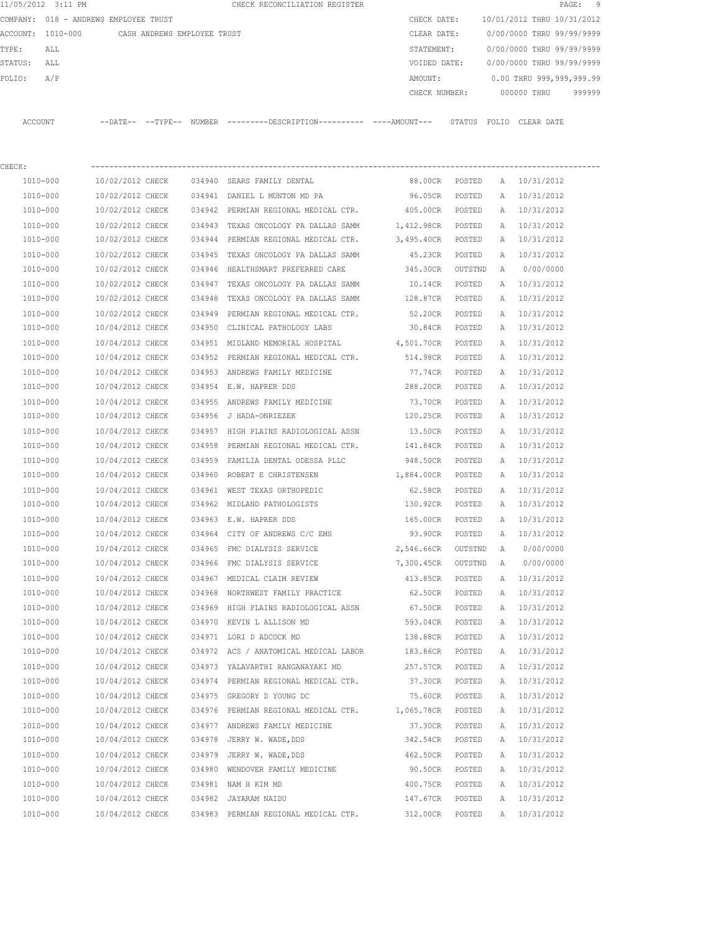|         | 11/05/2012 3:11 PM |                                       |        | CHECK RECONCILIATION REGISTER                |               |        |                            |             | PAGE: 9                  |  |
|---------|--------------------|---------------------------------------|--------|----------------------------------------------|---------------|--------|----------------------------|-------------|--------------------------|--|
|         |                    | COMPANY: 018 - ANDREWS EMPLOYEE TRUST |        |                                              | CHECK DATE:   |        | 10/01/2012 THRU 10/31/2012 |             |                          |  |
|         | ACCOUNT: 1010-000  | CASH ANDREWS EMPLOYEE TRUST           |        |                                              | CLEAR DATE:   |        | 0/00/0000 THRU 99/99/9999  |             |                          |  |
| TYPE:   | ALL                |                                       |        |                                              | STATEMENT:    |        | 0/00/0000 THRU 99/99/9999  |             |                          |  |
| STATUS: | ALL                |                                       |        |                                              | VOIDED DATE:  |        | 0/00/0000 THRU 99/99/9999  |             |                          |  |
| FOLIO:  | A/P                |                                       |        |                                              | AMOUNT:       |        |                            |             | 0.00 THRU 999,999,999.99 |  |
|         |                    |                                       |        |                                              | CHECK NUMBER: |        |                            | 000000 THRU | 999999                   |  |
|         |                    |                                       |        |                                              |               |        |                            |             |                          |  |
| ACCOUNT |                    | $---DATE---TYPE---$                   | NUMBER | ---------DESCRIPTION---------- ----AMOUNT--- |               | STATUS | FOLIO                      | CLEAR DATE  |                          |  |

| CHECK:       |                  |        |                                       |                   |         |              |              |
|--------------|------------------|--------|---------------------------------------|-------------------|---------|--------------|--------------|
| 1010-000     | 10/02/2012 CHECK |        | 034940 SEARS FAMILY DENTAL            | 88.00CR           | POSTED  |              | A 10/31/2012 |
| 1010-000     | 10/02/2012 CHECK |        | 034941 DANIEL L MUNTON MD PA          | 96.05CR           | POSTED  | Α            | 10/31/2012   |
| 1010-000     | 10/02/2012 CHECK |        | 034942 PERMIAN REGIONAL MEDICAL CTR.  | 405.00CR          | POSTED  | Α            | 10/31/2012   |
| 1010-000     | 10/02/2012 CHECK | 034943 | TEXAS ONCOLOGY PA DALLAS SAMM         | 1,412.98CR        | POSTED  | A            | 10/31/2012   |
| 1010-000     | 10/02/2012 CHECK | 034944 | PERMIAN REGIONAL MEDICAL CTR.         | 3,495.40CR        | POSTED  | Α            | 10/31/2012   |
| 1010-000     | 10/02/2012 CHECK | 034945 | TEXAS ONCOLOGY PA DALLAS SAMM         | 45.23CR           | POSTED  |              | A 10/31/2012 |
| 1010-000     | 10/02/2012 CHECK |        | 034946 HEALTHSMART PREFERRED CARE     | 345.30CR          | OUTSTND | A            | 0/00/0000    |
| 1010-000     | 10/02/2012 CHECK | 034947 | TEXAS ONCOLOGY PA DALLAS SAMM         | 10.14CR           | POSTED  |              | A 10/31/2012 |
| 1010-000     | 10/02/2012 CHECK |        | 034948 TEXAS ONCOLOGY PA DALLAS SAMM  | 128.87CR          | POSTED  | A            | 10/31/2012   |
| 1010-000     | 10/02/2012 CHECK |        | 034949 PERMIAN REGIONAL MEDICAL CTR.  | 52.20CR           | POSTED  | A            | 10/31/2012   |
| 1010-000     | 10/04/2012 CHECK |        | 034950 CLINICAL PATHOLOGY LABS        | 30.84CR POSTED    |         |              | A 10/31/2012 |
| 1010-000     | 10/04/2012 CHECK |        | 034951 MIDLAND MEMORIAL HOSPITAL      | 4,501.70CR POSTED |         | A            | 10/31/2012   |
| 1010-000     | 10/04/2012 CHECK |        | 034952 PERMIAN REGIONAL MEDICAL CTR.  | 514.98CR POSTED   |         | A            | 10/31/2012   |
| 1010-000     | 10/04/2012 CHECK |        | 034953 ANDREWS FAMILY MEDICINE        | 77.74CR           | POSTED  | A            | 10/31/2012   |
| 1010-000     | 10/04/2012 CHECK |        | 034954 E.W. HAPRER DDS                | 288.20CR          | POSTED  | A            | 10/31/2012   |
| 1010-000     | 10/04/2012 CHECK |        | 034955 ANDREWS FAMILY MEDICINE        | 73.70CR           | POSTED  | A            | 10/31/2012   |
| 1010-000     | 10/04/2012 CHECK |        | 034956 J HADA-ONRIEZEK                | 120.25CR          | POSTED  | A            | 10/31/2012   |
| $1010 - 000$ | 10/04/2012 CHECK |        | 034957 HIGH PLAINS RADIOLOGICAL ASSN  | 13.50CR           | POSTED  | A            | 10/31/2012   |
| 1010-000     | 10/04/2012 CHECK |        | 034958 PERMIAN REGIONAL MEDICAL CTR.  | 141.84CR          | POSTED  | A            | 10/31/2012   |
| 1010-000     | 10/04/2012 CHECK |        | 034959 FAMILIA DENTAL ODESSA PLLC     | 948.50CR          | POSTED  | Α            | 10/31/2012   |
| 1010-000     | 10/04/2012 CHECK |        | 034960 ROBERT E CHRISTENSEN           | 1,884.00CR POSTED |         | A            | 10/31/2012   |
| 1010-000     | 10/04/2012 CHECK |        | 034961 WEST TEXAS ORTHOPEDIC          | 62.58CR POSTED    |         | A            | 10/31/2012   |
| 1010-000     | 10/04/2012 CHECK |        | 034962 MIDLAND PATHOLOGISTS           | 130.92CR          | POSTED  | A            | 10/31/2012   |
| 1010-000     | 10/04/2012 CHECK |        | 034963 E.W. HAPRER DDS                | 165.00CR          | POSTED  | A            | 10/31/2012   |
| 1010-000     | 10/04/2012 CHECK |        | 034964 CITY OF ANDREWS C/C EMS        | 93.90CR           | POSTED  | A            | 10/31/2012   |
| 1010-000     | 10/04/2012 CHECK | 034965 | FMC DIALYSIS SERVICE                  | 2,546.66CR        | OUTSTND | A            | 0/00/0000    |
| 1010-000     | 10/04/2012 CHECK | 034966 | FMC DIALYSIS SERVICE                  | 7,300.45CR        | OUTSTND | $\mathbb{A}$ | 0/00/0000    |
| 1010-000     | 10/04/2012 CHECK |        | 034967 MEDICAL CLAIM REVIEW           | 413.85CR          | POSTED  | A            | 10/31/2012   |
| 1010-000     | 10/04/2012 CHECK | 034968 | NORTHWEST FAMILY PRACTICE             | 62.50CR           | POSTED  | Α            | 10/31/2012   |
| 1010-000     | 10/04/2012 CHECK |        | 034969 HIGH PLAINS RADIOLOGICAL ASSN  | 67.50CR           | POSTED  | A            | 10/31/2012   |
| 1010-000     | 10/04/2012 CHECK |        | 034970 KEVIN L ALLISON MD             | 593.04CR          | POSTED  | A            | 10/31/2012   |
| 1010-000     | 10/04/2012 CHECK |        | 034971 LORI D ADCOCK MD               | 138.88CR          | POSTED  | A            | 10/31/2012   |
| 1010-000     | 10/04/2012 CHECK |        | 034972 ACS / ANATOMICAL MEDICAL LABOR | 183.86CR POSTED   |         | A            | 10/31/2012   |
| 1010-000     | 10/04/2012 CHECK |        | 034973 YALAVARTHI RANGANAYAKI MD      | 257.57CR          | POSTED  |              | A 10/31/2012 |
| 1010-000     | 10/04/2012 CHECK |        | 034974 PERMIAN REGIONAL MEDICAL CTR.  | 37.30CR           | POSTED  |              | A 10/31/2012 |
| 1010-000     | 10/04/2012 CHECK |        | 034975 GREGORY D YOUNG DC             | 75.60CR           | POSTED  | Α            | 10/31/2012   |
| 1010-000     | 10/04/2012 CHECK |        | 034976 PERMIAN REGIONAL MEDICAL CTR.  | 1,065.78CR        | POSTED  | А            | 10/31/2012   |
| 1010-000     | 10/04/2012 CHECK |        | 034977 ANDREWS FAMILY MEDICINE        | 37.30CR           | POSTED  | Α            | 10/31/2012   |
| 1010-000     | 10/04/2012 CHECK |        | 034978 JERRY W. WADE, DDS             | 342.54CR          | POSTED  | Α            | 10/31/2012   |
| 1010-000     | 10/04/2012 CHECK | 034979 | JERRY W. WADE, DDS                    | 462.50CR          | POSTED  | Α            | 10/31/2012   |
| 1010-000     | 10/04/2012 CHECK | 034980 | WENDOVER FAMILY MEDICINE              | 90.50CR           | POSTED  | Α            | 10/31/2012   |
| 1010-000     | 10/04/2012 CHECK |        | 034981 NAM H KIM MD                   | 400.75CR          | POSTED  | А            | 10/31/2012   |
| 1010-000     | 10/04/2012 CHECK |        | 034982 JAYARAM NAIDU                  | 147.67CR          | POSTED  | Α            | 10/31/2012   |
| 1010-000     | 10/04/2012 CHECK |        | 034983 PERMIAN REGIONAL MEDICAL CTR.  | 312.00CR          | POSTED  | A            | 10/31/2012   |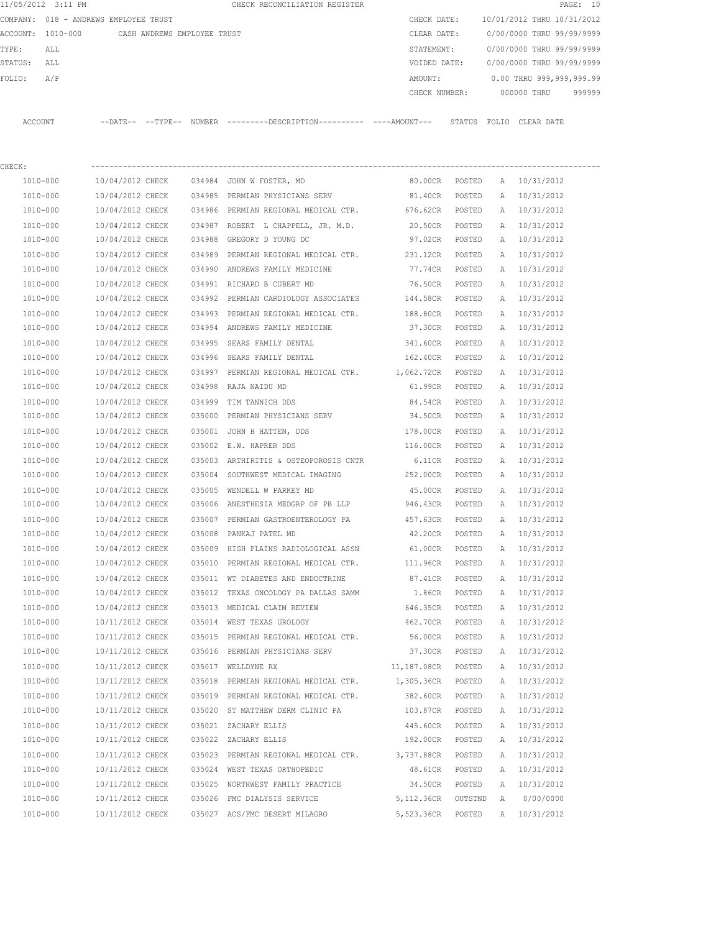|         | 11/05/2012 3:11 PM |                                       | CHECK RECONCILIATION REGISTER                                        |              |               |                            | PAGE: 10 |  |
|---------|--------------------|---------------------------------------|----------------------------------------------------------------------|--------------|---------------|----------------------------|----------|--|
|         |                    | COMPANY: 018 - ANDREWS EMPLOYEE TRUST |                                                                      | CHECK DATE:  |               | 10/01/2012 THRU 10/31/2012 |          |  |
|         | ACCOUNT: 1010-000  | CASH ANDREWS EMPLOYEE TRUST           |                                                                      | CLEAR DATE:  |               | 0/00/0000 THRU 99/99/9999  |          |  |
| TYPE:   | ALL                |                                       |                                                                      | STATEMENT:   |               | 0/00/0000 THRU 99/99/9999  |          |  |
| STATUS: | ALL                |                                       |                                                                      | VOIDED DATE: |               | 0/00/0000 THRU 99/99/9999  |          |  |
| FOLIO:  | A/P                |                                       |                                                                      | AMOUNT:      |               | 0.00 THRU 999,999,999.99   |          |  |
|         |                    |                                       |                                                                      |              | CHECK NUMBER: | 000000 THRU                | 999999   |  |
| ACCOUNT |                    |                                       | --DATE-- --TYPE-- NUMBER ---------DESCRIPTION--------- ----AMOUNT--- |              | STATUS        | FOLIO CLEAR DATE           |          |  |
|         |                    |                                       |                                                                      |              |               |                            |          |  |

| CHECK:       |                                         |        |                                                                         |                    |         |   |                             |
|--------------|-----------------------------------------|--------|-------------------------------------------------------------------------|--------------------|---------|---|-----------------------------|
| 1010-000     |                                         |        | 10/04/2012 CHECK 034984 JOHN W FOSTER, MD                               |                    |         |   | 80.00CR POSTED A 10/31/2012 |
| 1010-000     |                                         |        | 10/04/2012 CHECK 034985 PERMIAN PHYSICIANS SERV                         | 81.40CR POSTED     |         |   | A 10/31/2012                |
| 1010-000     |                                         |        | 10/04/2012 CHECK 034986 PERMIAN REGIONAL MEDICAL CTR.                   | 676.62CR POSTED    |         |   | A 10/31/2012                |
| 1010-000     |                                         |        | 10/04/2012 CHECK 034987 ROBERT L CHAPPELL, JR. M.D.                     | 20.50CR POSTED     |         |   | A 10/31/2012                |
| 1010-000     |                                         |        | 10/04/2012 CHECK 034988 GREGORY D YOUNG DC                              | 97.02CR POSTED     |         |   | A 10/31/2012                |
| 1010-000     |                                         |        | 10/04/2012 CHECK 034989 PERMIAN REGIONAL MEDICAL CTR. 231.12CR POSTED   |                    |         |   | A 10/31/2012                |
| 1010-000     |                                         |        | 10/04/2012 CHECK 034990 ANDREWS FAMILY MEDICINE                         | 77.74CR POSTED     |         |   | A 10/31/2012                |
| 1010-000     |                                         |        | 10/04/2012 CHECK 034991 RICHARD B CUBERT MD                             | 76.50CR            | POSTED  |   | A 10/31/2012                |
| 1010-000     |                                         |        | 10/04/2012 CHECK 034992 PERMIAN CARDIOLOGY ASSOCIATES 144.58CR          |                    | POSTED  |   | A 10/31/2012                |
| 1010-000     |                                         |        | 10/04/2012 CHECK 034993 PERMIAN REGIONAL MEDICAL CTR. 188.80CR          |                    | POSTED  |   | A 10/31/2012                |
| 1010-000     |                                         |        | 10/04/2012 CHECK 034994 ANDREWS FAMILY MEDICINE                         | 37.30CR            | POSTED  |   | A 10/31/2012                |
| 1010-000     |                                         |        | 10/04/2012 CHECK 034995 SEARS FAMILY DENTAL                             | 341.60CR POSTED    |         |   | A 10/31/2012                |
| 1010-000     |                                         |        | 10/04/2012 CHECK 034996 SEARS FAMILY DENTAL                             | 162.40CR POSTED    |         |   | A 10/31/2012                |
| 1010-000     |                                         |        | 10/04/2012 CHECK 034997 PERMIAN REGIONAL MEDICAL CTR. 1,062.72CR POSTED |                    |         |   | A 10/31/2012                |
| 1010-000     | 10/04/2012 CHECK 034998 RAJA NAIDU MD   |        |                                                                         | 61.99CR POSTED     |         |   | A 10/31/2012                |
| 1010-000     | 10/04/2012 CHECK                        |        | 034999 TIM TANNICH DDS                                                  | 84.54CR POSTED     |         |   | A 10/31/2012                |
| 1010-000     |                                         |        | 10/04/2012 CHECK 035000 PERMIAN PHYSICIANS SERV                         | 34.50CR POSTED     |         |   | A 10/31/2012                |
| 1010-000     |                                         |        | 10/04/2012 CHECK 035001 JOHN H HATTEN, DDS                              | 178.00CR POSTED    |         |   | A 10/31/2012                |
| 1010-000     |                                         |        | 10/04/2012 CHECK 035002 E.W. HAPRER DDS                                 | 116.00CR POSTED    |         |   | A 10/31/2012                |
| 1010-000     |                                         |        | 10/04/2012 CHECK 035003 ARTHIRITIS & OSTEOPOROSIS CNTR 6.11CR           |                    | POSTED  |   | A 10/31/2012                |
| 1010-000     |                                         |        | 10/04/2012 CHECK 035004 SOUTHWEST MEDICAL IMAGING 252.00CR POSTED       |                    |         |   | A 10/31/2012                |
| 1010-000     | 10/04/2012 CHECK                        |        | 035005 WENDELL W PARKEY MD                                              | 45.00CR POSTED     |         |   | A 10/31/2012                |
| 1010-000     | 10/04/2012 CHECK                        |        | 035006 ANESTHESIA MEDGRP OF PB LLP 946.43CR POSTED                      |                    |         |   | A 10/31/2012                |
| 1010-000     |                                         |        | 10/04/2012 CHECK 035007 PERMIAN GASTROENTEROLOGY PA                     | 457.63CR POSTED    |         |   | A 10/31/2012                |
| 1010-000     | 10/04/2012 CHECK 035008 PANKAJ PATEL MD |        |                                                                         | 42.20CR POSTED     |         |   | A 10/31/2012                |
| 1010-000     | 10/04/2012 CHECK                        |        | 035009 HIGH PLAINS RADIOLOGICAL ASSN                                    | 61.00CR POSTED     |         |   | A 10/31/2012                |
| 1010-000     | 10/04/2012 CHECK                        |        | 035010 PERMIAN REGIONAL MEDICAL CTR.                                    | 111.96CR POSTED    |         |   | A 10/31/2012                |
| 1010-000     | 10/04/2012 CHECK                        |        | 035011 WT DIABETES AND ENDOCTRINE                                       | 87.41CR POSTED     |         |   | A 10/31/2012                |
| 1010-000     | 10/04/2012 CHECK                        | 035012 | TEXAS ONCOLOGY PA DALLAS SAMM                                           | 1.86CR POSTED      |         |   | A 10/31/2012                |
| 1010-000     | 10/04/2012 CHECK                        |        | 035013 MEDICAL CLAIM REVIEW                                             | 646.35CR POSTED    |         |   | A 10/31/2012                |
| 1010-000     | 10/11/2012 CHECK                        |        | 035014 WEST TEXAS UROLOGY                                               | 462.70CR           | POSTED  |   | A 10/31/2012                |
| 1010-000     | 10/11/2012 CHECK                        |        | 035015 PERMIAN REGIONAL MEDICAL CTR. 56.00CR                            |                    | POSTED  |   | A 10/31/2012                |
| 1010-000     |                                         |        | 10/11/2012 CHECK 035016 PERMIAN PHYSICIANS SERV 37.30CR POSTED          |                    |         |   | A 10/31/2012                |
| 1010-000     | 10/11/2012 CHECK 035017 WELLDYNE RX     |        |                                                                         | 11,187.08CR POSTED |         |   | A 10/31/2012                |
| 1010-000     |                                         |        | 10/11/2012 CHECK 035018 PERMIAN REGIONAL MEDICAL CTR. 1,305.36CR POSTED |                    |         |   | A 10/31/2012                |
| 1010-000     | 10/11/2012 CHECK                        |        | 035019 PERMIAN REGIONAL MEDICAL CTR.                                    | 382.60CR           | POSTED  | А | 10/31/2012                  |
| $1010 - 000$ | 10/11/2012 CHECK                        |        | 035020 ST MATTHEW DERM CLINIC PA                                        | 103.87CR           | POSTED  | Α | 10/31/2012                  |
| 1010-000     | 10/11/2012 CHECK                        |        | 035021 ZACHARY ELLIS                                                    | 445.60CR           | POSTED  | Α | 10/31/2012                  |
| 1010-000     | 10/11/2012 CHECK                        |        | 035022 ZACHARY ELLIS                                                    | 192.00CR           | POSTED  | Α | 10/31/2012                  |
| $1010 - 000$ | 10/11/2012 CHECK                        |        | 035023 PERMIAN REGIONAL MEDICAL CTR.                                    | 3,737.88CR         | POSTED  | Α | 10/31/2012                  |
| 1010-000     | 10/11/2012 CHECK                        |        | 035024 WEST TEXAS ORTHOPEDIC                                            | 48.61CR            | POSTED  | Α | 10/31/2012                  |
| 1010-000     | 10/11/2012 CHECK                        |        | 035025 NORTHWEST FAMILY PRACTICE                                        | 34.50CR            | POSTED  | Α | 10/31/2012                  |
| 1010-000     | 10/11/2012 CHECK                        |        | 035026 FMC DIALYSIS SERVICE                                             | 5,112.36CR         | OUTSTND | Α | 0/00/0000                   |
| 1010-000     | 10/11/2012 CHECK                        |        | 035027 ACS/FMC DESERT MILAGRO                                           | 5,523.36CR         | POSTED  | A | 10/31/2012                  |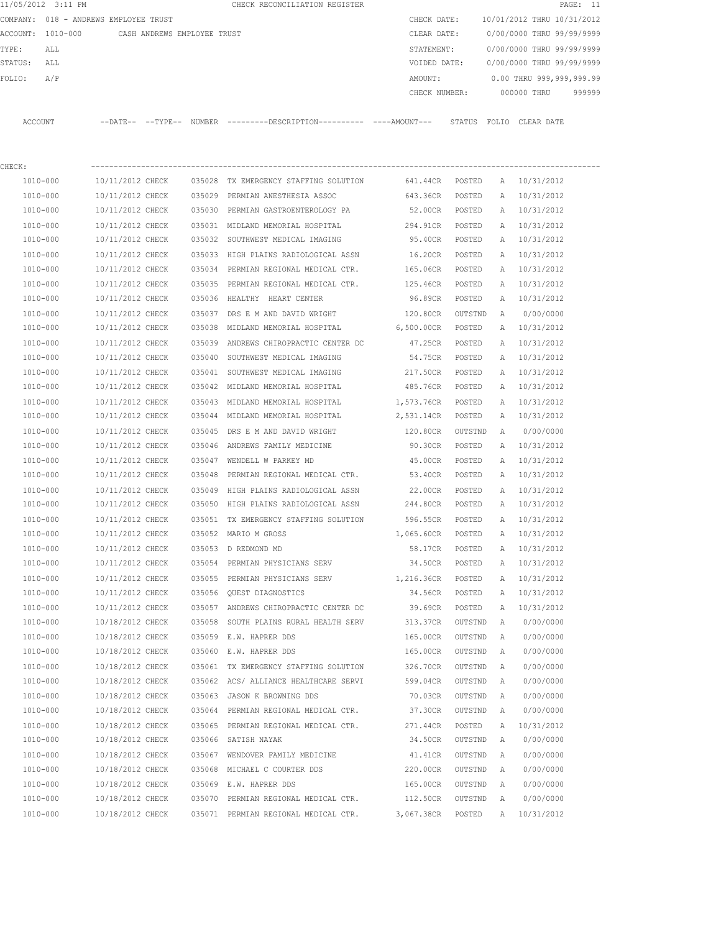|             | 11/05/2012 3:11 PM |                                               |        | CHECK RECONCILIATION REGISTER                                                               |                   |               |   |                            | PAGE: 11 |
|-------------|--------------------|-----------------------------------------------|--------|---------------------------------------------------------------------------------------------|-------------------|---------------|---|----------------------------|----------|
|             |                    | COMPANY: 018 - ANDREWS EMPLOYEE TRUST         |        |                                                                                             | CHECK DATE:       |               |   | 10/01/2012 THRU 10/31/2012 |          |
|             |                    | ACCOUNT: 1010-000 CASH ANDREWS EMPLOYEE TRUST |        |                                                                                             | CLEAR DATE:       |               |   | 0/00/0000 THRU 99/99/9999  |          |
| TYPE:       | ALL                |                                               |        |                                                                                             | STATEMENT:        |               |   | 0/00/0000 THRU 99/99/9999  |          |
| STATUS: ALL |                    |                                               |        |                                                                                             | VOIDED DATE:      |               |   | 0/00/0000 THRU 99/99/9999  |          |
| FOLIO:      | A/P                |                                               |        |                                                                                             | AMOUNT:           |               |   | 0.00 THRU 999,999,999.99   |          |
|             |                    |                                               |        |                                                                                             | CHECK NUMBER:     |               |   | 000000 THRU                | 999999   |
| ACCOUNT     |                    |                                               |        | --DATE-- --TYPE-- NUMBER --------DESCRIPTION---------- ----AMOUNT--- STATUS FOLIO CLEARDATE |                   |               |   |                            |          |
| CHECK:      |                    |                                               |        |                                                                                             |                   |               |   |                            |          |
|             | 1010-000           | 10/11/2012 CHECK                              |        | 035028 TX EMERGENCY STAFFING SOLUTION                                                       | 641.44CR POSTED   |               |   | A 10/31/2012               |          |
|             | 1010-000           | 10/11/2012 CHECK                              | 035029 | PERMIAN ANESTHESIA ASSOC                                                                    | 643.36CR          | POSTED        | A | 10/31/2012                 |          |
|             | 1010-000           | 10/11/2012 CHECK                              |        | 035030 PERMIAN GASTROENTEROLOGY PA                                                          | 52.00CR           | POSTED        |   | A 10/31/2012               |          |
|             | 1010-000           | 10/11/2012 CHECK                              |        | 035031 MIDLAND MEMORIAL HOSPITAL                                                            | 294.91CR          | POSTED        |   | A 10/31/2012               |          |
|             | 1010-000           | 10/11/2012 CHECK                              |        | 035032 SOUTHWEST MEDICAL IMAGING                                                            | 95.40CR           | POSTED        | A | 10/31/2012                 |          |
|             | 1010-000           | 10/11/2012 CHECK                              |        | 035033 HIGH PLAINS RADIOLOGICAL ASSN                                                        | 16.20CR           | POSTED        | A | 10/31/2012                 |          |
|             | 1010-000           | 10/11/2012 CHECK                              |        | 035034 PERMIAN REGIONAL MEDICAL CTR.                                                        | 165.06CR          | POSTED        | Α | 10/31/2012                 |          |
|             | 1010-000           | 10/11/2012 CHECK                              |        | 035035 PERMIAN REGIONAL MEDICAL CTR.                                                        | 125.46CR          | POSTED        | Α | 10/31/2012                 |          |
|             | 1010-000           | 10/11/2012 CHECK                              |        | 035036 HEALTHY HEART CENTER                                                                 | 96.89CR           | POSTED        |   | A 10/31/2012               |          |
|             | 1010-000           | 10/11/2012 CHECK                              |        | 035037 DRS E M AND DAVID WRIGHT                                                             | 120.80CR          | OUTSTND       | A | 0/00/0000                  |          |
|             | 1010-000           | 10/11/2012 CHECK                              |        | 035038 MIDLAND MEMORIAL HOSPITAL                                                            | 6,500.00CR        | POSTED        |   | A 10/31/2012               |          |
|             | 1010-000           | 10/11/2012 CHECK                              | 035039 | ANDREWS CHIROPRACTIC CENTER DC                                                              | 47.25CR           | POSTED        | A | 10/31/2012                 |          |
|             | 1010-000           | 10/11/2012 CHECK                              |        | 035040 SOUTHWEST MEDICAL IMAGING                                                            | 54.75CR           | POSTED        | A | 10/31/2012                 |          |
|             | 1010-000           | 10/11/2012 CHECK                              |        | 035041 SOUTHWEST MEDICAL IMAGING                                                            | 217.50CR          | POSTED        |   | A 10/31/2012               |          |
|             | 1010-000           | 10/11/2012 CHECK                              |        | 035042 MIDLAND MEMORIAL HOSPITAL                                                            | 485.76CR          | POSTED        |   | A 10/31/2012               |          |
|             | 1010-000           | 10/11/2012 CHECK                              |        | 035043 MIDLAND MEMORIAL HOSPITAL                                                            | 1,573.76CR        | POSTED        | Α | 10/31/2012                 |          |
|             | 1010-000           | 10/11/2012 CHECK                              |        | 035044 MIDLAND MEMORIAL HOSPITAL                                                            | 2,531.14CR POSTED |               |   | A 10/31/2012               |          |
|             | 1010-000           | 10/11/2012 CHECK                              | 035045 | DRS E M AND DAVID WRIGHT                                                                    | 120.80CR          | OUTSTND       | A | 0/00/0000                  |          |
|             | 1010-000           | 10/11/2012 CHECK                              |        | 035046 ANDREWS FAMILY MEDICINE                                                              | 90.30CR           | POSTED        | A | 10/31/2012                 |          |
|             | 1010-000           | 10/11/2012 CHECK                              |        | 035047 WENDELL W PARKEY MD                                                                  | 45.00CR           | POSTED        | Α | 10/31/2012                 |          |
|             | 1010-000           | 10/11/2012 CHECK                              |        | 035048 PERMIAN REGIONAL MEDICAL CTR.                                                        | 53.40CR           | POSTED        |   | A 10/31/2012               |          |
|             | 1010-000           | 10/11/2012 CHECK                              |        | 035049 HIGH PLAINS RADIOLOGICAL ASSN                                                        | 22.00CR           | POSTED        | A | 10/31/2012                 |          |
|             | 1010-000           | 10/11/2012 CHECK                              |        | 035050 HIGH PLAINS RADIOLOGICAL ASSN                                                        | 244.80CR          | POSTED        |   | A 10/31/2012               |          |
|             | 1010-000           | 10/11/2012 CHECK                              |        | 035051 TX EMERGENCY STAFFING SOLUTION                                                       | 596.55CR          | POSTED        | Α | 10/31/2012                 |          |
|             | 1010-000           | 10/11/2012 CHECK                              |        | 035052 MARIO M GROSS                                                                        | 1,065.60CR        | POSTED        | Α | 10/31/2012                 |          |
|             | 1010-000           | 10/11/2012 CHECK                              |        | 035053 D REDMOND MD                                                                         | 58.17CR           | POSTED        | Α | 10/31/2012                 |          |
|             | 1010-000           | 10/11/2012 CHECK                              |        | 035054 PERMIAN PHYSICIANS SERV                                                              | 34.50CR           | $\tt{POSTED}$ | Α | 10/31/2012                 |          |
|             | 1010-000           | 10/11/2012 CHECK                              |        | 035055 PERMIAN PHYSICIANS SERV 1,216.36CR                                                   |                   | POSTED        | Α | 10/31/2012                 |          |
|             | 1010-000           | 10/11/2012 CHECK                              |        | 035056 QUEST DIAGNOSTICS                                                                    | 34.56CR           | POSTED        | Α | 10/31/2012                 |          |
|             | 1010-000           | 10/11/2012 CHECK                              |        | 035057 ANDREWS CHIROPRACTIC CENTER DC                                                       | 39.69CR           | POSTED        | Α | 10/31/2012                 |          |
|             | 1010-000           | 10/18/2012 CHECK                              |        | 035058 SOUTH PLAINS RURAL HEALTH SERV                                                       | 313.37CR          | OUTSTND       | А | 0/00/0000                  |          |
|             | 1010-000           | 10/18/2012 CHECK                              |        | 035059 E.W. HAPRER DDS                                                                      | 165.00CR          | OUTSTND       | Α | 0/00/0000                  |          |
|             | 1010-000           | 10/18/2012 CHECK                              |        | 035060 E.W. HAPRER DDS                                                                      | 165.00CR          | OUTSTND       | А | 0/00/0000                  |          |
|             | 1010-000           | 10/18/2012 CHECK                              |        | 035061 TX EMERGENCY STAFFING SOLUTION                                                       | 326.70CR          | OUTSTND       | A | 0/00/0000                  |          |
|             | 1010-000           | 10/18/2012 CHECK                              |        | 035062 ACS/ ALLIANCE HEALTHCARE SERVI                                                       | 599.04CR          | OUTSTND       | A | 0/00/0000                  |          |
|             | 1010-000           | 10/18/2012 CHECK                              |        | 035063 JASON K BROWNING DDS                                                                 | 70.03CR           | OUTSTND       | А | 0/00/0000                  |          |
|             | 1010-000           | 10/18/2012 CHECK                              |        | 035064 PERMIAN REGIONAL MEDICAL CTR.                                                        | 37.30CR           | OUTSTND       | А | 0/00/0000                  |          |
|             | 1010-000           | 10/18/2012 CHECK                              |        | 035065 PERMIAN REGIONAL MEDICAL CTR.                                                        | 271.44CR          | POSTED        | Α | 10/31/2012                 |          |
|             | 1010-000           | 10/18/2012 CHECK                              |        | 035066 SATISH NAYAK                                                                         | 34.50CR           | OUTSTND       | A | 0/00/0000                  |          |
|             |                    |                                               |        |                                                                                             |                   |               |   |                            |          |

 1010-000 10/18/2012 CHECK 035067 WENDOVER FAMILY MEDICINE 41.41CR OUTSTND A 0/00/0000 1010-000 10/18/2012 CHECK 035068 MICHAEL C COURTER DDS 220.00CR OUTSTND A 0/00/0000 1010-000 10/18/2012 CHECK 035069 E.W. HAPRER DDS 165.00CR OUTSTND A 0/00/0000<br>1010-000 10/18/2012 CHECK 035070 PERMIAN REGIONAL MEDICAL CTR. 112.50CR OUTSTND A 0/00/0000 1010-000 10/18/2012 CHECK 035070 PERMIAN REGIONAL MEDICAL CTR. 112.50CR OUTSTND A 0/00/0000 1010-000 10/18/2012 CHECK 035071 PERMIAN REGIONAL MEDICAL CTR. 3,067.38CR POSTED A 10/31/2012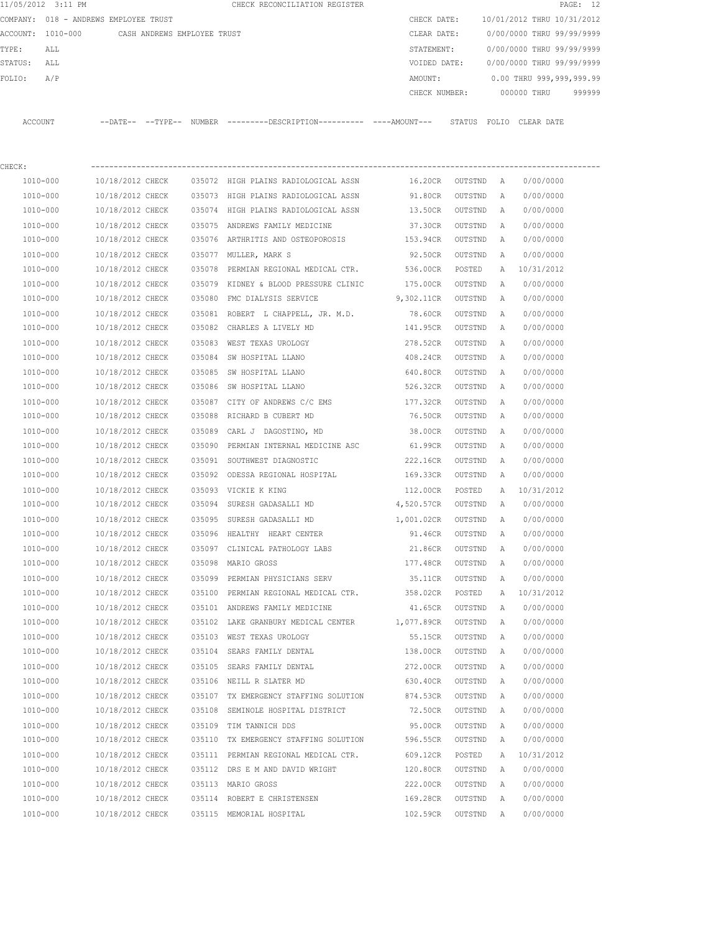| 11/05/2012 3:11 PM |                                       |        | CHECK RECONCILIATION REGISTER                                                              |                 |         |              |                            | PAGE: 12 |
|--------------------|---------------------------------------|--------|--------------------------------------------------------------------------------------------|-----------------|---------|--------------|----------------------------|----------|
|                    | COMPANY: 018 - ANDREWS EMPLOYEE TRUST |        |                                                                                            | CHECK DATE:     |         |              | 10/01/2012 THRU 10/31/2012 |          |
| ACCOUNT: 1010-000  | CASH ANDREWS EMPLOYEE TRUST           |        |                                                                                            | CLEAR DATE:     |         |              | 0/00/0000 THRU 99/99/9999  |          |
| TYPE:<br>ALL       |                                       |        |                                                                                            | STATEMENT:      |         |              | 0/00/0000 THRU 99/99/9999  |          |
| STATUS:<br>ALL     |                                       |        |                                                                                            | VOIDED DATE:    |         |              | 0/00/0000 THRU 99/99/9999  |          |
| A/P<br>FOLIO:      |                                       |        |                                                                                            | AMOUNT:         |         |              | 0.00 THRU 999,999,999.99   |          |
|                    |                                       |        |                                                                                            | CHECK NUMBER:   |         |              | 000000 THRU                | 999999   |
| ACCOUNT            |                                       |        | --DATE-- --TYPE-- NUMBER --------DESCRIPTION--------- ----AMOUNT--- STATUS FOLIO CLEARDATE |                 |         |              |                            |          |
| CHECK:             |                                       |        |                                                                                            |                 |         |              |                            |          |
| 1010-000           | 10/18/2012 CHECK                      |        | 035072 HIGH PLAINS RADIOLOGICAL ASSN                                                       | 16.20CR OUTSTND |         | A            | 0/00/0000                  |          |
| 1010-000           | 10/18/2012 CHECK                      |        | 035073 HIGH PLAINS RADIOLOGICAL ASSN                                                       | 91.80CR         | OUTSTND | A            | 0/00/0000                  |          |
| 1010-000           | 10/18/2012 CHECK                      |        | 035074 HIGH PLAINS RADIOLOGICAL ASSN                                                       | 13.50CR         | OUTSTND | A            | 0/00/0000                  |          |
| 1010-000           | 10/18/2012 CHECK                      |        | 035075 ANDREWS FAMILY MEDICINE                                                             | 37.30CR         | OUTSTND | A            | 0/00/0000                  |          |
| 1010-000           | 10/18/2012 CHECK                      |        | 035076 ARTHRITIS AND OSTEOPOROSIS                                                          | 153.94CR        | OUTSTND | A            | 0/00/0000                  |          |
| 1010-000           | 10/18/2012 CHECK                      |        | 035077 MULLER, MARK S                                                                      | 92.50CR         | OUTSTND | A            | 0/00/0000                  |          |
| 1010-000           | 10/18/2012 CHECK                      | 035078 | PERMIAN REGIONAL MEDICAL CTR. 536.00CR                                                     |                 | POSTED  | Α            | 10/31/2012                 |          |
| 1010-000           | 10/18/2012 CHECK                      |        | 035079 KIDNEY & BLOOD PRESSURE CLINIC 175.00CR                                             |                 | OUTSTND | A            | 0/00/0000                  |          |
| 1010-000           | 10/18/2012 CHECK                      |        | 035080 FMC DIALYSIS SERVICE                                                                | 9,302.11CR      | OUTSTND | A            | 0/00/0000                  |          |
| 1010-000           | 10/18/2012 CHECK                      |        | 035081 ROBERT L CHAPPELL, JR. M.D. 78.60CR                                                 |                 | OUTSTND | $\mathbb{A}$ | 0/00/0000                  |          |
| 1010-000           | 10/18/2012 CHECK                      |        | 035082 CHARLES A LIVELY MD                                                                 | 141.95CR        | OUTSTND | Α            | 0/00/0000                  |          |
| 1010-000           | 10/18/2012 CHECK                      |        | 035083 WEST TEXAS UROLOGY                                                                  | 278.52CR        | OUTSTND | Α            | 0/00/0000                  |          |
| 1010-000           | 10/18/2012 CHECK                      |        | 035084 SW HOSPITAL LLANO                                                                   | 408.24CR        | OUTSTND | Α            | 0/00/0000                  |          |
| 1010-000           | 10/18/2012 CHECK                      |        | 035085 SW HOSPITAL LLANO                                                                   | 640.80CR        | OUTSTND | Α            | 0/00/0000                  |          |
| 1010-000           | 10/18/2012 CHECK                      |        | 035086 SW HOSPITAL LLANO                                                                   | 526.32CR        | OUTSTND | Α            | 0/00/0000                  |          |
| 1010-000           | 10/18/2012 CHECK                      |        | 035087 CITY OF ANDREWS C/C EMS                                                             | 177.32CR        | OUTSTND | A            | 0/00/0000                  |          |
| 1010-000           | 10/18/2012 CHECK                      |        | 035088 RICHARD B CUBERT MD                                                                 | 76.50CR         | OUTSTND | Α            | 0/00/0000                  |          |
| 1010-000           | 10/18/2012 CHECK                      | 035089 | CARL J DAGOSTINO, MD                                                                       | 38.00CR         | OUTSTND | Α            | 0/00/0000                  |          |
| 1010-000           | 10/18/2012 CHECK                      | 035090 | PERMIAN INTERNAL MEDICINE ASC                                                              | 61.99CR         | OUTSTND | A            | 0/00/0000                  |          |
| 1010-000           | 10/18/2012 CHECK                      |        | 035091 SOUTHWEST DIAGNOSTIC                                                                | 222.16CR        | OUTSTND | A            | 0/00/0000                  |          |
| 1010-000           | 10/18/2012 CHECK                      |        | 035092 ODESSA REGIONAL HOSPITAL                                                            | 169.33CR        | OUTSTND | A            | 0/00/0000                  |          |
| 1010-000           | 10/18/2012 CHECK                      |        | 035093 VICKIE K KING                                                                       | 112.00CR        | POSTED  | A            | 10/31/2012                 |          |
| 1010-000           | 10/18/2012 CHECK                      |        | 035094 SURESH GADASALLI MD                                                                 | 4,520.57CR      | OUTSTND | A            | 0/00/0000                  |          |
| 1010-000           | 10/18/2012 CHECK                      |        | 035095 SURESH GADASALLI MD                                                                 | 1,001.02CR      | OUTSTND | A            | 0/00/0000                  |          |
| 1010-000           | 10/18/2012 CHECK                      |        | 035096 HEALTHY HEART CENTER                                                                | 91.46CR         | OUTSTND | Α            | 0/00/0000                  |          |
| 1010-000           | 10/18/2012 CHECK                      |        | 035097 CLINICAL PATHOLOGY LABS                                                             | 21.86CR         | OUTSTND | A            | 0/00/0000                  |          |
| 1010-000           | 10/18/2012 CHECK                      |        | 035098 MARIO GROSS                                                                         | 177.48CR        | OUTSTND | Α            | 0/00/0000                  |          |
| 1010-000           | 10/18/2012 CHECK                      |        | 035099 PERMIAN PHYSICIANS SERV                                                             | 35.11CR         | OUTSTND | Α            | 0/00/0000                  |          |
| 1010-000           | 10/18/2012 CHECK                      |        | 035100 PERMIAN REGIONAL MEDICAL CTR.                                                       | 358.02CR        | POSTED  | Α            | 10/31/2012                 |          |
| $1010 - 000$       | 10/18/2012 CHECK                      |        | 035101 ANDREWS FAMILY MEDICINE                                                             | 41.65CR         | OUTSTND | Α            | 0/00/0000                  |          |
| 1010-000           | 10/18/2012 CHECK                      |        | 035102 LAKE GRANBURY MEDICAL CENTER                                                        | 1,077.89CR      | OUTSTND | Α            | 0/00/0000                  |          |
| $1010 - 000$       | 10/18/2012 CHECK                      |        | 035103 WEST TEXAS UROLOGY                                                                  | 55.15CR         | OUTSTND | Α            | 0/00/0000                  |          |
| 1010-000           | 10/18/2012 CHECK                      |        | 035104 SEARS FAMILY DENTAL                                                                 | 138.00CR        | OUTSTND | Α            | 0/00/0000                  |          |
| 1010-000           | 10/18/2012 CHECK                      |        | 035105 SEARS FAMILY DENTAL                                                                 | 272.00CR        | OUTSTND | Α            | 0/00/0000                  |          |
| 1010-000           | 10/18/2012 CHECK                      |        | 035106 NEILL R SLATER MD                                                                   | 630.40CR        | OUTSTND | Α            | 0/00/0000                  |          |
| 1010-000           | 10/18/2012 CHECK                      | 035107 | TX EMERGENCY STAFFING SOLUTION                                                             | 874.53CR        | OUTSTND | Α            | 0/00/0000                  |          |
| 1010-000           | 10/18/2012 CHECK                      |        | 035108 SEMINOLE HOSPITAL DISTRICT                                                          | 72.50CR         | OUTSTND | Α            | 0/00/0000                  |          |
| 1010-000           | 10/18/2012 CHECK                      |        | 035109 TIM TANNICH DDS                                                                     | 95.00CR         | OUTSTND | Α            | 0/00/0000                  |          |
| 1010-000           | 10/18/2012 CHECK                      |        | 035110 TX EMERGENCY STAFFING SOLUTION                                                      | 596.55CR        | OUTSTND | Α            | 0/00/0000                  |          |
| 1010-000           | 10/18/2012 CHECK                      |        | 035111 PERMIAN REGIONAL MEDICAL CTR.                                                       | 609.12CR        | POSTED  | Α            | 10/31/2012                 |          |
| 1010-000           | 10/18/2012 CHECK                      |        | 035112 DRS E M AND DAVID WRIGHT                                                            | 120.80CR        | OUTSTND | Α            | 0/00/0000                  |          |
| 1010-000           | 10/18/2012 CHECK                      |        | 035113 MARIO GROSS                                                                         | 222.00CR        | OUTSTND | Α            | 0/00/0000                  |          |
| 1010-000           | 10/18/2012 CHECK                      |        | 035114 ROBERT E CHRISTENSEN                                                                | 169.28CR        | OUTSTND | Α            | 0/00/0000                  |          |
| 1010-000           | 10/18/2012 CHECK                      |        | 035115 MEMORIAL HOSPITAL                                                                   | 102.59CR        | OUTSTND | A            | 0/00/0000                  |          |
|                    |                                       |        |                                                                                            |                 |         |              |                            |          |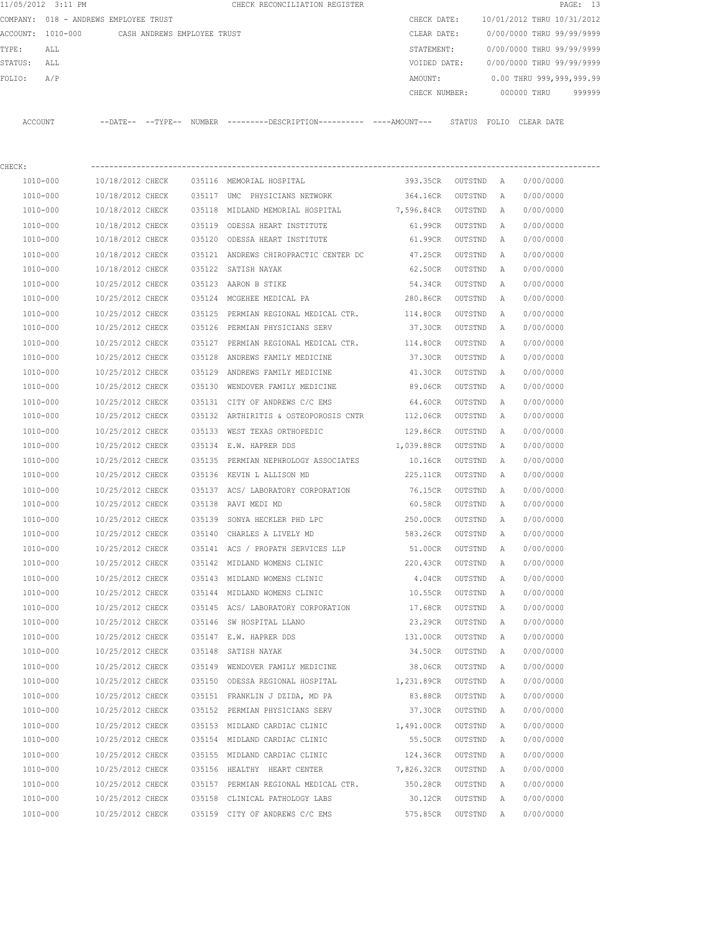|          | 11/05/2012 3:11 PM           |                        |                             |     | CHECK RECONCILIATION REGISTER                 |  |               |                |              |                            | PAGE: 13 |
|----------|------------------------------|------------------------|-----------------------------|-----|-----------------------------------------------|--|---------------|----------------|--------------|----------------------------|----------|
| COMPANY: | 018 - ANDREWS EMPLOYEE TRUST |                        |                             |     |                                               |  | CHECK DATE:   |                |              | 10/01/2012 THRU 10/31/2012 |          |
| ACCOUNT: | 1010-000                     |                        | CASH ANDREWS EMPLOYEE TRUST |     |                                               |  | CLEAR DATE:   |                |              | 0/00/0000 THRU 99/99/9999  |          |
| TYPE:    | ALL                          |                        |                             |     |                                               |  | STATEMENT:    |                |              | 0/00/0000 THRU 99/99/9999  |          |
| STATUS:  | ALL                          |                        |                             |     |                                               |  | VOIDED DATE:  |                |              | 0/00/0000 THRU 99/99/9999  |          |
| FOLIO:   | A/P                          |                        |                             |     |                                               |  | AMOUNT:       |                |              | 0.00 THRU 999,999,999.99   |          |
|          |                              |                        |                             |     |                                               |  | CHECK NUMBER: |                |              | 000000 THRU                | 999999   |
| ACCOUNT  |                              | $---DATF------TYPF---$ | <b>NUMBER</b>               |     | ---------DESCRIPTION----------- ----AMOUNT--- |  |               | STATUS         | FOLIO        | CLEAR DATE                 |          |
| CHECK:   |                              |                        |                             |     |                                               |  |               |                |              |                            |          |
|          | 1010-000                     | 10/18/2012 CHECK       | 035116                      |     | MEMORIAL HOSPITAL                             |  | 393.35CR      | OUTSTND        | $\mathbb{A}$ | 0/00/0000                  |          |
| 1010-000 |                              | 10/18/2012 CHECK       | 035117                      | UMC | PHYSICIANS NETWORK                            |  | 364.16CR      | OUTSTND        | A            | 0/00/0000                  |          |
|          | $1010 - 000$                 | 10/18/2012 CHECK       | 035118                      |     | MIDLAND MEMORIAL HOSPITAL                     |  | 7.596.84CR    | <b>OUTSTND</b> | A            | 0/00/0000                  |          |

| 1010-000     | 10/18/2012 CHECK |        | 035118 MIDLAND MEMORIAL HOSPITAL      | 7,596.84CR       | OUTSTND | А             | 0/00/0000 |
|--------------|------------------|--------|---------------------------------------|------------------|---------|---------------|-----------|
| 1010-000     | 10/18/2012 CHECK |        | 035119 ODESSA HEART INSTITUTE         | 61.99CR          | OUTSTND | A             | 0/00/0000 |
| 1010-000     | 10/18/2012 CHECK |        | 035120 ODESSA HEART INSTITUTE         | 61.99CR          | OUTSTND | Α             | 0/00/0000 |
| 1010-000     | 10/18/2012 CHECK |        | 035121 ANDREWS CHIROPRACTIC CENTER DC | 47.25CR          | OUTSTND | A             | 0/00/0000 |
| 1010-000     | 10/18/2012 CHECK |        | 035122 SATISH NAYAK                   | 62.50CR          | OUTSTND | $\mathbb{A}$  | 0/00/0000 |
| 1010-000     | 10/25/2012 CHECK |        | 035123 AARON B STIKE                  | 54.34CR          | OUTSTND | A             | 0/00/0000 |
| 1010-000     | 10/25/2012 CHECK |        | 035124 MCGEHEE MEDICAL PA             | 280.86CR         | OUTSTND | Α             | 0/00/0000 |
| $1010 - 000$ | 10/25/2012 CHECK |        | 035125 PERMIAN REGIONAL MEDICAL CTR.  | 114.80CR         | OUTSTND | A             | 0/00/0000 |
| 1010-000     | 10/25/2012 CHECK |        | 035126 PERMIAN PHYSICIANS SERV        | 37.30CR          | OUTSTND | $\Delta$      | 0/00/0000 |
| 1010-000     | 10/25/2012 CHECK | 035127 | PERMIAN REGIONAL MEDICAL CTR.         | 114.80CR         | OUTSTND | $\mathbb{A}$  | 0/00/0000 |
| 1010-000     | 10/25/2012 CHECK |        | 035128 ANDREWS FAMILY MEDICINE        | 37.30CR          | OUTSTND | Α             | 0/00/0000 |
| 1010-000     | 10/25/2012 CHECK |        | 035129 ANDREWS FAMILY MEDICINE        | 41.30CR          | OUTSTND | $\mathbb{A}$  | 0/00/0000 |
| 1010-000     | 10/25/2012 CHECK |        | 035130 WENDOVER FAMILY MEDICINE       | 89.06CR          | OUTSTND | $\mathcal{A}$ | 0/00/0000 |
| $1010 - 000$ | 10/25/2012 CHECK |        | 035131 CITY OF ANDREWS C/C EMS        | 64.60CR          | OUTSTND | A             | 0/00/0000 |
| 1010-000     | 10/25/2012 CHECK |        | 035132 ARTHIRITIS & OSTEOPOROSIS CNTR | 112.06CR         | OUTSTND | A             | 0/00/0000 |
| 1010-000     | 10/25/2012 CHECK |        | 035133 WEST TEXAS ORTHOPEDIC          | 129.86CR         | OUTSTND | Α             | 0/00/0000 |
| 1010-000     | 10/25/2012 CHECK |        | 035134 E.W. HAPRER DDS                | 1,039.88CR       | OUTSTND | $\mathcal{A}$ | 0/00/0000 |
| 1010-000     | 10/25/2012 CHECK |        | 035135 PERMIAN NEPHROLOGY ASSOCIATES  | 10.16CR OUTSTND  |         | $\Delta$      | 0/00/0000 |
| 1010-000     | 10/25/2012 CHECK |        | 035136 KEVIN L ALLISON MD             | 225.11CR         | OUTSTND | $\mathcal{A}$ | 0/00/0000 |
| 1010-000     | 10/25/2012 CHECK |        | 035137 ACS/ LABORATORY CORPORATION    | 76.15CR          | OUTSTND | Α             | 0/00/0000 |
| 1010-000     | 10/25/2012 CHECK |        | 035138 RAVI MEDI MD                   | 60.58CR          | OUTSTND | Α             | 0/00/0000 |
| 1010-000     | 10/25/2012 CHECK |        | 035139 SONYA HECKLER PHD LPC          | 250.00CR         | OUTSTND | A             | 0/00/0000 |
| 1010-000     | 10/25/2012 CHECK |        | 035140 CHARLES A LIVELY MD            | 583.26CR         | OUTSTND | A             | 0/00/0000 |
| 1010-000     | 10/25/2012 CHECK |        | 035141 ACS / PROPATH SERVICES LLP     | 51.00CR          | OUTSTND | A             | 0/00/0000 |
| 1010-000     | 10/25/2012 CHECK |        | 035142 MIDLAND WOMENS CLINIC          | 220.43CR         | OUTSTND | A             | 0/00/0000 |
| 1010-000     | 10/25/2012 CHECK |        | 035143 MIDLAND WOMENS CLINIC          | 4.04CR           | OUTSTND | Α             | 0/00/0000 |
| 1010-000     | 10/25/2012 CHECK |        | 035144 MIDLAND WOMENS CLINIC          | 10.55CR          | OUTSTND | A             | 0/00/0000 |
| 1010-000     | 10/25/2012 CHECK |        | 035145 ACS/ LABORATORY CORPORATION    | 17.68CR          | OUTSTND | A             | 0/00/0000 |
| 1010-000     | 10/25/2012 CHECK |        | 035146 SW HOSPITAL LLANO              | 23.29CR          | OUTSTND | A             | 0/00/0000 |
| 1010-000     | 10/25/2012 CHECK |        | 035147 E.W. HAPRER DDS                | 131.00CR         | OUTSTND | Α             | 0/00/0000 |
| 1010-000     | 10/25/2012 CHECK |        | 035148 SATISH NAYAK                   | 34.50CR          | OUTSTND | A             | 0/00/0000 |
| 1010-000     | 10/25/2012 CHECK |        | 035149 WENDOVER FAMILY MEDICINE       | 38.06CR          | OUTSTND | A             | 0/00/0000 |
| 1010-000     | 10/25/2012 CHECK |        | 035150 ODESSA REGIONAL HOSPITAL       | 1,231.89CR       | OUTSTND | Α             | 0/00/0000 |
| 1010-000     | 10/25/2012 CHECK |        | 035151 FRANKLIN J DZIDA, MD PA        | 83.88CR          | OUTSTND | A             | 0/00/0000 |
| 1010-000     | 10/25/2012 CHECK |        | 035152 PERMIAN PHYSICIANS SERV        | 37.30CR          | OUTSTND | Α             | 0/00/0000 |
| 1010-000     | 10/25/2012 CHECK |        | 035153 MIDLAND CARDIAC CLINIC         | 1,491.00CR       | OUTSTND | A             | 0/00/0000 |
| 1010-000     | 10/25/2012 CHECK |        | 035154 MIDLAND CARDIAC CLINIC         | 55.50CR          | OUTSTND | Α             | 0/00/0000 |
| 1010-000     | 10/25/2012 CHECK |        | 035155 MIDLAND CARDIAC CLINIC         | 124.36CR OUTSTND |         | A             | 0/00/0000 |
| 1010-000     | 10/25/2012 CHECK |        | 035156 HEALTHY HEART CENTER           | 7,826.32CR       | OUTSTND | A             | 0/00/0000 |
| 1010-000     | 10/25/2012 CHECK |        | 035157 PERMIAN REGIONAL MEDICAL CTR.  | 350.28CR         | OUTSTND | Α             | 0/00/0000 |
| 1010-000     | 10/25/2012 CHECK |        | 035158 CLINICAL PATHOLOGY LABS        | 30.12CR          | OUTSTND | Α             | 0/00/0000 |
| 1010-000     | 10/25/2012 CHECK |        | 035159 CITY OF ANDREWS C/C EMS        | 575.85CR         | OUTSTND | $\Delta$      | 0/00/0000 |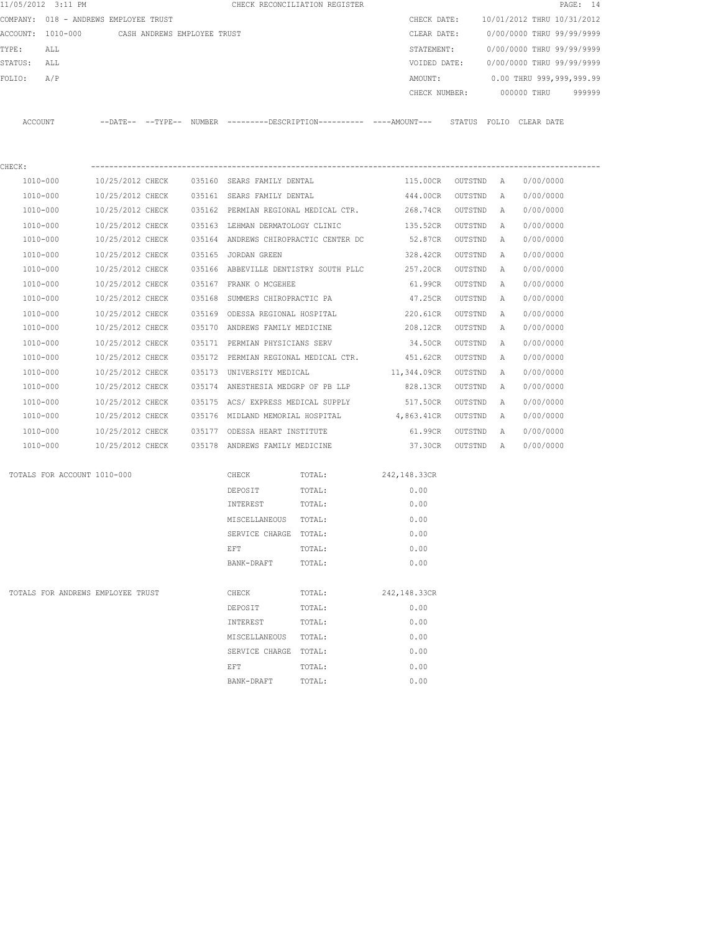| 11/05/2012 3:11 PM                    |                             |        |                                      | CHECK RECONCILIATION REGISTER                                                               |                    |         |   |                            | PAGE: 14 |
|---------------------------------------|-----------------------------|--------|--------------------------------------|---------------------------------------------------------------------------------------------|--------------------|---------|---|----------------------------|----------|
| COMPANY: 018 - ANDREWS EMPLOYEE TRUST |                             |        |                                      |                                                                                             | CHECK DATE:        |         |   | 10/01/2012 THRU 10/31/2012 |          |
| ACCOUNT: 1010-000                     | CASH ANDREWS EMPLOYEE TRUST |        |                                      |                                                                                             | CLEAR DATE:        |         |   | 0/00/0000 THRU 99/99/9999  |          |
| TYPE:<br>ALL                          |                             |        |                                      |                                                                                             | STATEMENT:         |         |   | 0/00/0000 THRU 99/99/9999  |          |
| STATUS:<br>ALL                        |                             |        |                                      |                                                                                             | VOIDED DATE:       |         |   | 0/00/0000 THRU 99/99/9999  |          |
| FOLIO:<br>A/P                         |                             |        |                                      |                                                                                             | AMOUNT:            |         |   | 0.00 THRU 999,999,999.99   |          |
|                                       |                             |        |                                      |                                                                                             | CHECK NUMBER:      |         |   | 000000 THRU                | 999999   |
| ACCOUNT                               |                             |        |                                      | --DATE-- --TYPE-- NUMBER --------DESCRIPTION--------- ----AMOUNT--- STATUS FOLIO CLEAR-DATE |                    |         |   |                            |          |
|                                       |                             |        |                                      |                                                                                             |                    |         |   |                            |          |
| CHECK:                                |                             |        |                                      |                                                                                             |                    |         |   |                            |          |
| 1010-000                              | 10/25/2012 CHECK            |        | 035160 SEARS FAMILY DENTAL           |                                                                                             | 115.00CR OUTSTND A |         |   | 0/00/0000                  |          |
| 1010-000                              | 10/25/2012 CHECK            |        | 035161 SEARS FAMILY DENTAL           |                                                                                             | 444.00CR           | OUTSTND | A | 0/00/0000                  |          |
| 1010-000                              | 10/25/2012 CHECK            |        |                                      | 035162 PERMIAN REGIONAL MEDICAL CTR.                                                        | 268.74CR           | OUTSTND | A | 0/00/0000                  |          |
| 1010-000                              | 10/25/2012 CHECK            |        | 035163 LEHMAN DERMATOLOGY CLINIC     |                                                                                             | 135.52CR           | OUTSTND | A | 0/00/0000                  |          |
| 1010-000                              | 10/25/2012 CHECK            |        |                                      | 035164 ANDREWS CHIROPRACTIC CENTER DC                                                       | 52.87CR            | OUTSTND | A | 0/00/0000                  |          |
| 1010-000                              | 10/25/2012 CHECK            |        | 035165 JORDAN GREEN                  |                                                                                             | 328.42CR           | OUTSTND | А | 0/00/0000                  |          |
| 1010-000                              | 10/25/2012 CHECK            |        |                                      | 035166 ABBEVILLE DENTISTRY SOUTH PLLC 257.20CR                                              |                    | OUTSTND | A | 0/00/0000                  |          |
| 1010-000                              | 10/25/2012 CHECK            |        | 035167 FRANK O MCGEHEE               |                                                                                             | 61.99CR            | OUTSTND | А | 0/00/0000                  |          |
| 1010-000                              | 10/25/2012 CHECK            |        | 035168 SUMMERS CHIROPRACTIC PA       |                                                                                             | 47.25CR            | OUTSTND | A | 0/00/0000                  |          |
| 1010-000                              | 10/25/2012 CHECK            |        | 035169 ODESSA REGIONAL HOSPITAL      |                                                                                             | 220.61CR           | OUTSTND | А | 0/00/0000                  |          |
| 1010-000                              | 10/25/2012 CHECK            |        | 035170 ANDREWS FAMILY MEDICINE       |                                                                                             | 208.12CR           | OUTSTND | A | 0/00/0000                  |          |
| 1010-000                              | 10/25/2012 CHECK            |        | 035171 PERMIAN PHYSICIANS SERV       |                                                                                             | 34.50CR            | OUTSTND | A | 0/00/0000                  |          |
| 1010-000                              | 10/25/2012 CHECK            |        | 035172 PERMIAN REGIONAL MEDICAL CTR. |                                                                                             | 451.62CR           | OUTSTND | A | 0/00/0000                  |          |
| 1010-000                              | 10/25/2012 CHECK            |        | 035173 UNIVERSITY MEDICAL            |                                                                                             | 11,344.09CR        | OUTSTND | А | 0/00/0000                  |          |
| 1010-000                              | 10/25/2012 CHECK            |        | 035174 ANESTHESIA MEDGRP OF PB LLP   |                                                                                             | 828.13CR           | OUTSTND | A | 0/00/0000                  |          |
| 1010-000                              | 10/25/2012 CHECK            |        | 035175 ACS/ EXPRESS MEDICAL SUPPLY   |                                                                                             | 517.50CR           | OUTSTND | A | 0/00/0000                  |          |
| 1010-000                              | 10/25/2012 CHECK            | 035176 | MIDLAND MEMORIAL HOSPITAL            |                                                                                             | 4,863.41CR         | OUTSTND | A | 0/00/0000                  |          |
| 1010-000                              | 10/25/2012 CHECK            |        | 035177 ODESSA HEART INSTITUTE        |                                                                                             | 61.99CR            | OUTSTND | A | 0/00/0000                  |          |
| 1010-000                              | 10/25/2012 CHECK            |        | 035178 ANDREWS FAMILY MEDICINE       |                                                                                             | 37.30CR            | OUTSTND | A | 0/00/0000                  |          |
| TOTALS FOR ACCOUNT 1010-000           |                             |        | CHECK                                | TOTAL:                                                                                      | 242,148.33CR       |         |   |                            |          |
|                                       |                             |        | DEPOSIT                              | TOTAL:                                                                                      | 0.00               |         |   |                            |          |
|                                       |                             |        | INTEREST                             | TOTAL:                                                                                      | 0.00               |         |   |                            |          |
|                                       |                             |        | MISCELLANEOUS                        | TOTAL:                                                                                      | 0.00               |         |   |                            |          |
|                                       |                             |        | SERVICE CHARGE TOTAL:                |                                                                                             | 0.00               |         |   |                            |          |
|                                       |                             |        | EFT                                  | TOTAL:                                                                                      | 0.00               |         |   |                            |          |
|                                       |                             |        | BANK-DRAFT                           | TOTAL:                                                                                      | 0.00               |         |   |                            |          |
| TOTALS FOR ANDREWS EMPLOYEE TRUST     |                             |        | CHECK                                | TOTAL:                                                                                      | 242,148.33CR       |         |   |                            |          |
|                                       |                             |        | DEPOSIT                              | TOTAL:                                                                                      | 0.00               |         |   |                            |          |
|                                       |                             |        | INTEREST                             | TOTAL:                                                                                      | 0.00               |         |   |                            |          |
|                                       |                             |        | MISCELLANEOUS                        | TOTAL:                                                                                      | 0.00               |         |   |                            |          |
|                                       |                             |        | SERVICE CHARGE TOTAL:                |                                                                                             | 0.00               |         |   |                            |          |
|                                       |                             |        | EFT                                  | TOTAL:                                                                                      | 0.00               |         |   |                            |          |
|                                       |                             |        | BANK-DRAFT                           | TOTAL:                                                                                      | 0.00               |         |   |                            |          |
|                                       |                             |        |                                      |                                                                                             |                    |         |   |                            |          |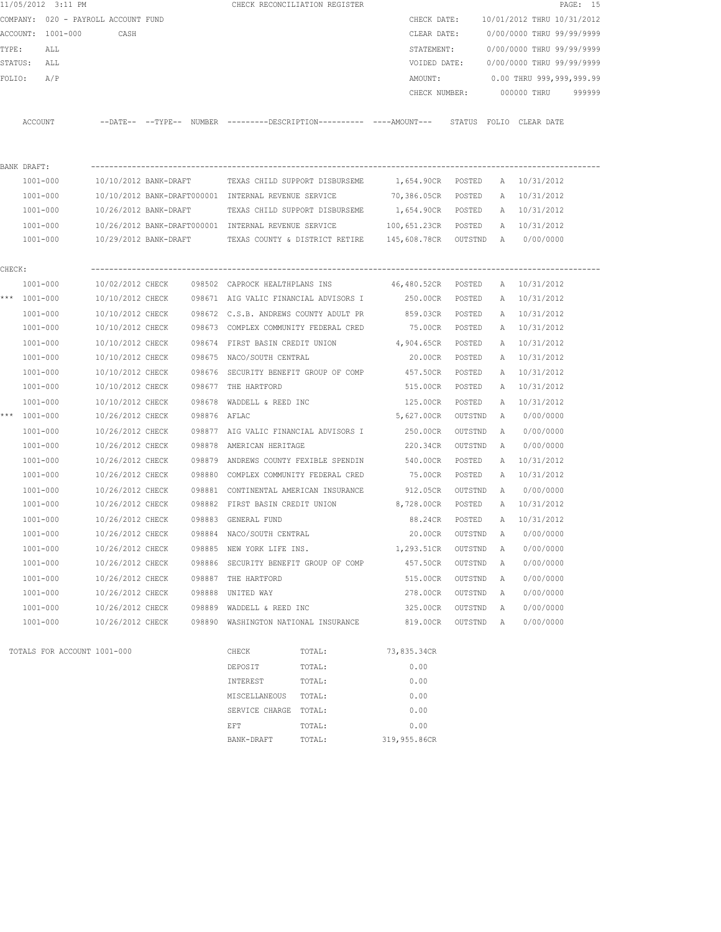|        | 11/05/2012 3:11 PM                  |                  |              |                           | CHECK RECONCILIATION REGISTER                                                               |                                   |                |   |                                        | PAGE: 15 |
|--------|-------------------------------------|------------------|--------------|---------------------------|---------------------------------------------------------------------------------------------|-----------------------------------|----------------|---|----------------------------------------|----------|
|        | COMPANY: 020 - PAYROLL ACCOUNT FUND |                  |              |                           |                                                                                             | CHECK DATE:                       |                |   | 10/01/2012 THRU 10/31/2012             |          |
|        | ACCOUNT: 1001-000                   | CASH             |              |                           |                                                                                             | CLEAR DATE:                       |                |   | 0/00/0000 THRU 99/99/9999              |          |
| TYPE:  | ALL                                 |                  |              |                           |                                                                                             | STATEMENT:                        |                |   | 0/00/0000 THRU 99/99/9999              |          |
|        | STATUS: ALL                         |                  |              |                           |                                                                                             |                                   |                |   | VOIDED DATE: 0/00/0000 THRU 99/99/9999 |          |
|        | FOLIO: A/P                          |                  |              |                           |                                                                                             | AMOUNT:                           |                |   | $0.00$ THRU 999,999,999.99             |          |
|        |                                     |                  |              |                           |                                                                                             |                                   |                |   | CHECK NUMBER: 000000 THRU 999999       |          |
|        |                                     |                  |              |                           |                                                                                             |                                   |                |   |                                        |          |
|        | ACCOUNT                             |                  |              |                           | --DATE-- --TYPE-- NUMBER --------DESCRIPTION---------- ---AMOUNT--- STATUS FOLIO CLEAR-DATE |                                   |                |   |                                        |          |
|        |                                     |                  |              |                           |                                                                                             |                                   |                |   |                                        |          |
|        |                                     |                  |              |                           |                                                                                             |                                   |                |   |                                        |          |
|        | BANK DRAFT:                         |                  |              |                           |                                                                                             |                                   |                |   |                                        |          |
|        | 1001-000                            |                  |              |                           | 10/10/2012 BANK-DRAFT TEXAS CHILD SUPPORT DISBURSEME                                        | 1,654.90CR POSTED A 10/31/2012    |                |   |                                        |          |
|        | 1001-000                            |                  |              |                           | 10/10/2012 BANK-DRAFT000001 INTERNAL REVENUE SERVICE 70,386.05CR POSTED                     |                                   |                |   | A 10/31/2012                           |          |
|        | 1001-000                            |                  |              |                           | 10/26/2012 BANK-DRAFT TEXAS CHILD SUPPORT DISBURSEME                                        | 1,654.90CR POSTED A 10/31/2012    |                |   |                                        |          |
|        | 1001-000                            |                  |              |                           | 10/26/2012 BANK-DRAFT000001 INTERNAL REVENUE SERVICE 100,651.23CR POSTED                    |                                   |                |   | A 10/31/2012                           |          |
|        | 1001-000                            |                  |              |                           | 10/29/2012 BANK-DRAFT TEXAS COUNTY & DISTRICT RETIRE 145,608.78CR OUTSTND A 0/00/0000       |                                   |                |   |                                        |          |
|        |                                     |                  |              |                           |                                                                                             |                                   |                |   |                                        |          |
| CHECK: |                                     |                  |              |                           | 098502 CAPROCK HEALTHPLANS INS 46,480.52CR POSTED                                           |                                   |                |   |                                        |          |
|        | 1001-000<br>*** 1001-000            | 10/02/2012 CHECK |              |                           | 10/10/2012 CHECK 098671 AIG VALIC FINANCIAL ADVISORS I 250.00CR POSTED                      |                                   |                |   | A 10/31/2012<br>A 10/31/2012           |          |
|        |                                     | 10/10/2012 CHECK |              |                           |                                                                                             |                                   |                |   | A 10/31/2012                           |          |
|        | 1001-000<br>1001-000                | 10/10/2012 CHECK |              |                           | 098672 C.S.B. ANDREWS COUNTY ADULT PR<br>098673 COMPLEX COMMUNITY FEDERAL CRED              | 859.03CR POSTED<br>75.00CR POSTED |                |   | A 10/31/2012                           |          |
|        | 1001-000                            | 10/10/2012 CHECK |              |                           | 098674 FIRST BASIN CREDIT UNION                                                             |                                   | POSTED         |   | A 10/31/2012                           |          |
|        | 1001-000                            | 10/10/2012 CHECK |              | 098675 NACO/SOUTH CENTRAL |                                                                                             | 4,904.65CR<br>20.00CR             | POSTED         |   | A 10/31/2012                           |          |
|        | 1001-000                            | 10/10/2012 CHECK |              |                           | 098676 SECURITY BENEFIT GROUP OF COMP                                                       | 457.50CR                          | POSTED         | A | 10/31/2012                             |          |
|        | 1001-000                            | 10/10/2012 CHECK |              | 098677 THE HARTFORD       |                                                                                             | 515.00CR                          | POSTED         | A | 10/31/2012                             |          |
|        | 1001-000                            | 10/10/2012 CHECK |              | 098678 WADDELL & REED INC |                                                                                             | 125.00CR                          | POSTED         |   | A 10/31/2012                           |          |
|        | *** $1001 - 000$                    | 10/26/2012 CHECK | 098876 AFLAC |                           |                                                                                             | 5,627.00CR                        | OUTSTND        | A | 0/00/0000                              |          |
|        | 1001-000                            | 10/26/2012 CHECK |              |                           | 098877 AIG VALIC FINANCIAL ADVISORS I 250.00CR                                              |                                   | OUTSTND        | A | 0/00/0000                              |          |
|        | 1001-000                            | 10/26/2012 CHECK |              | 098878 AMERICAN HERITAGE  |                                                                                             | 220.34CR                          | OUTSTND        | A | 0/00/0000                              |          |
|        | 1001-000                            | 10/26/2012 CHECK |              |                           | 098879 ANDREWS COUNTY FEXIBLE SPENDIN                                                       | 540.00CR                          | POSTED         | A | 10/31/2012                             |          |
|        | 1001-000                            | 10/26/2012 CHECK |              |                           | 098880 COMPLEX COMMUNITY FEDERAL CRED                                                       | 75.00CR                           | POSTED         |   | A 10/31/2012                           |          |
|        | 1001-000                            | 10/26/2012 CHECK |              |                           | 098881 CONTINENTAL AMERICAN INSURANCE                                                       | 912.05CR OUTSTND                  |                | A | 0/00/0000                              |          |
|        | 1001-000                            |                  |              |                           | 10/26/2012 CHECK 098882 FIRST BASIN CREDIT UNION                                            | 8,728.00CR POSTED                 |                |   | A 10/31/2012                           |          |
|        | 1001-000                            | 10/26/2012 CHECK |              | 098883 GENERAL FUND       |                                                                                             |                                   | 88.24CR POSTED |   | A 10/31/2012                           |          |
|        | 1001-000                            | 10/26/2012 CHECK |              | 098884 NACO/SOUTH CENTRAL |                                                                                             | 20.00CR                           | OUTSTND        | A | 0/00/0000                              |          |
|        | 1001-000                            | 10/26/2012 CHECK |              | 098885 NEW YORK LIFE INS. |                                                                                             | 1,293.51CR                        | OUTSTND        | Α | 0/00/0000                              |          |
|        | 1001-000                            | 10/26/2012 CHECK |              |                           | 098886 SECURITY BENEFIT GROUP OF COMP                                                       | 457.50CR                          | OUTSTND        | Α | 0/00/0000                              |          |
|        | 1001-000                            | 10/26/2012 CHECK |              | 098887 THE HARTFORD       |                                                                                             | 515.00CR                          | OUTSTND        | Α | 0/00/0000                              |          |
|        | 1001-000                            | 10/26/2012 CHECK |              | 098888 UNITED WAY         |                                                                                             | 278.00CR                          | OUTSTND        | Α | 0/00/0000                              |          |
|        | 1001-000                            | 10/26/2012 CHECK |              | 098889 WADDELL & REED INC |                                                                                             | 325.00CR                          | OUTSTND        | A | 0/00/0000                              |          |
|        | $1001 - 000$                        | 10/26/2012 CHECK |              |                           | 098890 WASHINGTON NATIONAL INSURANCE                                                        | 819.00CR                          | OUTSTND A      |   | 0/00/0000                              |          |
|        | TOTALS FOR ACCOUNT 1001-000         |                  |              | CHECK                     | TOTAL:                                                                                      | 73,835.34CR                       |                |   |                                        |          |
|        |                                     |                  |              | DEPOSIT                   | TOTAL:                                                                                      | 0.00                              |                |   |                                        |          |
|        |                                     |                  |              | INTEREST                  | TOTAL:                                                                                      | 0.00                              |                |   |                                        |          |

| DEPOSIT        | TOTAL: | 0.00         |
|----------------|--------|--------------|
| INTEREST       | TOTAL: | 0.00         |
| MISCELLANEOUS  | TOTAL: | 0.00         |
| SERVICE CHARGE | TOTAL: | 0.00         |
| EFT            | TOTAL: | 0.00         |
| BANK-DRAFT     | TOTAL: | 319,955.86CR |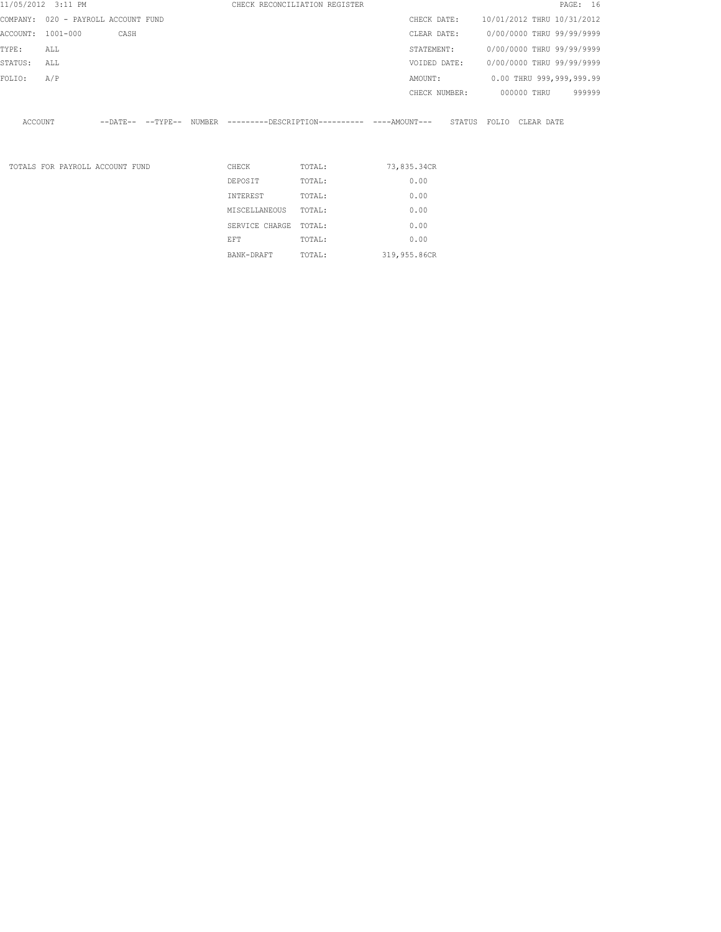| 11/05/2012 3:11 PM                  |                                 |      |  |                | CHECK RECONCILIATION REGISTER                                                                |             |               |                            |             | PAGE: 16 |
|-------------------------------------|---------------------------------|------|--|----------------|----------------------------------------------------------------------------------------------|-------------|---------------|----------------------------|-------------|----------|
| COMPANY: 020 - PAYROLL ACCOUNT FUND |                                 |      |  |                |                                                                                              |             | CHECK DATE:   | 10/01/2012 THRU 10/31/2012 |             |          |
| ACCOUNT: 1001-000                   |                                 | CASH |  |                |                                                                                              |             | CLEAR DATE:   | 0/00/0000 THRU 99/99/9999  |             |          |
| TYPE:                               | ALL                             |      |  |                |                                                                                              |             | STATEMENT:    | 0/00/0000 THRU 99/99/9999  |             |          |
| STATUS:                             | ALL                             |      |  |                |                                                                                              |             | VOIDED DATE:  | 0/00/0000 THRU 99/99/9999  |             |          |
| FOLIO:                              | A/P                             |      |  |                |                                                                                              | AMOUNT:     |               | 0.00 THRU 999,999,999.99   |             |          |
|                                     |                                 |      |  |                |                                                                                              |             | CHECK NUMBER: |                            | 000000 THRU | 999999   |
| ACCOUNT                             |                                 |      |  |                | --DATE-- --TYPE-- NUMBER --------DESCRIPTION---------- ----AMOUNT--- STATUS FOLIO CLEAR-DATE |             |               |                            |             |          |
|                                     | TOTALS FOR PAYROLL ACCOUNT FUND |      |  | CHECK          | TOTAL:                                                                                       | 73,835.34CR |               |                            |             |          |
|                                     |                                 |      |  | DEPOSIT        | TOTAL:                                                                                       | 0.00        |               |                            |             |          |
|                                     |                                 |      |  | INTEREST       | TOTAL:                                                                                       | 0.00        |               |                            |             |          |
|                                     |                                 |      |  | MISCELLANEOUS  | TOTAL:                                                                                       | 0.00        |               |                            |             |          |
|                                     |                                 |      |  | SERVICE CHARGE | TOTAL:                                                                                       | 0.00        |               |                            |             |          |
|                                     |                                 |      |  | EFT            | TOTAL:                                                                                       | 0.00        |               |                            |             |          |

BANK-DRAFT TOTAL: 319,955.86CR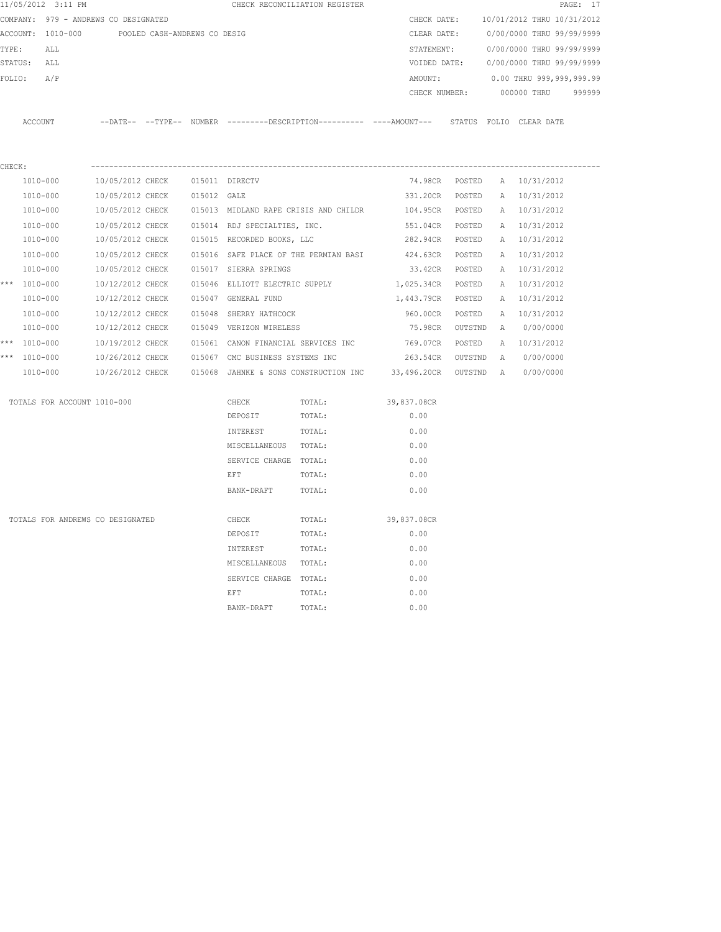|        | 11/05/2012 3:11 PM                             |                                 |  |                                                                                              | CHECK RECONCILIATION REGISTER                          |                                                                                                        |  |                                        | PAGE: 17 |
|--------|------------------------------------------------|---------------------------------|--|----------------------------------------------------------------------------------------------|--------------------------------------------------------|--------------------------------------------------------------------------------------------------------|--|----------------------------------------|----------|
|        | COMPANY: 979 - ANDREWS CO DESIGNATED           |                                 |  |                                                                                              |                                                        |                                                                                                        |  | CHECK DATE: 10/01/2012 THRU 10/31/2012 |          |
|        | ACCOUNT: 1010-000 POOLED CASH-ANDREWS CO DESIG |                                 |  |                                                                                              |                                                        | CLEAR DATE:                                                                                            |  | 0/00/0000 THRU 99/99/9999              |          |
| TYPE:  | ALL                                            |                                 |  |                                                                                              |                                                        |                                                                                                        |  | STATEMENT: 0/00/0000 THRU 99/99/9999   |          |
|        | STATUS: ALL                                    |                                 |  |                                                                                              |                                                        |                                                                                                        |  | VOIDED DATE: 0/00/0000 THRU 99/99/9999 |          |
|        | FOLIO: A/P                                     |                                 |  |                                                                                              |                                                        | AMOUNT:                                                                                                |  | 0.00 THRU 999,999,999.99               |          |
|        |                                                |                                 |  |                                                                                              |                                                        | CHECK NUMBER:                                                                                          |  | 000000 THRU                            | 999999   |
|        | ACCOUNT                                        |                                 |  |                                                                                              |                                                        | --DATE-- --TYPE-- NUMBER --------DESCRIPTION---------- ----AMOUNT--- STATUS FOLIO CLEAR DATE           |  |                                        |          |
|        |                                                |                                 |  |                                                                                              |                                                        |                                                                                                        |  |                                        |          |
| CHECK: |                                                |                                 |  |                                                                                              |                                                        |                                                                                                        |  |                                        |          |
|        | 1010-000                                       | 10/05/2012 CHECK 015011 DIRECTV |  |                                                                                              |                                                        |                                                                                                        |  | 74.98CR POSTED A 10/31/2012            |          |
|        | 1010-000<br>1010-000                           | 10/05/2012 CHECK 015012 GALE    |  |                                                                                              |                                                        | 331.20CR POSTED<br>10/05/2012 CHECK 015013 MIDLAND RAPE CRISIS AND CHILDR 104.95CR POSTED A 10/31/2012 |  | A 10/31/2012                           |          |
|        | 1010-000                                       |                                 |  |                                                                                              |                                                        |                                                                                                        |  | 551.04CR POSTED A 10/31/2012           |          |
|        | 1010-000                                       |                                 |  | 10/05/2012 CHECK 015014 RDJ SPECIALTIES, INC.<br>10/05/2012 CHECK 015015 RECORDED BOOKS, LLC |                                                        | 282.94CR POSTED                                                                                        |  | A 10/31/2012                           |          |
|        | 1010-000                                       | 10/05/2012 CHECK                |  |                                                                                              | 015016 SAFE PLACE OF THE PERMIAN BASI                  | 424.63CR POSTED                                                                                        |  | A 10/31/2012                           |          |
|        | 1010-000                                       | 10/05/2012 CHECK                |  | 015017 SIERRA SPRINGS                                                                        |                                                        | 33.42CR POSTED                                                                                         |  | A 10/31/2012                           |          |
|        | *** 1010-000                                   | 10/12/2012 CHECK                |  | 015046 ELLIOTT ELECTRIC SUPPLY                                                               |                                                        | 1,025.34CR POSTED                                                                                      |  | A 10/31/2012                           |          |
|        | 1010-000                                       | 10/12/2012 CHECK                |  | 015047 GENERAL FUND                                                                          |                                                        | 1,443.79CR POSTED                                                                                      |  | A 10/31/2012                           |          |
|        | 1010-000                                       |                                 |  | 10/12/2012 CHECK 015048 SHERRY HATHCOCK                                                      |                                                        | 960.00CR POSTED                                                                                        |  | A 10/31/2012                           |          |
|        | 1010-000                                       |                                 |  | 10/12/2012 CHECK 015049 VERIZON WIRELESS                                                     |                                                        |                                                                                                        |  | 75.98CR OUTSTND A 0/00/0000            |          |
|        | *** 1010-000                                   | 10/19/2012 CHECK                |  |                                                                                              | 015061 CANON FINANCIAL SERVICES INC                    | 769.07CR POSTED                                                                                        |  | A 10/31/2012                           |          |
|        | *** 1010-000                                   |                                 |  | 10/26/2012 CHECK 015067 CMC BUSINESS SYSTEMS INC                                             |                                                        |                                                                                                        |  | 263.54CR OUTSTND A 0/00/0000           |          |
|        | 1010-000                                       |                                 |  |                                                                                              | 10/26/2012 CHECK 015068 JAHNKE & SONS CONSTRUCTION INC | 33,496.20CR OUTSTND A 0/00/0000                                                                        |  |                                        |          |
|        | TOTALS FOR ACCOUNT 1010-000                    |                                 |  | CHECK                                                                                        | TOTAL:                                                 | 39,837.08CR                                                                                            |  |                                        |          |
|        |                                                |                                 |  | DEPOSIT                                                                                      | TOTAL:                                                 | 0.00                                                                                                   |  |                                        |          |
|        |                                                |                                 |  | INTEREST                                                                                     | TOTAL:                                                 | 0.00                                                                                                   |  |                                        |          |
|        |                                                |                                 |  | MISCELLANEOUS TOTAL:                                                                         |                                                        | 0.00                                                                                                   |  |                                        |          |
|        |                                                |                                 |  | SERVICE CHARGE TOTAL:                                                                        |                                                        | 0.00                                                                                                   |  |                                        |          |
|        |                                                |                                 |  | EFT                                                                                          | TOTAL:                                                 | 0.00                                                                                                   |  |                                        |          |
|        |                                                |                                 |  | BANK-DRAFT                                                                                   | TOTAL:                                                 | 0.00                                                                                                   |  |                                        |          |
|        | TOTALS FOR ANDREWS CO DESIGNATED               |                                 |  | CHECK                                                                                        | TOTAL:                                                 | 39,837.08CR                                                                                            |  |                                        |          |
|        |                                                |                                 |  | DEPOSIT                                                                                      | TOTAL:                                                 | 0.00                                                                                                   |  |                                        |          |
|        |                                                |                                 |  | INTEREST                                                                                     | TOTAL:                                                 | 0.00                                                                                                   |  |                                        |          |
|        |                                                |                                 |  | MISCELLANEOUS TOTAL:                                                                         |                                                        | 0.00                                                                                                   |  |                                        |          |
|        |                                                |                                 |  | SERVICE CHARGE TOTAL:                                                                        |                                                        | 0.00                                                                                                   |  |                                        |          |
|        |                                                |                                 |  | EFT                                                                                          | TOTAL:                                                 | 0.00                                                                                                   |  |                                        |          |

BANK-DRAFT TOTAL: 0.00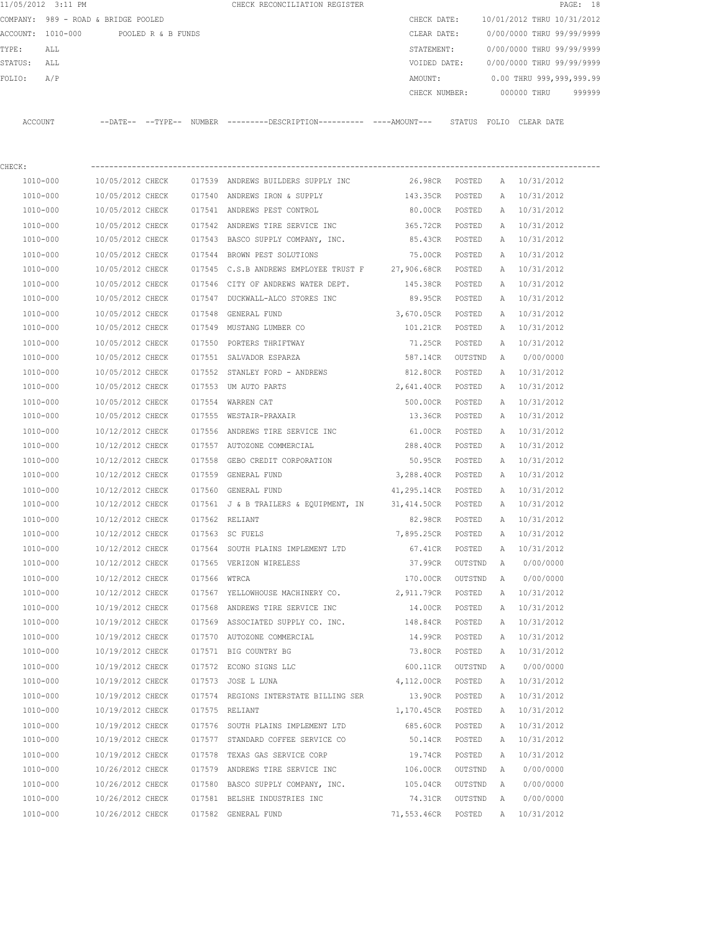|         | 11/05/2012 3:11 PM                  |                  |                    |              | CHECK RECONCILIATION REGISTER                                                              |                   |         |             |                            | PAGE: 18 |
|---------|-------------------------------------|------------------|--------------------|--------------|--------------------------------------------------------------------------------------------|-------------------|---------|-------------|----------------------------|----------|
|         | COMPANY: 989 - ROAD & BRIDGE POOLED |                  |                    |              |                                                                                            | CHECK DATE:       |         |             | 10/01/2012 THRU 10/31/2012 |          |
|         | ACCOUNT: 1010-000                   |                  | POOLED R & B FUNDS |              |                                                                                            | CLEAR DATE:       |         |             | 0/00/0000 THRU 99/99/9999  |          |
| TYPE:   | ALL                                 |                  |                    |              |                                                                                            | STATEMENT:        |         |             | 0/00/0000 THRU 99/99/9999  |          |
| STATUS: | ALL                                 |                  |                    |              |                                                                                            | VOIDED DATE:      |         |             | 0/00/0000 THRU 99/99/9999  |          |
| FOLIO:  | A/P                                 |                  |                    |              |                                                                                            | AMOUNT:           |         |             | 0.00 THRU 999,999,999.99   |          |
|         |                                     |                  |                    |              |                                                                                            | CHECK NUMBER:     |         |             | 000000 THRU                | 999999   |
|         | ACCOUNT                             |                  |                    |              | --DATE-- --TYPE-- NUMBER --------DESCRIPTION--------- ----AMOUNT--- STATUS FOLIO CLEARDATE |                   |         |             |                            |          |
|         |                                     |                  |                    |              |                                                                                            |                   |         |             |                            |          |
| CHECK:  |                                     |                  |                    |              |                                                                                            |                   |         |             |                            |          |
|         | 1010-000                            | 10/05/2012 CHECK |                    |              | 017539 ANDREWS BUILDERS SUPPLY INC                                                         | 26.98CR POSTED    |         |             | A 10/31/2012               |          |
|         | 1010-000                            | 10/05/2012 CHECK |                    |              | 017540 ANDREWS IRON & SUPPLY                                                               | 143.35CR          | POSTED  |             | A 10/31/2012               |          |
|         | 1010-000                            | 10/05/2012 CHECK |                    |              | 017541 ANDREWS PEST CONTROL                                                                | 80.00CR           | POSTED  |             | A 10/31/2012               |          |
|         | 1010-000                            | 10/05/2012 CHECK |                    |              | 017542 ANDREWS TIRE SERVICE INC                                                            | 365.72CR          | POSTED  |             | A 10/31/2012               |          |
|         | 1010-000                            | 10/05/2012 CHECK |                    |              | 017543 BASCO SUPPLY COMPANY, INC.                                                          | 85.43CR           | POSTED  |             | A 10/31/2012               |          |
|         | 1010-000                            | 10/05/2012 CHECK |                    | 017544       | BROWN PEST SOLUTIONS                                                                       | 75.00CR           | POSTED  | A           | 10/31/2012                 |          |
|         | 1010-000                            | 10/05/2012 CHECK |                    |              | 017545 C.S.B ANDREWS EMPLOYEE TRUST F 27,906.68CR                                          |                   | POSTED  |             | A 10/31/2012               |          |
|         | 1010-000                            | 10/05/2012 CHECK |                    |              | 017546 CITY OF ANDREWS WATER DEPT.                                                         | 145.38CR          | POSTED  |             | A 10/31/2012               |          |
|         | 1010-000                            | 10/05/2012 CHECK |                    |              | 017547 DUCKWALL-ALCO STORES INC                                                            | 89.95CR           | POSTED  |             | A 10/31/2012               |          |
|         | 1010-000                            | 10/05/2012 CHECK |                    |              | 017548 GENERAL FUND                                                                        | 3,670.05CR        | POSTED  | A           | 10/31/2012                 |          |
|         | 1010-000                            | 10/05/2012 CHECK |                    |              | 017549 MUSTANG LUMBER CO                                                                   | 101.21CR          | POSTED  | A           | 10/31/2012                 |          |
|         | 1010-000                            | 10/05/2012 CHECK |                    | 017550       | PORTERS THRIFTWAY                                                                          | 71.25CR           | POSTED  |             | A 10/31/2012               |          |
|         | 1010-000                            | 10/05/2012 CHECK |                    |              | 017551 SALVADOR ESPARZA                                                                    | 587.14CR          | OUTSTND | A           | 0/00/0000                  |          |
|         | 1010-000                            | 10/05/2012 CHECK |                    |              | 017552 STANLEY FORD - ANDREWS                                                              | 812.80CR          | POSTED  |             | A 10/31/2012               |          |
|         | 1010-000                            | 10/05/2012 CHECK |                    |              | 017553 UM AUTO PARTS                                                                       | 2,641.40CR        | POSTED  | А           | 10/31/2012                 |          |
|         | 1010-000                            | 10/05/2012 CHECK |                    |              | 017554 WARREN CAT                                                                          | 500.00CR          | POSTED  | A           | 10/31/2012                 |          |
|         | 1010-000                            | 10/05/2012 CHECK |                    |              | 017555 WESTAIR-PRAXAIR                                                                     | 13.36CR           | POSTED  | A           | 10/31/2012                 |          |
|         | 1010-000                            | 10/12/2012 CHECK |                    | 017556       | ANDREWS TIRE SERVICE INC                                                                   | 61.00CR           | POSTED  | A           | 10/31/2012                 |          |
|         | 1010-000                            | 10/12/2012 CHECK |                    |              | 017557 AUTOZONE COMMERCIAL                                                                 | 288.40CR          | POSTED  | A           | 10/31/2012                 |          |
|         | 1010-000                            | 10/12/2012 CHECK |                    | 017558       | GEBO CREDIT CORPORATION                                                                    | 50.95CR           | POSTED  | А           | 10/31/2012                 |          |
|         | 1010-000                            | 10/12/2012 CHECK |                    |              | 017559 GENERAL FUND                                                                        | 3,288.40CR        | POSTED  |             | A 10/31/2012               |          |
|         | 1010-000                            | 10/12/2012 CHECK |                    |              | 017560 GENERAL FUND                                                                        | 41,295.14CR       | POSTED  | A           | 10/31/2012                 |          |
|         | 1010-000                            | 10/12/2012 CHECK |                    |              | $017561$ J & B TRAILERS & EQUIPMENT, IN 31,414.50CR                                        |                   | POSTED  | A           | 10/31/2012                 |          |
|         | 1010-000                            | 10/12/2012 CHECK |                    |              | 017562 RELIANT                                                                             | 82.98CR           | POSTED  | A           | 10/31/2012                 |          |
|         | 1010-000                            | 10/12/2012 CHECK |                    |              | 017563 SC FUELS                                                                            | 7,895.25CR        | POSTED  | А           | 10/31/2012                 |          |
|         | 1010-000                            | 10/12/2012 CHECK |                    |              | 017564 SOUTH PLAINS IMPLEMENT LTD                                                          | 67.41CR           | POSTED  | Α           | 10/31/2012                 |          |
|         | 1010-000                            | 10/12/2012 CHECK |                    |              | 017565 VERIZON WIRELESS                                                                    | 37.99CR           | OUTSTND | Α           | 0/00/0000                  |          |
|         | 1010-000                            | 10/12/2012 CHECK |                    | 017566 WTRCA |                                                                                            | 170.00CR          | OUTSTND | $\mathbb A$ | 0/00/0000                  |          |
|         | 1010-000                            | 10/12/2012 CHECK |                    |              | 017567 YELLOWHOUSE MACHINERY CO.                                                           | 2,911.79CR POSTED |         | Α           | 10/31/2012                 |          |
|         | 1010-000                            | 10/19/2012 CHECK |                    |              | 017568 ANDREWS TIRE SERVICE INC                                                            | 14.00CR           | POSTED  | Α           | 10/31/2012                 |          |
|         | 1010-000                            | 10/19/2012 CHECK |                    |              | 017569 ASSOCIATED SUPPLY CO. INC.                                                          | 148.84CR          | POSTED  | Α           | 10/31/2012                 |          |
|         | 1010-000                            | 10/19/2012 CHECK |                    |              | 017570 AUTOZONE COMMERCIAL                                                                 | 14.99CR           | POSTED  | Α           | 10/31/2012                 |          |
|         | 1010-000                            | 10/19/2012 CHECK |                    |              | 017571 BIG COUNTRY BG                                                                      | 73.80CR           | POSTED  | Α           | 10/31/2012                 |          |
|         | $1010 - 000$                        | 10/19/2012 CHECK |                    |              | 017572 ECONO SIGNS LLC                                                                     | 600.11CR          | OUTSTND | Α           | 0/00/0000                  |          |
|         | 1010-000                            | 10/19/2012 CHECK |                    |              | 017573 JOSE L LUNA                                                                         | 4,112.00CR        | POSTED  | A           | 10/31/2012                 |          |
|         | 1010-000                            | 10/19/2012 CHECK |                    |              | 017574 REGIONS INTERSTATE BILLING SER                                                      | 13.90CR           | POSTED  | Α           | 10/31/2012                 |          |
|         | 1010-000                            | 10/19/2012 CHECK |                    |              | 017575 RELIANT                                                                             | 1,170.45CR        | POSTED  | Α           | 10/31/2012                 |          |
|         | 1010-000                            | 10/19/2012 CHECK |                    |              | 017576 SOUTH PLAINS IMPLEMENT LTD                                                          | 685.60CR          | POSTED  | Α           | 10/31/2012                 |          |
|         | 1010-000                            | 10/19/2012 CHECK |                    |              | 017577 STANDARD COFFEE SERVICE CO                                                          | 50.14CR           | POSTED  | Α           | 10/31/2012                 |          |
|         | 1010-000                            | 10/19/2012 CHECK |                    |              | 017578 TEXAS GAS SERVICE CORP                                                              | 19.74CR           | POSTED  | Α           | 10/31/2012                 |          |
|         | 1010-000                            | 10/26/2012 CHECK |                    |              | 017579 ANDREWS TIRE SERVICE INC                                                            | 106.00CR          | OUTSTND | A           | 0/00/0000                  |          |
|         | 1010-000                            | 10/26/2012 CHECK |                    | 017580       | BASCO SUPPLY COMPANY, INC.                                                                 | 105.04CR          | OUTSTND | Α           | 0/00/0000                  |          |
|         | 1010-000                            | 10/26/2012 CHECK |                    |              | 017581 BELSHE INDUSTRIES INC                                                               | 74.31CR           | OUTSTND | Α           | 0/00/0000                  |          |
|         | 1010-000                            | 10/26/2012 CHECK |                    |              | 017582 GENERAL FUND                                                                        | 71,553.46CR       | POSTED  | A           | 10/31/2012                 |          |
|         |                                     |                  |                    |              |                                                                                            |                   |         |             |                            |          |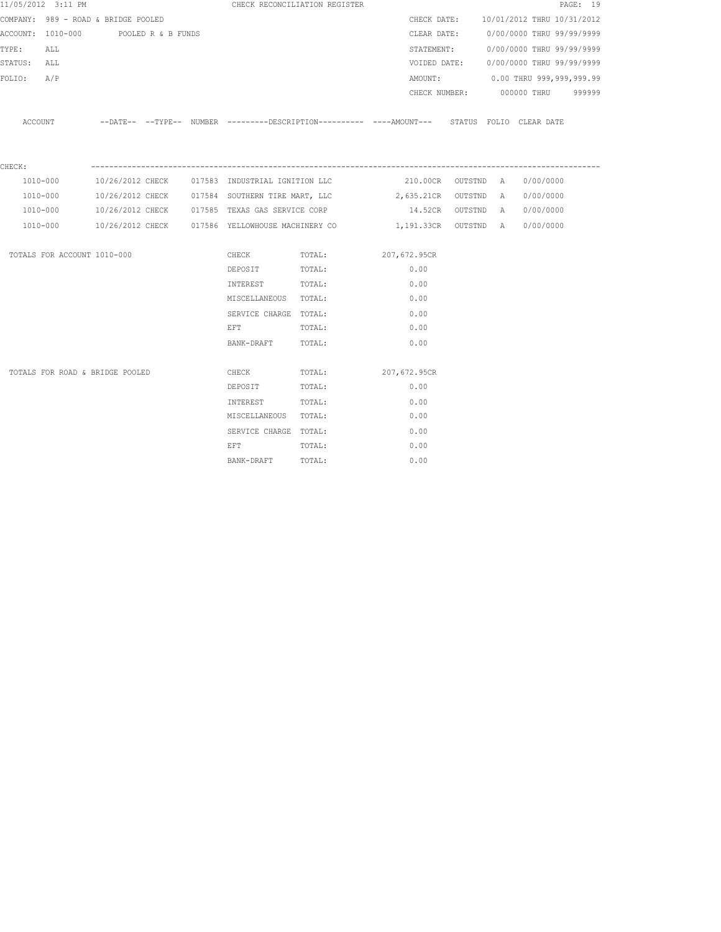| 11/05/2012 3:11 PM                   |  |                                                                                                       | CHECK RECONCILIATION REGISTER |      |  |                                        | PAGE: 19 |
|--------------------------------------|--|-------------------------------------------------------------------------------------------------------|-------------------------------|------|--|----------------------------------------|----------|
| COMPANY: 989 - ROAD & BRIDGE POOLED  |  |                                                                                                       |                               |      |  | CHECK DATE: 10/01/2012 THRU 10/31/2012 |          |
| ACCOUNT: 1010-000 POOLED R & B FUNDS |  |                                                                                                       |                               |      |  | CLEAR DATE: 0/00/0000 THRU 99/99/9999  |          |
| TYPE: ALL                            |  |                                                                                                       |                               |      |  | STATEMENT: 0/00/0000 THRU 99/99/9999   |          |
| STATUS: ALL                          |  |                                                                                                       |                               |      |  | VOIDED DATE: 0/00/0000 THRU 99/99/9999 |          |
| FOLIO: A/P                           |  |                                                                                                       |                               |      |  | AMOUNT: 0.00 THRU 999,999,999.99       |          |
|                                      |  |                                                                                                       |                               |      |  | CHECK NUMBER: 000000 THRU 999999       |          |
|                                      |  | ACCOUNT --DATE-- --TYPE-- NUMBER ---------DESCRIPTION---------- ----AMOUNT--- STATUS FOLIO CLEAR DATE |                               |      |  |                                        |          |
| CHECK:                               |  |                                                                                                       |                               |      |  |                                        |          |
|                                      |  | 1010-000 10/26/2012 CHECK 017583 INDUSTRIAL IGNITION LLC                                              |                               |      |  | 210.00CR OUTSTND A 0/00/0000           |          |
| 1010-000                             |  | 10/26/2012 CHECK 017584 SOUTHERN TIRE MART, LLC 2,635.21CR OUTSTND A 0/00/0000                        |                               |      |  |                                        |          |
| 1010-000                             |  | 10/26/2012 CHECK 017585 TEXAS GAS SERVICE CORP                                                        |                               |      |  | 14.52CR OUTSTND A 0/00/0000            |          |
|                                      |  | 1010-000 10/26/2012 CHECK 017586 YELLOWHOUSE MACHINERY CO 1,191.33CR OUTSTND A 0/00/0000              |                               |      |  |                                        |          |
| TOTALS FOR ACCOUNT 1010-000          |  |                                                                                                       | CHECK TOTAL: 207,672.95CR     |      |  |                                        |          |
|                                      |  | DEPOSIT                                                                                               | TOTAL:                        | 0.00 |  |                                        |          |
|                                      |  | INTEREST TOTAL:                                                                                       |                               | 0.00 |  |                                        |          |
|                                      |  |                                                                                                       | MISCELLANEOUS TOTAL: 0.00     |      |  |                                        |          |
|                                      |  | SERVICE CHARGE TOTAL:                                                                                 |                               | 0.00 |  |                                        |          |
|                                      |  | EFT TOTAL:                                                                                            |                               | 0.00 |  |                                        |          |
|                                      |  | BANK-DRAFT TOTAL:                                                                                     |                               | 0.00 |  |                                        |          |
| TOTALS FOR ROAD & BRIDGE POOLED      |  |                                                                                                       | CHECK TOTAL: 207,672.95CR     |      |  |                                        |          |
|                                      |  | DEPOSIT TOTAL:                                                                                        |                               | 0.00 |  |                                        |          |
|                                      |  | INTEREST TOTAL:                                                                                       |                               | 0.00 |  |                                        |          |
|                                      |  | MISCELLANEOUS TOTAL:                                                                                  |                               | 0.00 |  |                                        |          |
|                                      |  | SERVICE CHARGE TOTAL:                                                                                 |                               | 0.00 |  |                                        |          |
|                                      |  | EFT TOTAL:                                                                                            |                               | 0.00 |  |                                        |          |
|                                      |  | BANK-DRAFT TOTAL:                                                                                     |                               | 0.00 |  |                                        |          |
|                                      |  |                                                                                                       |                               |      |  |                                        |          |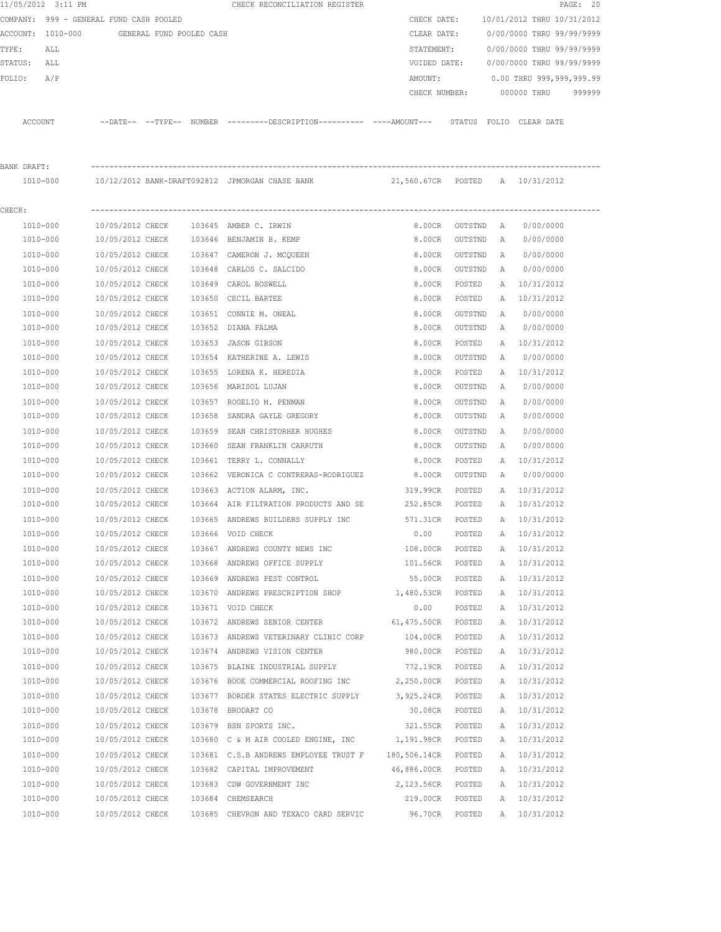|             | 11/05/2012 3:11 PM                      |                  |                          | CHECK RECONCILIATION REGISTER                                                                                               |                     |                |   |                            | PAGE: 20 |
|-------------|-----------------------------------------|------------------|--------------------------|-----------------------------------------------------------------------------------------------------------------------------|---------------------|----------------|---|----------------------------|----------|
|             | COMPANY: 999 - GENERAL FUND CASH POOLED |                  |                          |                                                                                                                             | CHECK DATE:         |                |   | 10/01/2012 THRU 10/31/2012 |          |
|             | ACCOUNT: 1010-000                       |                  | GENERAL FUND POOLED CASH |                                                                                                                             | CLEAR DATE:         |                |   | 0/00/0000 THRU 99/99/9999  |          |
| TYPE:       | ALL                                     |                  |                          |                                                                                                                             | STATEMENT:          |                |   | 0/00/0000 THRU 99/99/9999  |          |
| STATUS:     | ALL                                     |                  |                          |                                                                                                                             | VOIDED DATE:        |                |   | 0/00/0000 THRU 99/99/9999  |          |
| FOLIO:      | A/P                                     |                  |                          |                                                                                                                             | AMOUNT:             |                |   | 0.00 THRU 999,999,999.99   |          |
|             |                                         |                  |                          |                                                                                                                             | CHECK NUMBER:       |                |   | 000000 THRU                | 999999   |
|             | ACCOUNT                                 |                  |                          | --DATE-- --TYPE-- NUMBER --------DESCRIPTION--------- ----AMOUNT--- STATUS FOLIO CLEARDATE                                  |                     |                |   |                            |          |
| BANK DRAFT: |                                         |                  |                          |                                                                                                                             |                     |                |   |                            |          |
|             | 1010-000                                |                  |                          | 10/12/2012 BANK-DRAFT092812 JPMORGAN CHASE BANK                                  21,560.67CR    POSTED      A    10/31/2012 |                     |                |   |                            |          |
| CHECK:      |                                         |                  |                          |                                                                                                                             |                     |                |   |                            |          |
|             | 1010-000                                | 10/05/2012 CHECK |                          | 103645 AMBER C. IRWIN                                                                                                       |                     | 8.00CR OUTSTND | A | 0/00/0000                  |          |
|             | 1010-000                                | 10/05/2012 CHECK |                          | 103646 BENJAMIN B. KEMP                                                                                                     |                     | 8.00CR OUTSTND | A | 0/00/0000                  |          |
|             | 1010-000                                | 10/05/2012 CHECK |                          | 103647 CAMERON J. MCOUEEN                                                                                                   |                     | 8.00CR OUTSTND | A | 0/00/0000                  |          |
|             | 1010-000                                | 10/05/2012 CHECK |                          | 103648 CARLOS C. SALCIDO                                                                                                    | 8.00CR              | OUTSTND        | A | 0/00/0000                  |          |
|             | 1010-000                                | 10/05/2012 CHECK |                          | 103649 CAROL BOSWELL                                                                                                        | 8.00CR              | POSTED         |   | A 10/31/2012               |          |
|             | 1010-000                                | 10/05/2012 CHECK |                          | 103650 CECIL BARTEE                                                                                                         | 8.00CR              | POSTED         | A | 10/31/2012                 |          |
|             | 1010-000                                | 10/05/2012 CHECK |                          | 103651 CONNIE M. ONEAL                                                                                                      | 8.00CR              | OUTSTND        | A | 0/00/0000                  |          |
|             | 1010-000                                | 10/05/2012 CHECK |                          | 103652 DIANA PALMA                                                                                                          | 8.00CR              | OUTSTND        | A | 0/00/0000                  |          |
|             | 1010-000                                | 10/05/2012 CHECK |                          | 103653 JASON GIBSON                                                                                                         | 8.00CR              | POSTED         | A | 10/31/2012                 |          |
|             | 1010-000                                | 10/05/2012 CHECK |                          | 103654 KATHERINE A. LEWIS                                                                                                   | 8.00CR              | OUTSTND        | Α | 0/00/0000                  |          |
|             | 1010-000                                | 10/05/2012 CHECK |                          | 103655 LORENA K. HEREDIA                                                                                                    | 8.00CR              | POSTED         | Α | 10/31/2012                 |          |
|             | 1010-000                                | 10/05/2012 CHECK |                          | 103656 MARISOL LUJAN                                                                                                        | 8.00CR              | OUTSTND        | A | 0/00/0000                  |          |
|             | 1010-000                                | 10/05/2012 CHECK |                          | 103657 ROGELIO M. PENMAN                                                                                                    | 8.00CR              | OUTSTND        | A | 0/00/0000                  |          |
|             | 1010-000                                | 10/05/2012 CHECK |                          | 103658 SANDRA GAYLE GREGORY                                                                                                 | 8.00CR              | OUTSTND        | A | 0/00/0000                  |          |
|             | 1010-000                                | 10/05/2012 CHECK |                          | 103659 SEAN CHRISTORHER HUGHES                                                                                              | 8.00CR              | OUTSTND        | Α | 0/00/0000                  |          |
|             | 1010-000                                | 10/05/2012 CHECK |                          | 103660 SEAN FRANKLIN CARRUTH                                                                                                | 8.00CR              | OUTSTND        | A | 0/00/0000                  |          |
|             | 1010-000                                | 10/05/2012 CHECK |                          | 103661 TERRY L. CONNALLY                                                                                                    | 8.00CR              | POSTED         |   | A 10/31/2012               |          |
|             | 1010-000                                | 10/05/2012 CHECK |                          | 103662 VERONICA C CONTRERAS-RODRIGUEZ                                                                                       | 8.00CR              | OUTSTND        | A | 0/00/0000                  |          |
|             | 1010-000                                | 10/05/2012 CHECK |                          | 103663 ACTION ALARM, INC.                                                                                                   | 319.99CR            | POSTED         |   | A 10/31/2012               |          |
|             | 1010-000                                | 10/05/2012 CHECK |                          | 103664 AIR FILTRATION PRODUCTS AND SE                                                                                       | 252.85CR            | POSTED         |   | A 10/31/2012               |          |
|             | 1010-000                                | 10/05/2012 CHECK |                          | 103665 ANDREWS BUILDERS SUPPLY INC                                                                                          | 571.31CR            | POSTED         | A | 10/31/2012                 |          |
|             | 1010-000                                | 10/05/2012 CHECK |                          | 103666 VOID CHECK                                                                                                           | 0.00                | POSTED         | А | 10/31/2012                 |          |
|             | 1010-000                                | 10/05/2012 CHECK |                          | 103667 ANDREWS COUNTY NEWS INC                                                                                              | 108.00CR            | POSTED         | Α | 10/31/2012                 |          |
|             | 1010-000                                | 10/05/2012 CHECK |                          | 103668 ANDREWS OFFICE SUPPLY                                                                                                | 101.56CR            | POSTED         | Α | 10/31/2012                 |          |
|             |                                         |                  |                          |                                                                                                                             |                     |                |   | 10/31/2012                 |          |
|             | 1010-000                                | 10/05/2012 CHECK |                          | 103669 ANDREWS PEST CONTROL                                                                                                 | 55.00CR             | POSTED         | Α |                            |          |
|             | 1010-000                                | 10/05/2012 CHECK |                          | 103670 ANDREWS PRESCRIPTION SHOP                                                                                            | 1,480.53CR          | POSTED         | Α | 10/31/2012                 |          |
|             | 1010-000                                | 10/05/2012 CHECK |                          | 103671 VOID CHECK                                                                                                           | 0.00                | POSTED         | Α | 10/31/2012                 |          |
|             | 1010-000                                | 10/05/2012 CHECK |                          | 103672 ANDREWS SENIOR CENTER                                                                                                | 61,475.50CR         | POSTED         | Α | 10/31/2012                 |          |
|             | $1010 - 000$                            | 10/05/2012 CHECK |                          | 103673 ANDREWS VETERINARY CLINIC CORP                                                                                       | 104.00CR            | POSTED         | Α | 10/31/2012                 |          |
|             | 1010-000                                | 10/05/2012 CHECK |                          | 103674 ANDREWS VISION CENTER                                                                                                | 980.00CR            | POSTED         | A | 10/31/2012                 |          |
|             | $1010 - 000$                            | 10/05/2012 CHECK |                          | 103675 BLAINE INDUSTRIAL SUPPLY                                                                                             | 772.19CR            | POSTED         | Α | 10/31/2012                 |          |
|             | 1010-000                                | 10/05/2012 CHECK |                          | 103676 BOOE COMMERCIAL ROOFING INC 2,250.00CR                                                                               |                     | POSTED         | Α | 10/31/2012                 |          |
|             | 1010-000                                | 10/05/2012 CHECK |                          | 103677 BORDER STATES ELECTRIC SUPPLY 3,925.24CR                                                                             |                     | POSTED         | A | 10/31/2012                 |          |
|             | 1010-000                                | 10/05/2012 CHECK |                          | 103678 BRODART CO                                                                                                           | 30.08CR             | POSTED         | Α | 10/31/2012                 |          |
|             | 1010-000                                | 10/05/2012 CHECK |                          | 103679 BSN SPORTS INC.                                                                                                      | 321.55CR            | POSTED         | Α | 10/31/2012                 |          |
|             | 1010-000                                | 10/05/2012 CHECK |                          | 103680 C & M AIR COOLED ENGINE, INC 1,191.98CR                                                                              |                     | POSTED         | Α | 10/31/2012                 |          |
|             | 1010-000                                | 10/05/2012 CHECK |                          | 103681 C.S.B ANDREWS EMPLOYEE TRUST F                                                                                       | 180,506.14CR POSTED |                | A | 10/31/2012                 |          |
|             | 1010-000                                | 10/05/2012 CHECK |                          | 103682 CAPITAL IMPROVEMENT                                                                                                  | 46,886.00CR POSTED  |                | A | 10/31/2012                 |          |
|             | 1010-000                                | 10/05/2012 CHECK |                          | 103683 CDW GOVERNMENT INC                                                                                                   | 2,123.56CR POSTED   |                | A | 10/31/2012                 |          |
|             | 1010-000                                | 10/05/2012 CHECK |                          | 103684 CHEMSEARCH                                                                                                           | 219.00CR            | POSTED         | Α | 10/31/2012                 |          |
|             | 1010-000                                | 10/05/2012 CHECK |                          | 103685 CHEVRON AND TEXACO CARD SERVIC                                                                                       | 96.70CR             | POSTED         |   | A 10/31/2012               |          |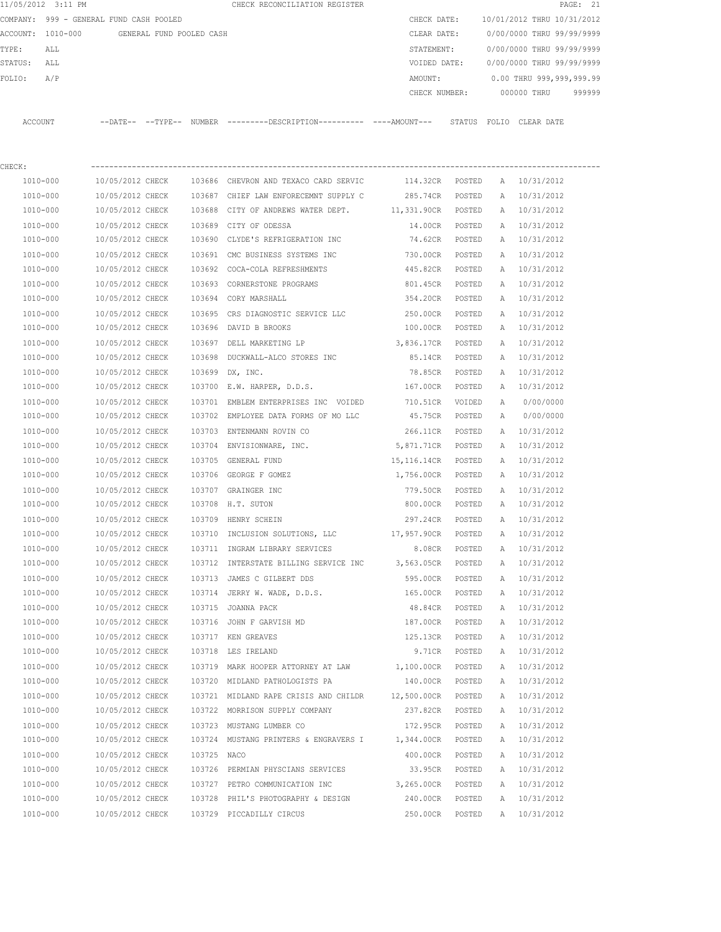|         | 11/05/2012 3:11 PM                      |                  |                          |             | CHECK RECONCILIATION REGISTER                                                               |                 |                     |   |                            | PAGE: 21 |
|---------|-----------------------------------------|------------------|--------------------------|-------------|---------------------------------------------------------------------------------------------|-----------------|---------------------|---|----------------------------|----------|
|         | COMPANY: 999 - GENERAL FUND CASH POOLED |                  |                          |             |                                                                                             | CHECK DATE:     |                     |   | 10/01/2012 THRU 10/31/2012 |          |
|         | ACCOUNT: 1010-000                       |                  | GENERAL FUND POOLED CASH |             |                                                                                             | CLEAR DATE:     |                     |   | 0/00/0000 THRU 99/99/9999  |          |
| TYPE:   | ALL                                     |                  |                          |             |                                                                                             | STATEMENT:      |                     |   | 0/00/0000 THRU 99/99/9999  |          |
| STATUS: | ALL                                     |                  |                          |             |                                                                                             | VOIDED DATE:    |                     |   | 0/00/0000 THRU 99/99/9999  |          |
| FOLIO:  | A/P                                     |                  |                          |             |                                                                                             | AMOUNT:         |                     |   | 0.00 THRU 999,999,999.99   |          |
|         |                                         |                  |                          |             |                                                                                             | CHECK NUMBER:   |                     |   | 000000 THRU                | 999999   |
|         | ACCOUNT                                 |                  |                          |             | --DATE-- --TYPE-- NUMBER ---------DESCRIPTION--------- ----AMOUNT--- STATUS FOLIO CLEARDATE |                 |                     |   |                            |          |
| CHECK:  |                                         |                  |                          |             |                                                                                             |                 |                     |   |                            |          |
|         | 1010-000                                | 10/05/2012 CHECK |                          |             | 103686 CHEVRON AND TEXACO CARD SERVIC                                                       | 114.32CR POSTED |                     |   | A 10/31/2012               |          |
|         | 1010-000                                | 10/05/2012 CHECK |                          |             | 103687 CHIEF LAW ENFORECEMNT SUPPLY C                                                       | 285.74CR POSTED |                     |   | A 10/31/2012               |          |
|         | 1010-000                                | 10/05/2012 CHECK |                          |             | 103688 CITY OF ANDREWS WATER DEPT. 11,331.90CR POSTED                                       |                 |                     |   | A 10/31/2012               |          |
|         | 1010-000                                | 10/05/2012 CHECK |                          |             | 103689 CITY OF ODESSA                                                                       | 14.00CR POSTED  |                     |   | A 10/31/2012               |          |
|         | $1010 - 000$                            | 10/05/2012 CHECK |                          |             | 103690 CLYDE'S REFRIGERATION INC                                                            | 74.62CR POSTED  |                     |   | A 10/31/2012               |          |
|         | 1010-000                                | 10/05/2012 CHECK |                          |             | 103691 CMC BUSINESS SYSTEMS INC                                                             | 730.00CR        | POSTED              | A | 10/31/2012                 |          |
|         | 1010-000                                | 10/05/2012 CHECK |                          |             | 103692 COCA-COLA REFRESHMENTS                                                               | 445.82CR        | POSTED              | A | 10/31/2012                 |          |
|         | 1010-000                                | 10/05/2012 CHECK |                          |             | 103693 CORNERSTONE PROGRAMS                                                                 | 801.45CR        | POSTED              | A | 10/31/2012                 |          |
|         | 1010-000                                | 10/05/2012 CHECK |                          |             | 103694 CORY MARSHALL                                                                        | 354.20CR        | POSTED              | A | 10/31/2012                 |          |
|         | 1010-000                                | 10/05/2012 CHECK |                          | 103695      | CRS DIAGNOSTIC SERVICE LLC                                                                  | 250.00CR        | POSTED              | A | 10/31/2012                 |          |
|         | 1010-000                                | 10/05/2012 CHECK |                          |             | 103696 DAVID B BROOKS                                                                       | 100.00CR        | POSTED              | A | 10/31/2012                 |          |
|         | 1010-000                                | 10/05/2012 CHECK |                          |             | 103697 DELL MARKETING LP                                                                    | 3,836.17CR      | POSTED              | Α | 10/31/2012                 |          |
|         | 1010-000                                | 10/05/2012 CHECK |                          |             | 103698 DUCKWALL-ALCO STORES INC                                                             | 85.14CR         | POSTED              | А | 10/31/2012                 |          |
|         | 1010-000                                | 10/05/2012 CHECK |                          |             | 103699 DX, INC.                                                                             | 78.85CR         | POSTED              | A | 10/31/2012                 |          |
|         | 1010-000                                | 10/05/2012 CHECK |                          |             | 103700 E.W. HARPER, D.D.S.                                                                  | 167.00CR        | POSTED              |   | A 10/31/2012               |          |
|         | 1010-000                                | 10/05/2012 CHECK |                          |             | 103701 EMBLEM ENTERPRISES INC VOIDED                                                        | 710.51CR        | VOIDED              | Α | 0/00/0000                  |          |
|         | 1010-000                                | 10/05/2012 CHECK |                          |             | 103702 EMPLOYEE DATA FORMS OF MO LLC                                                        | 45.75CR         | POSTED              | Α | 0/00/0000                  |          |
|         | 1010-000                                | 10/05/2012 CHECK |                          |             | 103703 ENTENMANN ROVIN CO                                                                   | 266.11CR        | POSTED              | Α | 10/31/2012                 |          |
|         | 1010-000                                | 10/05/2012 CHECK |                          |             | 103704 ENVISIONWARE, INC.                                                                   | 5,871.71CR      | POSTED              | Α | 10/31/2012                 |          |
|         | 1010-000                                | 10/05/2012 CHECK |                          | 103705      | GENERAL FUND                                                                                | 15,116.14CR     | POSTED              | Α | 10/31/2012                 |          |
|         | 1010-000                                | 10/05/2012 CHECK |                          |             | 103706 GEORGE F GOMEZ                                                                       | 1,756.00CR      | POSTED              | A | 10/31/2012                 |          |
|         | 1010-000                                | 10/05/2012 CHECK |                          |             | 103707 GRAINGER INC                                                                         | 779.50CR        | POSTED              | A | 10/31/2012                 |          |
|         | 1010-000                                | 10/05/2012 CHECK |                          |             | 103708 H.T. SUTON                                                                           | 800.00CR        | POSTED              | A | 10/31/2012                 |          |
|         | 1010-000                                | 10/05/2012 CHECK |                          |             | 103709 HENRY SCHEIN                                                                         | 297.24CR        | POSTED              |   | A 10/31/2012               |          |
|         | 1010-000                                | 10/05/2012 CHECK |                          |             | 103710 INCLUSION SOLUTIONS, LLC                                                             | 17,957.90CR     | POSTED              | Α | 10/31/2012                 |          |
|         | 1010-000                                | 10/05/2012 CHECK |                          |             | 103711 INGRAM LIBRARY SERVICES                                                              | 8.08CR          | POSTED              | Α | 10/31/2012                 |          |
|         | 1010-000                                | 10/05/2012 CHECK |                          |             | 103712 INTERSTATE BILLING SERVICE INC 3,563.05CR                                            |                 | POSTED              | Α | 10/31/2012                 |          |
|         | 1010-000                                | 10/05/2012 CHECK |                          |             | 103713 JAMES C GILBERT DDS                                                                  | 595.00CR        | POSTED              | Α | 10/31/2012                 |          |
|         | 1010-000                                | 10/05/2012 CHECK |                          |             | 103714 JERRY W. WADE, D.D.S.                                                                | 165.00CR        | POSTED              | Α | 10/31/2012                 |          |
|         | 1010-000                                | 10/05/2012 CHECK |                          |             | 103715 JOANNA PACK                                                                          | 48.84CR         | $\texttt{POSTED}{}$ | Α | 10/31/2012                 |          |
|         | 1010-000                                | 10/05/2012 CHECK |                          |             | 103716 JOHN F GARVISH MD                                                                    | 187.00CR        | POSTED              | Α | 10/31/2012                 |          |
|         | 1010-000                                | 10/05/2012 CHECK |                          |             | 103717 KEN GREAVES                                                                          | 125.13CR        | POSTED              | Α | 10/31/2012                 |          |
|         | 1010-000                                | 10/05/2012 CHECK |                          |             | 103718 LES IRELAND                                                                          | 9.71CR          | POSTED              | Α | 10/31/2012                 |          |
|         | 1010-000                                | 10/05/2012 CHECK |                          |             | 103719 MARK HOOPER ATTORNEY AT LAW 1,100.00CR                                               |                 | POSTED              | Α | 10/31/2012                 |          |
|         | 1010-000                                | 10/05/2012 CHECK |                          |             | 103720 MIDLAND PATHOLOGISTS PA                                                              | 140.00CR        | POSTED              | Α | 10/31/2012                 |          |
|         | 1010-000                                | 10/05/2012 CHECK |                          |             | 103721 MIDLAND RAPE CRISIS AND CHILDR 12,500.00CR                                           |                 | POSTED              | Α | 10/31/2012                 |          |
|         | 1010-000                                | 10/05/2012 CHECK |                          |             | 103722 MORRISON SUPPLY COMPANY                                                              | 237.82CR        | POSTED              | Α | 10/31/2012                 |          |
|         | 1010-000                                | 10/05/2012 CHECK |                          |             | 103723 MUSTANG LUMBER CO                                                                    | 172.95CR        | POSTED              | Α | 10/31/2012                 |          |
|         | 1010-000                                | 10/05/2012 CHECK |                          |             | 103724 MUSTANG PRINTERS & ENGRAVERS I 1,344.00CR                                            |                 | POSTED              | Α | 10/31/2012                 |          |
|         | 1010-000                                | 10/05/2012 CHECK |                          | 103725 NACO |                                                                                             | 400.00CR        | POSTED              | Α | 10/31/2012                 |          |
|         | 1010-000                                | 10/05/2012 CHECK |                          |             | 103726 PERMIAN PHYSCIANS SERVICES                                                           | 33.95CR POSTED  |                     | Α | 10/31/2012                 |          |
|         | 1010-000                                | 10/05/2012 CHECK |                          |             | 103727 PETRO COMMUNICATION INC                                                              | 3,265.00CR      | POSTED              | Α | 10/31/2012                 |          |
|         | 1010-000                                | 10/05/2012 CHECK |                          |             | 103728 PHIL'S PHOTOGRAPHY & DESIGN                                                          | 240.00CR POSTED |                     | Α | 10/31/2012                 |          |
|         | 1010-000                                | 10/05/2012 CHECK |                          |             | 103729 PICCADILLY CIRCUS                                                                    | 250.00CR        | POSTED              |   | A 10/31/2012               |          |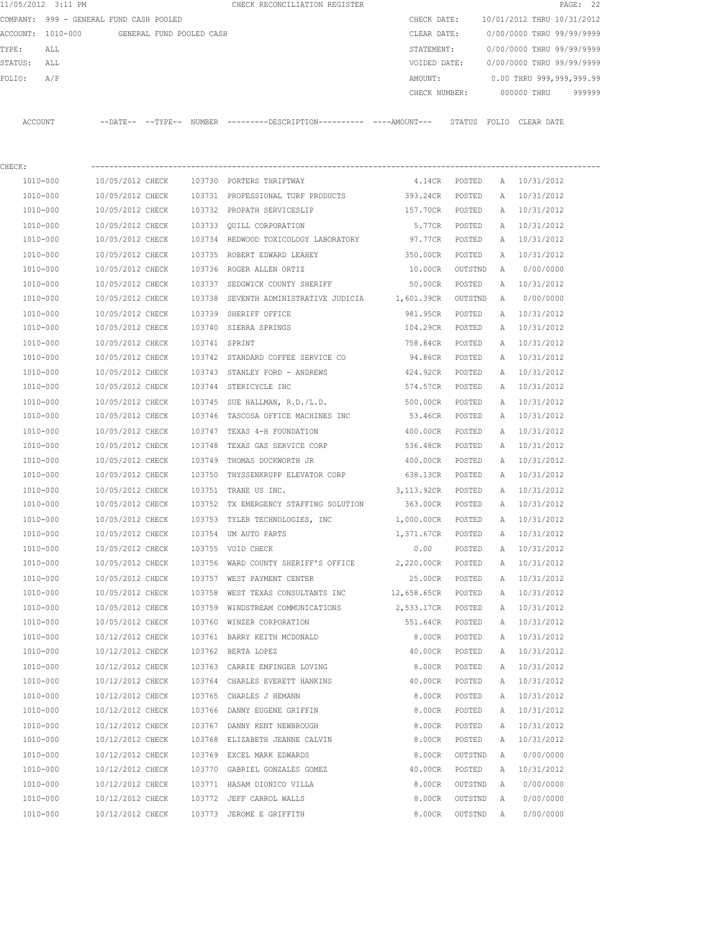| 11/05/2012 3:11 PM | CHECK RECONCILIATION REGISTER                                        |               | PAGE: 22                   |
|--------------------|----------------------------------------------------------------------|---------------|----------------------------|
|                    | COMPANY: 999 - GENERAL FUND CASH POOLED                              | CHECK DATE:   | 10/01/2012 THRU 10/31/2012 |
| ACCOUNT: 1010-000  | GENERAL FUND POOLED CASH                                             | CLEAR DATE:   | 0/00/0000 THRU 99/99/9999  |
| TYPE:<br>ALL       |                                                                      | STATEMENT:    | 0/00/0000 THRU 99/99/9999  |
| STATUS:<br>ALL     |                                                                      | VOIDED DATE:  | 0/00/0000 THRU 99/99/9999  |
| A/P<br>FOLIO:      |                                                                      | AMOUNT:       | 0.00 THRU 999,999,999.99   |
|                    |                                                                      | CHECK NUMBER: | 999999<br>000000 THRU      |
| ACCOUNT            | --DATE-- --TYPE-- NUMBER --------DESCRIPTION---------- ----AMOUNT--- | STATUS        | FOLIO CLEAR DATE           |
| CHECK:             |                                                                      |               |                            |

| 1010-000     | 10/05/2012 CHECK |               | 103730 PORTERS THRIFTWAY                         | 4.14CR          | POSTED  | A | 10/31/2012   |
|--------------|------------------|---------------|--------------------------------------------------|-----------------|---------|---|--------------|
| 1010-000     | 10/05/2012 CHECK |               | 103731 PROFESSIONAL TURF PRODUCTS                | 393.24CR        | POSTED  | A | 10/31/2012   |
| 1010-000     | 10/05/2012 CHECK |               | 103732 PROPATH SERVICESLIP                       | 157.70CR        | POSTED  | A | 10/31/2012   |
| 1010-000     | 10/05/2012 CHECK |               | 103733 OUILL CORPORATION                         | 5.77CR          | POSTED  | A | 10/31/2012   |
| 1010-000     | 10/05/2012 CHECK |               | 103734 REDWOOD TOXICOLOGY LABORATORY             | 97.77CR         | POSTED  | A | 10/31/2012   |
| 1010-000     | 10/05/2012 CHECK |               | 103735 ROBERT EDWARD LEAHEY                      | 350.00CR        | POSTED  | A | 10/31/2012   |
| 1010-000     | 10/05/2012 CHECK |               | 103736 ROGER ALLEN ORTIZ                         | 10.00CR         | OUTSTND | Α | 0/00/0000    |
| 1010-000     | 10/05/2012 CHECK |               | 103737 SEDGWICK COUNTY SHERIFF                   | 50.00CR         | POSTED  |   | A 10/31/2012 |
| 1010-000     | 10/05/2012 CHECK |               | 103738 SEVENTH ADMINISTRATIVE JUDICIA 1,601.39CR |                 | OUTSTND | A | 0/00/0000    |
| 1010-000     | 10/05/2012 CHECK |               | 103739 SHERIFF OFFICE                            | 981.95CR        | POSTED  | A | 10/31/2012   |
| 1010-000     | 10/05/2012 CHECK |               | 103740 SIERRA SPRINGS                            | 104.29CR        | POSTED  | A | 10/31/2012   |
| 1010-000     | 10/05/2012 CHECK | 103741 SPRINT |                                                  | 758.84CR        | POSTED  | A | 10/31/2012   |
| 1010-000     | 10/05/2012 CHECK |               | 103742 STANDARD COFFEE SERVICE CO                | 94.86CR         | POSTED  | A | 10/31/2012   |
| 1010-000     | 10/05/2012 CHECK |               | 103743 STANLEY FORD - ANDREWS                    | 424.92CR POSTED |         | A | 10/31/2012   |
| 1010-000     | 10/05/2012 CHECK |               | 103744 STERICYCLE INC                            | 574.57CR POSTED |         | A | 10/31/2012   |
| 1010-000     | 10/05/2012 CHECK |               | 103745 SUE HALLMAN, R.D./L.D.                    | 500.00CR        | POSTED  | A | 10/31/2012   |
| 1010-000     | 10/05/2012 CHECK |               | 103746 TASCOSA OFFICE MACHINES INC               | 53.46CR         | POSTED  | A | 10/31/2012   |
| 1010-000     | 10/05/2012 CHECK |               | 103747 TEXAS 4-H FOUNDATION                      | 400.00CR        | POSTED  | Α | 10/31/2012   |
| 1010-000     | 10/05/2012 CHECK |               | 103748 TEXAS GAS SERVICE CORP                    | 536.48CR        | POSTED  | A | 10/31/2012   |
| 1010-000     | 10/05/2012 CHECK |               | 103749 THOMAS DUCKWORTH JR                       | 400.00CR        | POSTED  | Α | 10/31/2012   |
| 1010-000     | 10/05/2012 CHECK |               | 103750 THYSSENKRUPP ELEVATOR CORP                | 638.13CR        | POSTED  | A | 10/31/2012   |
| 1010-000     | 10/05/2012 CHECK |               | 103751 TRANE US INC.                             | 3,113.92CR      | POSTED  | A | 10/31/2012   |
| 1010-000     | 10/05/2012 CHECK |               | 103752 TX EMERGENCY STAFFING SOLUTION            | 363.00CR        | POSTED  | A | 10/31/2012   |
| 1010-000     | 10/05/2012 CHECK |               | 103753 TYLER TECHNOLOGIES, INC                   | 1,000.00CR      | POSTED  | A | 10/31/2012   |
| 1010-000     | 10/05/2012 CHECK |               | 103754 UM AUTO PARTS                             | 1,371.67CR      | POSTED  | A | 10/31/2012   |
| 1010-000     | 10/05/2012 CHECK |               | 103755 VOID CHECK                                | 0.00            | POSTED  | A | 10/31/2012   |
| 1010-000     | 10/05/2012 CHECK |               | 103756 WARD COUNTY SHERIFF'S OFFICE              | 2,220.00CR      | POSTED  | A | 10/31/2012   |
| 1010-000     | 10/05/2012 CHECK |               | 103757 WEST PAYMENT CENTER                       | 25.00CR         | POSTED  | A | 10/31/2012   |
| 1010-000     | 10/05/2012 CHECK |               | 103758 WEST TEXAS CONSULTANTS INC 12,658.65CR    |                 | POSTED  | A | 10/31/2012   |
| 1010-000     | 10/05/2012 CHECK |               | 103759 WINDSTREAM COMMUNICATIONS 2,533.17CR      |                 | POSTED  | A | 10/31/2012   |
| 1010-000     | 10/05/2012 CHECK |               | 103760 WINZER CORPORATION                        | 551.64CR        | POSTED  | A | 10/31/2012   |
| 1010-000     | 10/12/2012 CHECK |               | 103761 BARRY KEITH MCDONALD                      | 8.00CR          | POSTED  | A | 10/31/2012   |
| 1010-000     | 10/12/2012 CHECK |               | 103762 BERTA LOPEZ                               | 40.00CR         | POSTED  | A | 10/31/2012   |
| 1010-000     | 10/12/2012 CHECK |               | 103763 CARRIE EMFINGER LOVING                    | 8.00CR          | POSTED  | A | 10/31/2012   |
| 1010-000     | 10/12/2012 CHECK |               | 103764 CHARLES EVERETT HANKINS                   | 40.00CR POSTED  |         |   | A 10/31/2012 |
| 1010-000     | 10/12/2012 CHECK |               | 103765 CHARLES J HEMANN                          | 8.00CR          | POSTED  |   | A 10/31/2012 |
| 1010-000     | 10/12/2012 CHECK |               | 103766 DANNY EUGENE GRIFFIN                      | 8.00CR          | POSTED  | А | 10/31/2012   |
| $1010 - 000$ | 10/12/2012 CHECK | 103767        | DANNY KENT NEWBROUGH                             | 8.00CR          | POSTED  | Α | 10/31/2012   |
| 1010-000     | 10/12/2012 CHECK | 103768        | ELIZABETH JEANNE CALVIN                          | 8.00CR          | POSTED  | Α | 10/31/2012   |
| $1010 - 000$ | 10/12/2012 CHECK | 103769        | EXCEL MARK EDWARDS                               | 8.00CR          | OUTSTND | Α | 0/00/0000    |
| 1010-000     | 10/12/2012 CHECK | 103770        | GABRIEL GONZALES GOMEZ                           | 40.00CR         | POSTED  | Α | 10/31/2012   |
| 1010-000     | 10/12/2012 CHECK | 103771        | HASAM DIONICO VILLA                              | 8.00CR          | OUTSTND | Α | 0/00/0000    |
| 1010-000     | 10/12/2012 CHECK | 103772        | JEFF CARROL WALLS                                | 8.00CR          | OUTSTND | Α | 0/00/0000    |
| 1010-000     | 10/12/2012 CHECK | 103773        | JEROME E GRIFFITH                                | 8.00CR          | OUTSTND | Α | 0/00/0000    |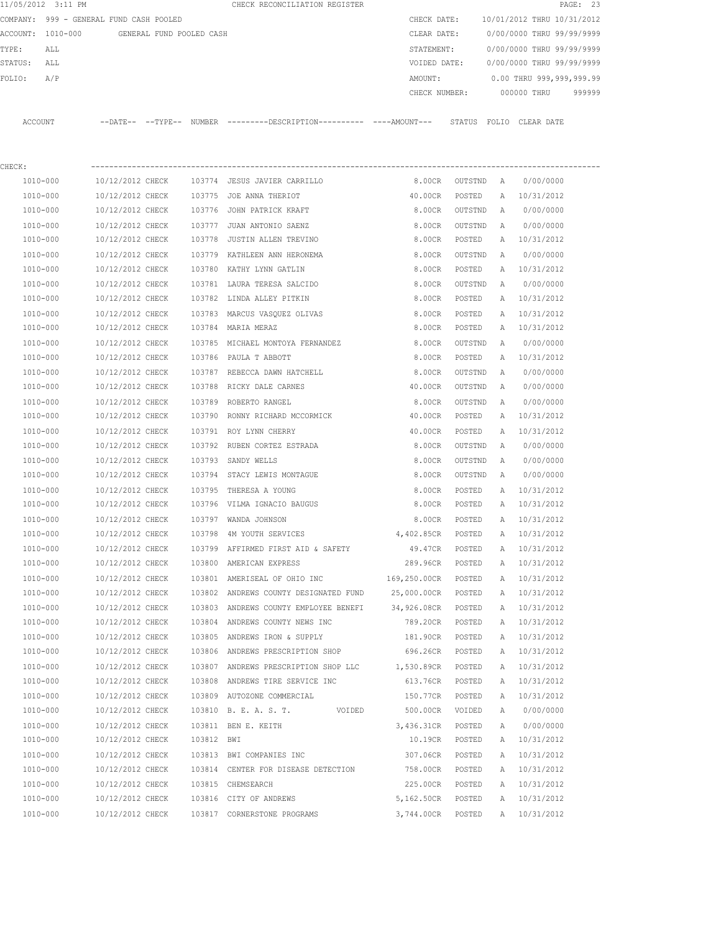|         | 11/05/2012 3:11 PM                      |                  |                          |            | CHECK RECONCILIATION REGISTER                                                               |                     |                 |              |                            | PAGE: 23 |
|---------|-----------------------------------------|------------------|--------------------------|------------|---------------------------------------------------------------------------------------------|---------------------|-----------------|--------------|----------------------------|----------|
|         | COMPANY: 999 - GENERAL FUND CASH POOLED |                  |                          |            |                                                                                             | CHECK DATE:         |                 |              | 10/01/2012 THRU 10/31/2012 |          |
|         | ACCOUNT: 1010-000                       |                  | GENERAL FUND POOLED CASH |            |                                                                                             | CLEAR DATE:         |                 |              | 0/00/0000 THRU 99/99/9999  |          |
| TYPE:   | ALL                                     |                  |                          |            |                                                                                             | STATEMENT:          |                 |              | 0/00/0000 THRU 99/99/9999  |          |
| STATUS: | ALL                                     |                  |                          |            |                                                                                             | VOIDED DATE:        |                 |              | 0/00/0000 THRU 99/99/9999  |          |
| FOLIO:  | A/P                                     |                  |                          |            |                                                                                             | AMOUNT:             |                 |              | 0.00 THRU 999,999,999.99   |          |
|         |                                         |                  |                          |            |                                                                                             | CHECK NUMBER:       |                 |              | 000000 THRU                | 999999   |
|         | ACCOUNT                                 |                  |                          |            | --DATE-- --TYPE-- NUMBER ---------DESCRIPTION--------- ---AMOUNT--- STATUS FOLIO CLEAR DATE |                     |                 |              |                            |          |
| CHECK:  |                                         |                  |                          |            |                                                                                             |                     |                 |              |                            |          |
|         | 1010-000                                | 10/12/2012 CHECK |                          |            | 103774 JESUS JAVIER CARRILLO                                                                |                     | 8.00CR OUTSTND  | A            | 0/00/0000                  |          |
|         | 1010-000                                | 10/12/2012 CHECK |                          |            | 103775 JOE ANNA THERIOT                                                                     | 40.00CR             | POSTED          | A            | 10/31/2012                 |          |
|         | 1010-000                                | 10/12/2012 CHECK |                          |            | 103776 JOHN PATRICK KRAFT                                                                   | 8.00CR              | OUTSTND         | A            | 0/00/0000                  |          |
|         | 1010-000                                | 10/12/2012 CHECK |                          |            | 103777 JUAN ANTONIO SAENZ                                                                   | 8.00CR              | OUTSTND         | A            | 0/00/0000                  |          |
|         | 1010-000                                | 10/12/2012 CHECK |                          |            | 103778 JUSTIN ALLEN TREVINO                                                                 | 8.00CR              | POSTED          |              | A 10/31/2012               |          |
|         | 1010-000                                | 10/12/2012 CHECK |                          | 103779     | KATHLEEN ANN HERONEMA                                                                       | 8.00CR              | OUTSTND         | A            | 0/00/0000                  |          |
|         | 1010-000                                | 10/12/2012 CHECK |                          | 103780     | KATHY LYNN GATLIN                                                                           | 8.00CR              | POSTED          | Α            | 10/31/2012                 |          |
|         | 1010-000                                | 10/12/2012 CHECK |                          |            | 103781 LAURA TERESA SALCIDO                                                                 | 8.00CR              | OUTSTND         | A            | 0/00/0000                  |          |
|         | 1010-000                                | 10/12/2012 CHECK |                          |            | 103782 LINDA ALLEY PITKIN                                                                   | 8.00CR              | POSTED          |              | A 10/31/2012               |          |
|         | 1010-000                                | 10/12/2012 CHECK |                          |            | 103783 MARCUS VASQUEZ OLIVAS                                                                | 8.00CR              | POSTED          | $\mathbb{A}$ | 10/31/2012                 |          |
|         | 1010-000                                | 10/12/2012 CHECK |                          |            | 103784 MARIA MERAZ                                                                          | 8.00CR              | POSTED          | A            | 10/31/2012                 |          |
|         | 1010-000                                | 10/12/2012 CHECK |                          |            | 103785 MICHAEL MONTOYA FERNANDEZ                                                            | 8.00CR              | OUTSTND         | Α            | 0/00/0000                  |          |
|         | 1010-000                                | 10/12/2012 CHECK |                          |            | 103786 PAULA T ABBOTT                                                                       | 8.00CR              | POSTED          | A            | 10/31/2012                 |          |
|         | 1010-000                                | 10/12/2012 CHECK |                          |            | 103787 REBECCA DAWN HATCHELL                                                                | 8.00CR              | OUTSTND         | Α            | 0/00/0000                  |          |
|         | 1010-000                                | 10/12/2012 CHECK |                          |            | 103788 RICKY DALE CARNES                                                                    | 40.00CR             | OUTSTND         | Α            | 0/00/0000                  |          |
|         |                                         |                  |                          |            |                                                                                             |                     |                 |              |                            |          |
|         | 1010-000                                | 10/12/2012 CHECK |                          |            | 103789 ROBERTO RANGEL                                                                       | 8.00CR              | OUTSTND         | A            | 0/00/0000                  |          |
|         | 1010-000                                | 10/12/2012 CHECK |                          |            | 103790 RONNY RICHARD MCCORMICK                                                              | 40.00CR             | POSTED          | Α            | 10/31/2012                 |          |
|         | 1010-000                                | 10/12/2012 CHECK |                          |            | 103791 ROY LYNN CHERRY                                                                      | 40.00CR             | POSTED          | Α            | 10/31/2012                 |          |
|         | 1010-000                                | 10/12/2012 CHECK |                          |            | 103792 RUBEN CORTEZ ESTRADA                                                                 | 8.00CR              | OUTSTND         | A            | 0/00/0000                  |          |
|         | 1010-000                                | 10/12/2012 CHECK |                          | 103793     | SANDY WELLS                                                                                 | 8.00CR              | OUTSTND         | Α            | 0/00/0000                  |          |
|         | 1010-000                                | 10/12/2012 CHECK |                          |            | 103794 STACY LEWIS MONTAGUE                                                                 | 8.00CR              | OUTSTND         | A            | 0/00/0000                  |          |
|         | 1010-000                                | 10/12/2012 CHECK |                          | 103795     | THERESA A YOUNG                                                                             | 8.00CR              | POSTED          | A            | 10/31/2012                 |          |
|         | 1010-000                                | 10/12/2012 CHECK |                          |            | 103796 VILMA IGNACIO BAUGUS                                                                 | 8.00CR              | POSTED          | A            | 10/31/2012                 |          |
|         | 1010-000                                | 10/12/2012 CHECK |                          | 103797     | WANDA JOHNSON                                                                               | 8.00CR              | POSTED          | $\mathbb{A}$ | 10/31/2012                 |          |
|         | 1010-000                                | 10/12/2012 CHECK |                          |            | 103798 4M YOUTH SERVICES                                                                    | 4,402.85CR          | POSTED          | Α            | 10/31/2012                 |          |
|         | $1010 - 000$                            | 10/12/2012 CHECK |                          |            | 103799 AFFIRMED FIRST AID & SAFETY                                                          | 49.47CR             | POSTED          | $\mathbb{A}$ | 10/31/2012                 |          |
|         | 1010-000                                | 10/12/2012 CHECK |                          |            | 103800 AMERICAN EXPRESS                                                                     |                     | 289.96CR POSTED | Α            | 10/31/2012                 |          |
|         | 1010-000                                | 10/12/2012 CHECK |                          |            | 103801 AMERISEAL OF OHIO INC                                                                | 169,250.00CR POSTED |                 | A            | 10/31/2012                 |          |
|         | 1010-000                                | 10/12/2012 CHECK |                          |            | 103802 ANDREWS COUNTY DESIGNATED FUND                                                       | 25,000.00CR         | POSTED          | Α            | 10/31/2012                 |          |
|         | 1010-000                                | 10/12/2012 CHECK |                          |            | 103803 ANDREWS COUNTY EMPLOYEE BENEFI 34,926.08CR                                           |                     | POSTED          | Α            | 10/31/2012                 |          |
|         | 1010-000                                | 10/12/2012 CHECK |                          |            | 103804 ANDREWS COUNTY NEWS INC                                                              | 789.20CR            | POSTED          | Α            | 10/31/2012                 |          |
|         | $1010 - 000$                            | 10/12/2012 CHECK |                          |            | 103805 ANDREWS IRON & SUPPLY                                                                | 181.90CR            | POSTED          | Α            | 10/31/2012                 |          |
|         | 1010-000                                | 10/12/2012 CHECK |                          |            | 103806 ANDREWS PRESCRIPTION SHOP                                                            | 696.26CR            | POSTED          | Α            | 10/31/2012                 |          |
|         | 1010-000                                | 10/12/2012 CHECK |                          |            | 103807 ANDREWS PRESCRIPTION SHOP LLC 1,530.89CR                                             |                     | POSTED          | Α            | 10/31/2012                 |          |
|         | 1010-000                                | 10/12/2012 CHECK |                          |            | 103808 ANDREWS TIRE SERVICE INC                                                             | 613.76CR            | POSTED          | Α            | 10/31/2012                 |          |
|         | 1010-000                                | 10/12/2012 CHECK |                          |            | 103809 AUTOZONE COMMERCIAL                                                                  | 150.77CR            | POSTED          | Α            | 10/31/2012                 |          |
|         | 1010-000                                | 10/12/2012 CHECK |                          |            | 103810 B.E.A.S.T.<br>VOIDED                                                                 | 500.00CR            | VOIDED          | Α            | 0/00/0000                  |          |
|         | 1010-000                                | 10/12/2012 CHECK |                          |            | 103811 BEN E. KEITH                                                                         | 3,436.31CR          | POSTED          | Α            | 0/00/0000                  |          |
|         | 1010-000                                | 10/12/2012 CHECK |                          | 103812 BWI |                                                                                             | 10.19CR             | POSTED          |              | A 10/31/2012               |          |
|         | 1010-000                                | 10/12/2012 CHECK |                          |            | 103813 BWI COMPANIES INC                                                                    | 307.06CR            | POSTED          | Α            | 10/31/2012                 |          |
|         | 1010-000                                | 10/12/2012 CHECK |                          |            | 103814 CENTER FOR DISEASE DETECTION                                                         | 758.00CR            | POSTED          | A            | 10/31/2012                 |          |
|         | 1010-000                                | 10/12/2012 CHECK |                          |            | 103815 CHEMSEARCH                                                                           | 225.00CR            | POSTED          | Α            | 10/31/2012                 |          |
|         | 1010-000                                | 10/12/2012 CHECK |                          |            | 103816 CITY OF ANDREWS                                                                      | 5,162.50CR          | POSTED          | Α            | 10/31/2012                 |          |
|         | 1010-000                                | 10/12/2012 CHECK |                          |            | 103817 CORNERSTONE PROGRAMS                                                                 | 3,744.00CR          | POSTED          |              | A 10/31/2012               |          |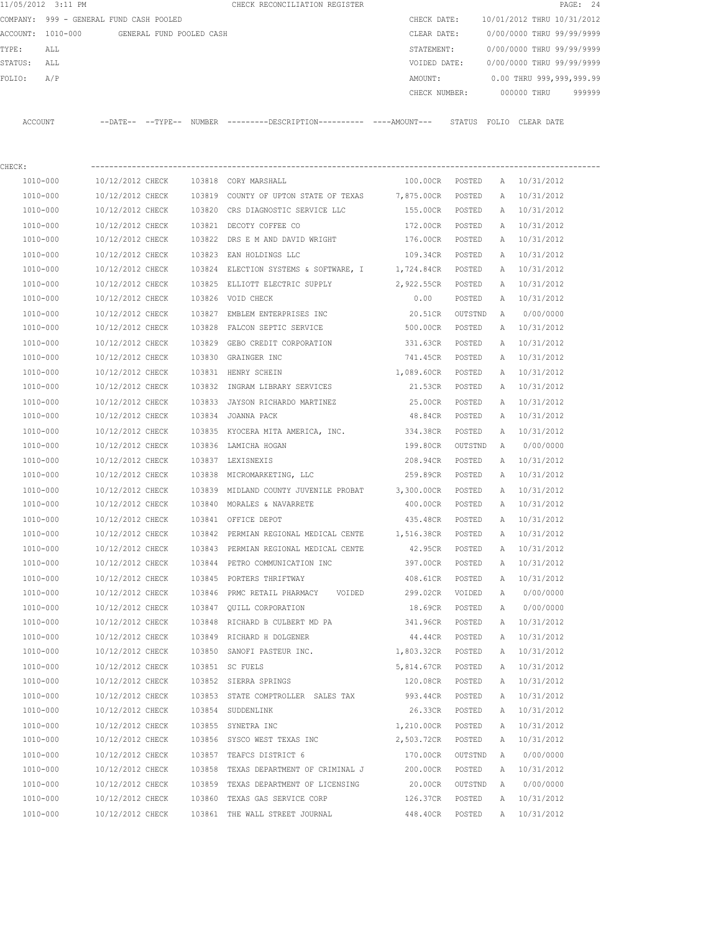|          | 11/05/2012 3:11 PM             |                            |                          | CHECK RECONCILIATION REGISTER |         |               |                            |             | PAGE: 24 |        |
|----------|--------------------------------|----------------------------|--------------------------|-------------------------------|---------|---------------|----------------------------|-------------|----------|--------|
| COMPANY: | 999 - GENERAL FUND CASH POOLED |                            |                          |                               |         | CHECK DATE:   | 10/01/2012 THRU 10/31/2012 |             |          |        |
|          | ACCOUNT: 1010-000              |                            | GENERAL FUND POOLED CASH |                               |         | CLEAR DATE:   | 0/00/0000 THRU 99/99/9999  |             |          |        |
| TYPE:    | ALL                            |                            |                          |                               |         | STATEMENT:    | 0/00/0000 THRU 99/99/9999  |             |          |        |
| STATUS:  | ALL                            |                            |                          |                               |         | VOIDED DATE:  | 0/00/0000 THRU 99/99/9999  |             |          |        |
| FOLIO:   | A/P                            |                            |                          |                               | AMOUNT: |               | 0.00 THRU 999,999,999.99   |             |          |        |
|          |                                |                            |                          |                               |         | CHECK NUMBER: |                            | 000000 THRU |          | 999999 |
|          |                                |                            |                          |                               |         |               |                            |             |          |        |
| ACCOUNT  |                                | $--$ DATE $- --$ TYPE $--$ | NUMBER                   |                               |         | STATUS        | FOLIO                      | CLEAR DATE  |          |        |
|          |                                |                            |                          |                               |         |               |                            |             |          |        |

| CHECK:       |                  |        |                                                         |                   |         |   |              |
|--------------|------------------|--------|---------------------------------------------------------|-------------------|---------|---|--------------|
| 1010-000     | 10/12/2012 CHECK |        | 103818 CORY MARSHALL                                    | 100.00CR POSTED   |         |   | A 10/31/2012 |
| 1010-000     | 10/12/2012 CHECK |        | 103819 COUNTY OF UPTON STATE OF TEXAS 7,875.00CR        |                   | POSTED  | A | 10/31/2012   |
| 1010-000     | 10/12/2012 CHECK |        | 103820 CRS DIAGNOSTIC SERVICE LLC                       | 155.00CR          | POSTED  | A | 10/31/2012   |
| 1010-000     | 10/12/2012 CHECK |        | 103821 DECOTY COFFEE CO                                 | 172.00CR          | POSTED  | A | 10/31/2012   |
| 1010-000     | 10/12/2012 CHECK |        | 103822 DRS E M AND DAVID WRIGHT                         | 176.00CR          | POSTED  | A | 10/31/2012   |
| 1010-000     | 10/12/2012 CHECK |        | 103823 EAN HOLDINGS LLC                                 | 109.34CR POSTED   |         |   | A 10/31/2012 |
| 1010-000     | 10/12/2012 CHECK |        | 103824 ELECTION SYSTEMS & SOFTWARE, I                   | 1,724.84CR POSTED |         |   | A 10/31/2012 |
| 1010-000     | 10/12/2012 CHECK |        | 103825 ELLIOTT ELECTRIC SUPPLY                          | 2,922.55CR POSTED |         |   | A 10/31/2012 |
| 1010-000     | 10/12/2012 CHECK |        | 103826 VOID CHECK                                       | 0.00              | POSTED  |   | A 10/31/2012 |
| 1010-000     | 10/12/2012 CHECK |        | 103827 EMBLEM ENTERPRISES INC                           | 20.51CR           | OUTSTND | A | 0/00/0000    |
| 1010-000     | 10/12/2012 CHECK | 103828 | FALCON SEPTIC SERVICE                                   | 500.00CR          | POSTED  |   | A 10/31/2012 |
| 1010-000     | 10/12/2012 CHECK |        | 103829 GEBO CREDIT CORPORATION                          | 331.63CR          | POSTED  | Α | 10/31/2012   |
| 1010-000     | 10/12/2012 CHECK |        | 103830 GRAINGER INC                                     | 741.45CR POSTED   |         |   | A 10/31/2012 |
| 1010-000     | 10/12/2012 CHECK |        | 103831 HENRY SCHEIN                                     | 1,089.60CR POSTED |         | A | 10/31/2012   |
| 1010-000     | 10/12/2012 CHECK |        | 103832 INGRAM LIBRARY SERVICES                          | 21.53CR POSTED    |         | A | 10/31/2012   |
| 1010-000     | 10/12/2012 CHECK |        | 103833 JAYSON RICHARDO MARTINEZ                         | 25.00CR           | POSTED  | Α | 10/31/2012   |
| 1010-000     | 10/12/2012 CHECK |        | 103834 JOANNA PACK                                      | 48.84CR POSTED    |         | Α | 10/31/2012   |
| 1010-000     | 10/12/2012 CHECK |        | 103835 KYOCERA MITA AMERICA, INC.                       | 334.38CR POSTED   |         |   | A 10/31/2012 |
| 1010-000     | 10/12/2012 CHECK |        | 103836 LAMICHA HOGAN                                    | 199.80CR OUTSTND  |         | A | 0/00/0000    |
| 1010-000     | 10/12/2012 CHECK |        | 103837 LEXISNEXIS                                       | 208.94CR POSTED   |         |   | A 10/31/2012 |
| 1010-000     | 10/12/2012 CHECK |        | 103838 MICROMARKETING, LLC                              | 259.89CR POSTED   |         |   | A 10/31/2012 |
| 1010-000     | 10/12/2012 CHECK |        | 103839 MIDLAND COUNTY JUVENILE PROBAT 3,300.00CR POSTED |                   |         | Α | 10/31/2012   |
| 1010-000     | 10/12/2012 CHECK |        | 103840 MORALES & NAVARRETE                              | 400.00CR POSTED   |         | A | 10/31/2012   |
| 1010-000     | 10/12/2012 CHECK |        | 103841 OFFICE DEPOT                                     | 435.48CR POSTED   |         |   | A 10/31/2012 |
| 1010-000     | 10/12/2012 CHECK |        | 103842 PERMIAN REGIONAL MEDICAL CENTE 1,516.38CR POSTED |                   |         |   | A 10/31/2012 |
| 1010-000     | 10/12/2012 CHECK |        | 103843 PERMIAN REGIONAL MEDICAL CENTE                   | 42.95CR           | POSTED  | A | 10/31/2012   |
| 1010-000     | 10/12/2012 CHECK |        | 103844 PETRO COMMUNICATION INC                          | 397.00CR          | POSTED  | A | 10/31/2012   |
| 1010-000     | 10/12/2012 CHECK |        | 103845 PORTERS THRIFTWAY                                | 408.61CR          | POSTED  | A | 10/31/2012   |
| 1010-000     | 10/12/2012 CHECK |        | 103846 PRMC RETAIL PHARMACY VOIDED                      | 299.02CR          | VOIDED  | Α | 0/00/0000    |
| 1010-000     | 10/12/2012 CHECK |        | 103847 QUILL CORPORATION                                | 18.69CR           | POSTED  | A | 0/00/0000    |
| 1010-000     | 10/12/2012 CHECK |        | 103848 RICHARD B CULBERT MD PA                          | 341.96CR POSTED   |         |   | A 10/31/2012 |
| 1010-000     | 10/12/2012 CHECK |        | 103849 RICHARD H DOLGENER                               | 44.44CR POSTED    |         | A | 10/31/2012   |
| 1010-000     | 10/12/2012 CHECK |        | 103850 SANOFI PASTEUR INC.                              | 1,803.32CR POSTED |         |   | A 10/31/2012 |
| 1010-000     | 10/12/2012 CHECK |        | 103851 SC FUELS                                         | 5,814.67CR POSTED |         | A | 10/31/2012   |
| 1010-000     | 10/12/2012 CHECK |        | 103852 SIERRA SPRINGS                                   | 120.08CR          | POSTED  | A | 10/31/2012   |
| $1010 - 000$ | 10/12/2012 CHECK |        | 103853 STATE COMPTROLLER SALES TAX                      | 993.44CR          | POSTED  | A | 10/31/2012   |
| 1010-000     | 10/12/2012 CHECK |        | 103854 SUDDENLINK                                       | 26.33CR           | POSTED  | Α | 10/31/2012   |
| 1010-000     | 10/12/2012 CHECK |        | 103855 SYNETRA INC                                      | 1,210.00CR        | POSTED  | A | 10/31/2012   |
| 1010-000     | 10/12/2012 CHECK |        | 103856 SYSCO WEST TEXAS INC                             | 2,503.72CR        | POSTED  | A | 10/31/2012   |
| $1010 - 000$ | 10/12/2012 CHECK |        | 103857 TEAFCS DISTRICT 6                                | 170.00CR          | OUTSTND | Α | 0/00/0000    |
| 1010-000     | 10/12/2012 CHECK |        | 103858 TEXAS DEPARTMENT OF CRIMINAL J                   | 200.00CR          | POSTED  |   | A 10/31/2012 |
| 1010-000     | 10/12/2012 CHECK |        | 103859 TEXAS DEPARTMENT OF LICENSING                    | 20.00CR           | OUTSTND | A | 0/00/0000    |
| 1010-000     | 10/12/2012 CHECK |        | 103860 TEXAS GAS SERVICE CORP                           | 126.37CR          | POSTED  |   | A 10/31/2012 |
| 1010-000     | 10/12/2012 CHECK |        | 103861 THE WALL STREET JOURNAL                          | 448.40CR          | POSTED  |   | A 10/31/2012 |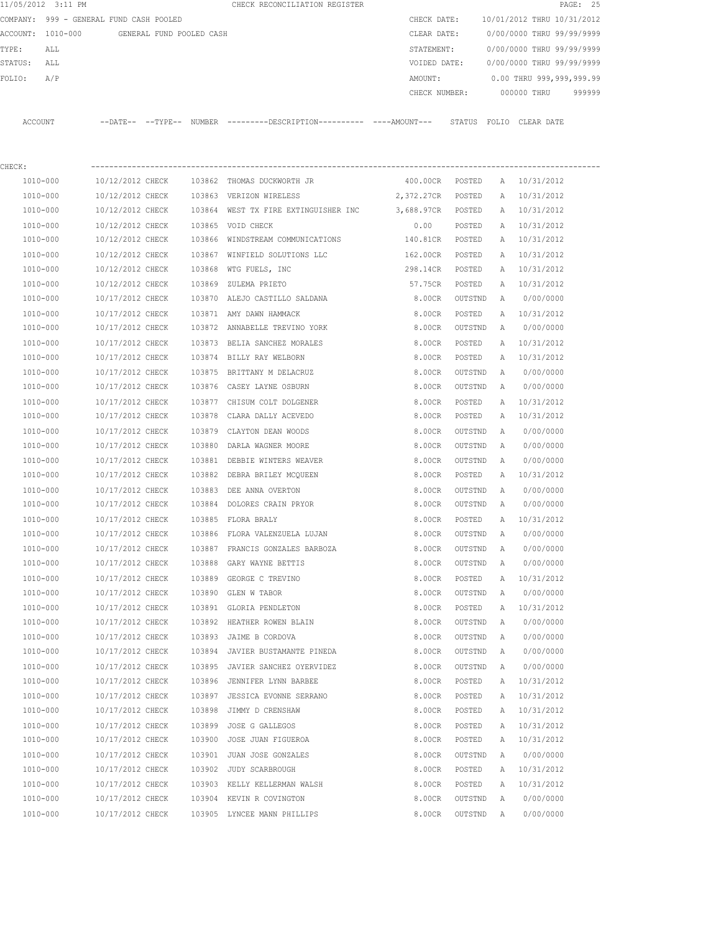|         | 11/05/2012 3:11 PM                      |                  |                          |        | CHECK RECONCILIATION REGISTER                                                              |                   |         |              |                            | PAGE: 25 |
|---------|-----------------------------------------|------------------|--------------------------|--------|--------------------------------------------------------------------------------------------|-------------------|---------|--------------|----------------------------|----------|
|         | COMPANY: 999 - GENERAL FUND CASH POOLED |                  |                          |        |                                                                                            | CHECK DATE:       |         |              | 10/01/2012 THRU 10/31/2012 |          |
|         | ACCOUNT: 1010-000                       |                  | GENERAL FUND POOLED CASH |        |                                                                                            | CLEAR DATE:       |         |              | 0/00/0000 THRU 99/99/9999  |          |
| TYPE:   | ALL                                     |                  |                          |        |                                                                                            | STATEMENT:        |         |              | 0/00/0000 THRU 99/99/9999  |          |
| STATUS: | ALL                                     |                  |                          |        |                                                                                            | VOIDED DATE:      |         |              | 0/00/0000 THRU 99/99/9999  |          |
| FOLIO:  | A/P                                     |                  |                          |        |                                                                                            | AMOUNT:           |         |              | 0.00 THRU 999,999,999.99   |          |
|         |                                         |                  |                          |        |                                                                                            | CHECK NUMBER:     |         |              | 000000 THRU                | 999999   |
|         | ACCOUNT                                 |                  |                          |        | --DATE-- --TYPE-- NUMBER --------DESCRIPTION--------- ----AMOUNT--- STATUS FOLIO CLEARDATE |                   |         |              |                            |          |
| CHECK:  |                                         |                  |                          |        |                                                                                            |                   |         |              |                            |          |
|         | 1010-000                                |                  |                          |        | $10/12/2012$ CHECK $103862$ THOMAS DUCKWORTH JR                                            | 400.00CR POSTED   |         |              | A 10/31/2012               |          |
|         | 1010-000                                |                  |                          |        | 10/12/2012 CHECK 103863 VERIZON WIRELESS                                                   | 2,372.27CR POSTED |         |              | A 10/31/2012               |          |
|         | 1010-000                                | 10/12/2012 CHECK |                          |        | 103864 WEST TX FIRE EXTINGUISHER INC                                                       | 3,688.97CR POSTED |         |              | A 10/31/2012               |          |
|         | 1010-000                                | 10/12/2012 CHECK |                          |        | 103865 VOID CHECK                                                                          | 0.00              | POSTED  |              | A 10/31/2012               |          |
|         | 1010-000                                | 10/12/2012 CHECK |                          |        | 103866 WINDSTREAM COMMUNICATIONS                                                           | 140.81CR POSTED   |         |              | A 10/31/2012               |          |
|         | 1010-000                                | 10/12/2012 CHECK |                          |        | 103867 WINFIELD SOLUTIONS LLC                                                              | 162.00CR          | POSTED  |              | A 10/31/2012               |          |
|         | 1010-000                                | 10/12/2012 CHECK |                          |        | 103868 WTG FUELS, INC                                                                      | 298.14CR          | POSTED  |              | A 10/31/2012               |          |
|         | 1010-000                                | 10/12/2012 CHECK |                          |        | 103869 ZULEMA PRIETO                                                                       | 57.75CR           | POSTED  |              | A 10/31/2012               |          |
|         | 1010-000                                | 10/17/2012 CHECK |                          |        | 103870 ALEJO CASTILLO SALDANA                                                              | 8.00CR            | OUTSTND | A            | 0/00/0000                  |          |
|         | 1010-000                                | 10/17/2012 CHECK |                          |        | 103871 AMY DAWN HAMMACK                                                                    | 8.00CR            | POSTED  |              | A 10/31/2012               |          |
|         | 1010-000                                | 10/17/2012 CHECK |                          |        | 103872 ANNABELLE TREVINO YORK                                                              | 8.00CR            | OUTSTND | A            | 0/00/0000                  |          |
|         | 1010-000                                | 10/17/2012 CHECK |                          |        | 103873 BELIA SANCHEZ MORALES                                                               | 8.00CR            | POSTED  |              | A 10/31/2012               |          |
|         | 1010-000                                | 10/17/2012 CHECK |                          |        | 103874 BILLY RAY WELBORN                                                                   | 8.00CR            | POSTED  |              | A 10/31/2012               |          |
|         | 1010-000                                | 10/17/2012 CHECK |                          |        | 103875 BRITTANY M DELACRUZ                                                                 | 8.00CR            | OUTSTND | A            | 0/00/0000                  |          |
|         | 1010-000                                | 10/17/2012 CHECK |                          |        | 103876 CASEY LAYNE OSBURN                                                                  | 8.00CR            | OUTSTND | A            | 0/00/0000                  |          |
|         | 1010-000                                | 10/17/2012 CHECK |                          |        | 103877 CHISUM COLT DOLGENER                                                                | 8.00CR            | POSTED  | A            | 10/31/2012                 |          |
|         | 1010-000                                | 10/17/2012 CHECK |                          |        | 103878 CLARA DALLY ACEVEDO                                                                 | 8.00CR            | POSTED  |              | A 10/31/2012               |          |
|         | 1010-000                                | 10/17/2012 CHECK |                          |        | 103879 CLAYTON DEAN WOODS                                                                  | 8.00CR            | OUTSTND | A            | 0/00/0000                  |          |
|         | 1010-000                                | 10/17/2012 CHECK |                          | 103880 | DARLA WAGNER MOORE                                                                         | 8.00CR            | OUTSTND | A            | 0/00/0000                  |          |
|         | 1010-000                                | 10/17/2012 CHECK |                          | 103881 | DEBBIE WINTERS WEAVER                                                                      | 8.00CR            | OUTSTND | A            | 0/00/0000                  |          |
|         | 1010-000                                | 10/17/2012 CHECK |                          | 103882 | DEBRA BRILEY MCQUEEN                                                                       | 8.00CR            | POSTED  |              | A 10/31/2012               |          |
|         | 1010-000                                | 10/17/2012 CHECK |                          |        | 103883 DEE ANNA OVERTON                                                                    | 8.00CR            | OUTSTND | A            | 0/00/0000                  |          |
|         | 1010-000                                | 10/17/2012 CHECK |                          |        | 103884 DOLORES CRAIN PRYOR                                                                 | 8.00CR            | OUTSTND | A            | 0/00/0000                  |          |
|         | 1010-000                                | 10/17/2012 CHECK |                          |        | 103885 FLORA BRALY                                                                         | 8.00CR            | POSTED  |              | A 10/31/2012               |          |
|         | 1010-000                                | 10/17/2012 CHECK |                          |        | 103886 FLORA VALENZUELA LUJAN                                                              | 8.00CR            | OUTSTND | А            | 0/00/0000                  |          |
|         | 1010-000                                | 10/17/2012 CHECK |                          |        | 103887 FRANCIS GONZALES BARBOZA                                                            | 8.00CR            | OUTSTND | Α            | 0/00/0000                  |          |
|         | 1010-000                                | 10/17/2012 CHECK |                          |        | 103888 GARY WAYNE BETTIS                                                                   | 8.00CR            | OUTSTND | Α            | 0/00/0000                  |          |
|         | 1010-000                                | 10/17/2012 CHECK |                          |        | 103889 GEORGE C TREVINO                                                                    | 8.00CR            | POSTED  | Α            | 10/31/2012                 |          |
|         | 1010-000                                | 10/17/2012 CHECK |                          |        | 103890 GLEN W TABOR                                                                        | 8.00CR            | OUTSTND | Α            | 0/00/0000                  |          |
|         | 1010-000                                | 10/17/2012 CHECK |                          |        | 103891 GLORIA PENDLETON                                                                    | 8.00CR            | POSTED  | Α            | 10/31/2012                 |          |
|         | 1010-000                                | 10/17/2012 CHECK |                          |        | 103892 HEATHER ROWEN BLAIN                                                                 | 8.00CR            | OUTSTND | $\mathbb{A}$ | 0/00/0000                  |          |
|         | 1010-000                                | 10/17/2012 CHECK |                          |        | 103893 JAIME B CORDOVA                                                                     | 8.00CR            | OUTSTND | Α            | 0/00/0000                  |          |
|         | 1010-000                                | 10/17/2012 CHECK |                          |        | 103894 JAVIER BUSTAMANTE PINEDA                                                            | 8.00CR            | OUTSTND | Α            | 0/00/0000                  |          |
|         | 1010-000                                | 10/17/2012 CHECK |                          |        | 103895 JAVIER SANCHEZ OYERVIDEZ                                                            | 8.00CR            | OUTSTND | А            | 0/00/0000                  |          |
|         | 1010-000                                | 10/17/2012 CHECK |                          |        | 103896 JENNIFER LYNN BARBEE                                                                | 8.00CR            | POSTED  | Α            | 10/31/2012                 |          |
|         | 1010-000                                | 10/17/2012 CHECK |                          |        | 103897 JESSICA EVONNE SERRANO                                                              | 8.00CR            | POSTED  | Α            | 10/31/2012                 |          |
|         | 1010-000                                | 10/17/2012 CHECK |                          |        | 103898 JIMMY D CRENSHAW                                                                    | 8.00CR            | POSTED  | Α            | 10/31/2012                 |          |
|         | 1010-000                                | 10/17/2012 CHECK |                          | 103899 | JOSE G GALLEGOS                                                                            | 8.00CR            | POSTED  | Α            | 10/31/2012                 |          |
|         | 1010-000                                | 10/17/2012 CHECK |                          | 103900 | JOSE JUAN FIGUEROA                                                                         | 8.00CR            | POSTED  | Α            | 10/31/2012                 |          |
|         | 1010-000                                | 10/17/2012 CHECK |                          |        | 103901 JUAN JOSE GONZALES                                                                  | 8.00CR            | OUTSTND | А            | 0/00/0000                  |          |
|         | 1010-000                                | 10/17/2012 CHECK |                          |        | 103902 JUDY SCARBROUGH                                                                     | 8.00CR            | POSTED  | Α            | 10/31/2012                 |          |
|         | 1010-000                                | 10/17/2012 CHECK |                          |        | 103903 KELLY KELLERMAN WALSH                                                               | 8.00CR            | POSTED  | Α            | 10/31/2012                 |          |
|         | 1010-000                                | 10/17/2012 CHECK |                          |        | 103904 KEVIN R COVINGTON                                                                   | 8.00CR            | OUTSTND | A            | 0/00/0000                  |          |
|         | 1010-000                                | 10/17/2012 CHECK |                          |        | 103905 LYNCEE MANN PHILLIPS                                                                | 8.00CR            | OUTSTND | A            | 0/00/0000                  |          |
|         |                                         |                  |                          |        |                                                                                            |                   |         |              |                            |          |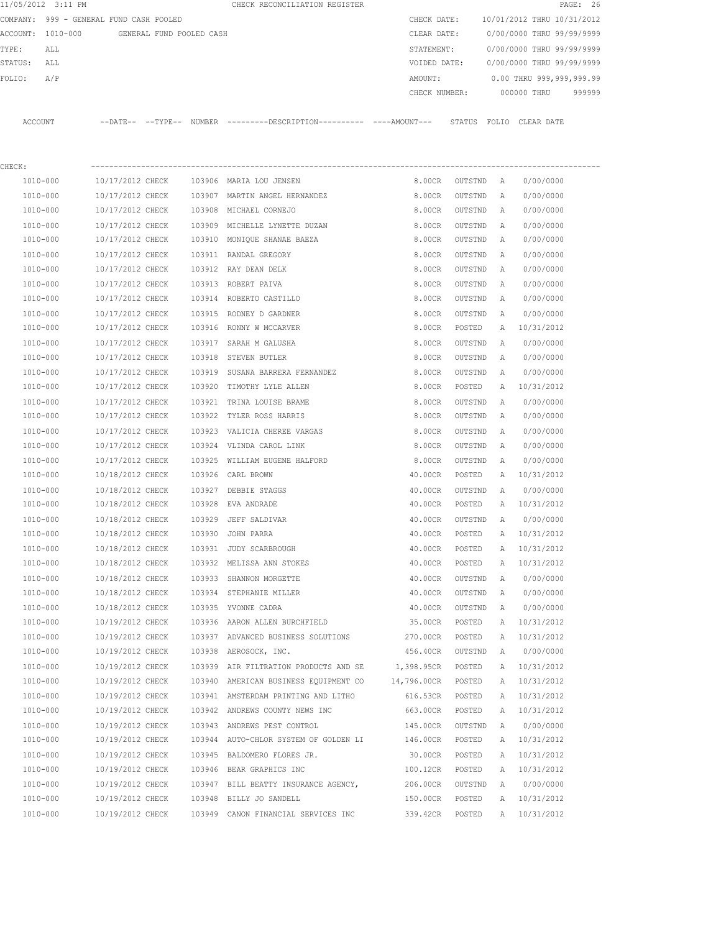|         | 11/05/2012 3:11 PM                      |                                      |                          |                  | CHECK RECONCILIATION REGISTER                                                                 |                  |                    |        |                            | PAGE: 26 |
|---------|-----------------------------------------|--------------------------------------|--------------------------|------------------|-----------------------------------------------------------------------------------------------|------------------|--------------------|--------|----------------------------|----------|
|         | COMPANY: 999 - GENERAL FUND CASH POOLED |                                      |                          |                  |                                                                                               | CHECK DATE:      |                    |        | 10/01/2012 THRU 10/31/2012 |          |
|         | ACCOUNT: 1010-000                       |                                      | GENERAL FUND POOLED CASH |                  |                                                                                               | CLEAR DATE:      |                    |        | 0/00/0000 THRU 99/99/9999  |          |
| TYPE:   | ALL                                     |                                      |                          |                  |                                                                                               | STATEMENT:       |                    |        | 0/00/0000 THRU 99/99/9999  |          |
| STATUS: | ALL                                     |                                      |                          |                  |                                                                                               | VOIDED DATE:     |                    |        | 0/00/0000 THRU 99/99/9999  |          |
| FOLIO:  | A/P                                     |                                      |                          |                  |                                                                                               | AMOUNT:          |                    |        | 0.00 THRU 999,999,999.99   |          |
|         |                                         |                                      |                          |                  |                                                                                               | CHECK NUMBER:    |                    |        | 000000 THRU                | 999999   |
|         | ACCOUNT                                 |                                      |                          |                  | --DATE-- --TYPE-- NUMBER ---------DESCRIPTION---------- ----AMOUNT--- STATUS FOLIO CLEAR DATE |                  |                    |        |                            |          |
|         |                                         |                                      |                          |                  |                                                                                               |                  |                    |        |                            |          |
| CHECK:  |                                         |                                      |                          |                  |                                                                                               |                  |                    |        |                            |          |
|         | 1010-000                                | 10/17/2012 CHECK                     |                          |                  | 103906 MARIA LOU JENSEN                                                                       | 8.00CR           | OUTSTND            | A      | 0/00/0000                  |          |
|         | 1010-000                                | 10/17/2012 CHECK                     |                          |                  | 103907 MARTIN ANGEL HERNANDEZ                                                                 | 8.00CR           | OUTSTND            | Α      | 0/00/0000                  |          |
|         | 1010-000                                | 10/17/2012 CHECK                     |                          |                  | 103908 MICHAEL CORNEJO                                                                        | 8.00CR           | OUTSTND            | A      | 0/00/0000                  |          |
|         | 1010-000                                | 10/17/2012 CHECK                     |                          |                  | 103909 MICHELLE LYNETTE DUZAN                                                                 | 8.00CR           | OUTSTND            | Α      | 0/00/0000                  |          |
|         | 1010-000                                | 10/17/2012 CHECK                     |                          |                  | 103910 MONIQUE SHANAE BAEZA                                                                   | 8.00CR           | OUTSTND            | Α      | 0/00/0000                  |          |
|         | 1010-000                                | 10/17/2012 CHECK                     |                          |                  | 103911 RANDAL GREGORY                                                                         | 8.00CR           | OUTSTND            | Α      | 0/00/0000                  |          |
|         | 1010-000                                | 10/17/2012 CHECK                     |                          |                  | 103912 RAY DEAN DELK                                                                          | 8.00CR           | OUTSTND            | Α      | 0/00/0000                  |          |
|         | 1010-000                                | 10/17/2012 CHECK                     |                          |                  | 103913 ROBERT PAIVA                                                                           | 8.00CR           | OUTSTND            | A      | 0/00/0000                  |          |
|         | 1010-000                                | 10/17/2012 CHECK                     |                          |                  | 103914 ROBERTO CASTILLO                                                                       | 8.00CR           | OUTSTND            | Α      | 0/00/0000                  |          |
|         | 1010-000                                | 10/17/2012 CHECK                     |                          |                  | 103915 RODNEY D GARDNER                                                                       | 8.00CR           | OUTSTND            | A      | 0/00/0000                  |          |
|         | 1010-000                                | 10/17/2012 CHECK                     |                          |                  | 103916 RONNY W MCCARVER                                                                       | 8.00CR           | POSTED             | Α      | 10/31/2012                 |          |
|         | 1010-000                                | 10/17/2012 CHECK                     |                          | 103917           | SARAH M GALUSHA                                                                               | 8.00CR           | OUTSTND            | Α      | 0/00/0000                  |          |
|         | 1010-000                                | 10/17/2012 CHECK                     |                          | 103918           | STEVEN BUTLER                                                                                 | 8.00CR           | OUTSTND            | Α      | 0/00/0000                  |          |
|         | 1010-000                                | 10/17/2012 CHECK                     |                          | 103919           | SUSANA BARRERA FERNANDEZ                                                                      | 8.00CR           | OUTSTND            | Α      | 0/00/0000                  |          |
|         | 1010-000                                | 10/17/2012 CHECK                     |                          |                  | 103920 TIMOTHY LYLE ALLEN                                                                     | 8.00CR           | POSTED             | Α      | 10/31/2012                 |          |
|         | 1010-000                                | 10/17/2012 CHECK                     |                          | 103921           | TRINA LOUISE BRAME                                                                            | 8.00CR           | OUTSTND            | Α      | 0/00/0000                  |          |
|         | 1010-000                                | 10/17/2012 CHECK                     |                          | 103922           | TYLER ROSS HARRIS                                                                             | 8.00CR           | OUTSTND            | Α      | 0/00/0000                  |          |
|         | 1010-000                                | 10/17/2012 CHECK                     |                          |                  | VALICIA CHEREE VARGAS                                                                         |                  |                    |        | 0/00/0000                  |          |
|         | 1010-000                                | 10/17/2012 CHECK                     |                          | 103923<br>103924 | VLINDA CAROL LINK                                                                             | 8.00CR<br>8.00CR | OUTSTND<br>OUTSTND | Α<br>A | 0/00/0000                  |          |
|         |                                         |                                      |                          |                  | WILLIAM EUGENE HALFORD                                                                        |                  |                    |        |                            |          |
|         | 1010-000<br>1010-000                    | 10/17/2012 CHECK<br>10/18/2012 CHECK |                          | 103925           | 103926 CARL BROWN                                                                             | 8.00CR           | OUTSTND            | Α      | 0/00/0000                  |          |
|         |                                         |                                      |                          |                  |                                                                                               | 40.00CR          | POSTED             | Α      | 10/31/2012                 |          |
|         | 1010-000                                | 10/18/2012 CHECK                     |                          | 103927           | DEBBIE STAGGS                                                                                 | 40.00CR          | OUTSTND            | Α      | 0/00/0000                  |          |
|         | 1010-000                                | 10/18/2012 CHECK                     |                          |                  | 103928 EVA ANDRADE                                                                            | 40.00CR          | POSTED             | Α      | 10/31/2012                 |          |
|         | 1010-000                                | 10/18/2012 CHECK                     |                          |                  | 103929 JEFF SALDIVAR                                                                          | 40.00CR          | OUTSTND            | Α      | 0/00/0000                  |          |
|         | 1010-000                                | 10/18/2012 CHECK                     |                          |                  | 103930 JOHN PARRA                                                                             | 40.00CR          | POSTED             | Α      | 10/31/2012                 |          |
|         | 1010-000                                | 10/18/2012 CHECK                     |                          |                  | 103931 JUDY SCARBROUGH                                                                        | 40.00CR          | POSTED             | Α      | 10/31/2012                 |          |
|         | 1010-000                                | 10/18/2012 CHECK                     |                          |                  | 103932 MELISSA ANN STOKES                                                                     | 40.00CR          | POSTED             | Α      | 10/31/2012                 |          |
|         | 1010-000                                | 10/18/2012 CHECK                     |                          |                  | 103933 SHANNON MORGETTE                                                                       | 40.00CR          | OUTSTND            | Α      | 0/00/0000                  |          |
|         | 1010-000                                | 10/18/2012 CHECK                     |                          |                  | 103934 STEPHANIE MILLER                                                                       | 40.00CR          | OUTSTND            | A      | 0/00/0000                  |          |
|         | 1010-000                                | 10/18/2012 CHECK                     |                          |                  | 103935 YVONNE CADRA                                                                           | 40.00CR          | OUTSTND            | Α      | 0/00/0000                  |          |
|         | 1010-000                                | 10/19/2012 CHECK                     |                          |                  | 103936 AARON ALLEN BURCHFIELD                                                                 | 35.00CR          | POSTED             | Α      | 10/31/2012                 |          |
|         | $1010 - 000$                            | 10/19/2012 CHECK                     |                          |                  | 103937 ADVANCED BUSINESS SOLUTIONS                                                            | 270.00CR         | POSTED             | Α      | 10/31/2012                 |          |
|         | 1010-000                                | 10/19/2012 CHECK                     |                          |                  | 103938 AEROSOCK, INC.                                                                         | 456.40CR         | OUTSTND            | Α      | 0/00/0000                  |          |
|         | 1010-000                                | 10/19/2012 CHECK                     |                          |                  | 103939 AIR FILTRATION PRODUCTS AND SE                                                         | 1,398.95CR       | POSTED             | Α      | 10/31/2012                 |          |
|         | 1010-000                                | 10/19/2012 CHECK                     |                          |                  | 103940 AMERICAN BUSINESS EQUIPMENT CO                                                         | 14,796.00CR      | POSTED             | Α      | 10/31/2012                 |          |
|         | 1010-000                                | 10/19/2012 CHECK                     |                          |                  | 103941 AMSTERDAM PRINTING AND LITHO                                                           | 616.53CR         | POSTED             | Α      | 10/31/2012                 |          |
|         | 1010-000                                | 10/19/2012 CHECK                     |                          |                  | 103942 ANDREWS COUNTY NEWS INC                                                                | 663.00CR         | POSTED             | Α      | 10/31/2012                 |          |
|         | 1010-000                                | 10/19/2012 CHECK                     |                          |                  | 103943 ANDREWS PEST CONTROL                                                                   | 145.00CR         | OUTSTND            | Α      | 0/00/0000                  |          |
|         | 1010-000                                | 10/19/2012 CHECK                     |                          |                  | 103944 AUTO-CHLOR SYSTEM OF GOLDEN LI                                                         | 146.00CR         | POSTED             | Α      | 10/31/2012                 |          |
|         | 1010-000                                | 10/19/2012 CHECK                     |                          |                  | 103945 BALDOMERO FLORES JR.                                                                   | 30.00CR          | POSTED             | Α      | 10/31/2012                 |          |
|         | 1010-000                                | 10/19/2012 CHECK                     |                          |                  | 103946 BEAR GRAPHICS INC                                                                      | 100.12CR         | POSTED             | Α      | 10/31/2012                 |          |
|         | 1010-000                                | 10/19/2012 CHECK                     |                          |                  | 103947 BILL BEATTY INSURANCE AGENCY,                                                          | 206.00CR         | OUTSTND            | Α      | 0/00/0000                  |          |
|         | 1010-000                                | 10/19/2012 CHECK                     |                          |                  | 103948 BILLY JO SANDELL                                                                       | 150.00CR         | POSTED             | Α      | 10/31/2012                 |          |
|         | 1010-000                                | 10/19/2012 CHECK                     |                          |                  | 103949 CANON FINANCIAL SERVICES INC                                                           | 339.42CR         | POSTED             | A      | 10/31/2012                 |          |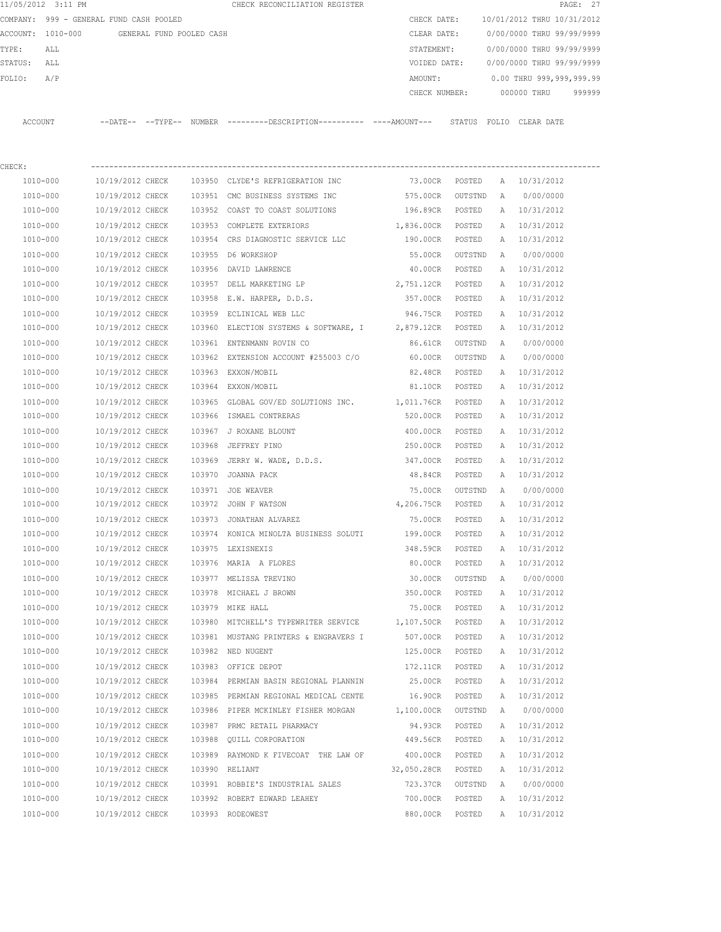|         | 11/05/2012 3:11 PM                         |                  |  | CHECK RECONCILIATION REGISTER                                                               |                   |         |   |                                        | PAGE: 27 |
|---------|--------------------------------------------|------------------|--|---------------------------------------------------------------------------------------------|-------------------|---------|---|----------------------------------------|----------|
|         | COMPANY: 999 - GENERAL FUND CASH POOLED    |                  |  |                                                                                             |                   |         |   | CHECK DATE: 10/01/2012 THRU 10/31/2012 |          |
|         | ACCOUNT: 1010-000 GENERAL FUND POOLED CASH |                  |  |                                                                                             | CLEAR DATE:       |         |   | 0/00/0000 THRU 99/99/9999              |          |
| TYPE:   | ALL                                        |                  |  |                                                                                             | STATEMENT:        |         |   | 0/00/0000 THRU 99/99/9999              |          |
| STATUS: | ALL                                        |                  |  |                                                                                             | VOIDED DATE:      |         |   | 0/00/0000 THRU 99/99/9999              |          |
| FOLIO:  | A/P                                        |                  |  |                                                                                             | AMOUNT:           |         |   | $0.00$ THRU 999,999,999.99             |          |
|         |                                            |                  |  |                                                                                             |                   |         |   | CHECK NUMBER: 000000 THRU              | 999999   |
|         | ACCOUNT                                    |                  |  | --DATE-- --TYPE-- NUMBER --------DESCRIPTION---------- ---AMOUNT--- STATUS FOLIO CLEAR-DATE |                   |         |   |                                        |          |
| CHECK:  |                                            |                  |  |                                                                                             |                   |         |   |                                        |          |
|         | 1010-000                                   | 10/19/2012 CHECK |  | 103950 CLYDE'S REFRIGERATION INC                                                            | 73.00CR POSTED    |         |   | A 10/31/2012                           |          |
|         | 1010-000                                   | 10/19/2012 CHECK |  | 103951 CMC BUSINESS SYSTEMS INC                                                             | 575.00CR          | OUTSTND |   | A 0/00/0000                            |          |
|         | 1010-000                                   | 10/19/2012 CHECK |  | 103952 COAST TO COAST SOLUTIONS                                                             | 196.89CR POSTED   |         |   | A 10/31/2012                           |          |
|         | 1010-000                                   | 10/19/2012 CHECK |  | 103953 COMPLETE EXTERIORS                                                                   | 1,836.00CR POSTED |         |   | A 10/31/2012                           |          |
|         | 1010-000                                   | 10/19/2012 CHECK |  | 103954 CRS DIAGNOSTIC SERVICE LLC                                                           | 190.00CR POSTED   |         |   | A 10/31/2012                           |          |
|         | 1010-000                                   | 10/19/2012 CHECK |  | 103955 D6 WORKSHOP                                                                          | 55.00CR           | OUTSTND | A | 0/00/0000                              |          |
|         | 1010-000                                   | 10/19/2012 CHECK |  | 103956 DAVID LAWRENCE                                                                       | 40.00CR           | POSTED  |   | A 10/31/2012                           |          |
|         | 1010-000                                   | 10/19/2012 CHECK |  | 103957 DELL MARKETING LP 2,751.12CR                                                         |                   | POSTED  |   | A 10/31/2012                           |          |
|         | 1010-000                                   |                  |  | 10/19/2012 CHECK 103958 E.W. HARPER, D.D.S.                                                 | 357.00CR POSTED   |         |   | A 10/31/2012                           |          |
|         | 1010-000                                   | 10/19/2012 CHECK |  | 103959 ECLINICAL WEB LLC                                                                    | 946.75CR POSTED   |         |   | A 10/31/2012                           |          |
|         |                                            |                  |  | 10/19/2012 CHECK 103960 ELECTION SYSTEMS & SOFTWARE, I 2,879.12CR POSTED                    |                   |         |   | A 10/31/2012                           |          |
|         | 1010-000                                   |                  |  |                                                                                             |                   |         |   |                                        |          |
|         | 1010-000                                   | 10/19/2012 CHECK |  | 103961 ENTENMANN ROVIN CO                                                                   | 86.61CR OUTSTND   |         |   | A 0/00/0000                            |          |
|         | 1010-000                                   | 10/19/2012 CHECK |  | 103962 EXTENSION ACCOUNT #255003 C/O                                                        | 60.00CR           | OUTSTND | A | 0/00/0000                              |          |
|         | 1010-000                                   | 10/19/2012 CHECK |  | 103963 EXXON/MOBIL                                                                          | 82.48CR POSTED    |         |   | A 10/31/2012                           |          |
|         | 1010-000                                   | 10/19/2012 CHECK |  | 103964 EXXON/MOBIL                                                                          | 81.10CR POSTED    |         |   | A 10/31/2012                           |          |
|         | 1010-000                                   | 10/19/2012 CHECK |  | 103965 GLOBAL GOV/ED SOLUTIONS INC. 1,011.76CR POSTED                                       |                   |         |   | A 10/31/2012                           |          |
|         | 1010-000                                   | 10/19/2012 CHECK |  | 103966 ISMAEL CONTRERAS                                                                     | 520.00CR          | POSTED  |   | A 10/31/2012                           |          |
|         | 1010-000                                   | 10/19/2012 CHECK |  | 103967 J ROXANE BLOUNT                                                                      | 400.00CR          | POSTED  |   | A 10/31/2012                           |          |
|         | 1010-000                                   | 10/19/2012 CHECK |  | 103968 JEFFREY PINO                                                                         | 250.00CR          | POSTED  |   | A 10/31/2012                           |          |
|         | 1010-000                                   | 10/19/2012 CHECK |  | 103969 JERRY W. WADE, D.D.S. 347.00CR                                                       |                   | POSTED  |   | A 10/31/2012                           |          |
|         | 1010-000                                   | 10/19/2012 CHECK |  | 103970 JOANNA PACK                                                                          | 48.84CR           | POSTED  |   | A 10/31/2012                           |          |
|         | 1010-000                                   | 10/19/2012 CHECK |  | 103971 JOE WEAVER                                                                           | 75.00CR           | OUTSTND | A | 0/00/0000                              |          |
|         | 1010-000                                   |                  |  | 10/19/2012 CHECK 103972 JOHN F WATSON                                                       | 4,206.75CR        | POSTED  |   | A 10/31/2012                           |          |
|         | 1010-000                                   | 10/19/2012 CHECK |  | 103973 JONATHAN ALVAREZ                                                                     | 75.00CR           | POSTED  |   | A 10/31/2012                           |          |
|         | 1010-000                                   | 10/19/2012 CHECK |  | 103974 KONICA MINOLTA BUSINESS SOLUTI                                                       | 199.00CR          | POSTED  | А | 10/31/2012                             |          |
|         | 1010-000                                   | 10/19/2012 CHECK |  | 103975 LEXISNEXIS                                                                           | 348.59CR          | POSTED  | Α | 10/31/2012                             |          |
|         | 1010-000                                   | 10/19/2012 CHECK |  | 103976 MARIA A FLORES                                                                       | 80.00CR           | POSTED  | Α | 10/31/2012                             |          |
|         | 1010-000                                   | 10/19/2012 CHECK |  | 103977 MELISSA TREVINO                                                                      | 30.00CR           | OUTSTND | Α | 0/00/0000                              |          |
|         | 1010-000                                   | 10/19/2012 CHECK |  | 103978 MICHAEL J BROWN                                                                      | 350.00CR          | POSTED  | Α | 10/31/2012                             |          |
|         | $1010 - 000$                               | 10/19/2012 CHECK |  | 103979 MIKE HALL                                                                            | 75.00CR           | POSTED  | Α | 10/31/2012                             |          |
|         | 1010-000                                   | 10/19/2012 CHECK |  | 103980 MITCHELL'S TYPEWRITER SERVICE 1,107.50CR                                             |                   | POSTED  | Α | 10/31/2012                             |          |
|         | 1010-000                                   | 10/19/2012 CHECK |  | 103981 MUSTANG PRINTERS & ENGRAVERS I                                                       | 507.00CR          | POSTED  | Α | 10/31/2012                             |          |
|         | 1010-000                                   | 10/19/2012 CHECK |  | 103982 NED NUGENT                                                                           | 125.00CR          | POSTED  | Α | 10/31/2012                             |          |
|         | $1010 - 000$                               | 10/19/2012 CHECK |  | 103983 OFFICE DEPOT                                                                         | 172.11CR          | POSTED  | Α | 10/31/2012                             |          |
|         | 1010-000                                   | 10/19/2012 CHECK |  | 103984 PERMIAN BASIN REGIONAL PLANNIN                                                       | 25.00CR           | POSTED  | Α | 10/31/2012                             |          |
|         | 1010-000                                   | 10/19/2012 CHECK |  | 103985 PERMIAN REGIONAL MEDICAL CENTE                                                       | 16.90CR           | POSTED  | Α | 10/31/2012                             |          |
|         | 1010-000                                   | 10/19/2012 CHECK |  | 103986 PIPER MCKINLEY FISHER MORGAN                                                         | 1,100.00CR        | OUTSTND | Α | 0/00/0000                              |          |
|         | 1010-000                                   | 10/19/2012 CHECK |  | 103987 PRMC RETAIL PHARMACY                                                                 | 94.93CR           | POSTED  | Α | 10/31/2012                             |          |
|         | 1010-000                                   | 10/19/2012 CHECK |  | 103988 QUILL CORPORATION                                                                    | 449.56CR          | POSTED  | Α | 10/31/2012                             |          |
|         | 1010-000                                   | 10/19/2012 CHECK |  | 103989 RAYMOND K FIVECOAT THE LAW OF                                                        | 400.00CR          | POSTED  | Α | 10/31/2012                             |          |
|         | 1010-000                                   | 10/19/2012 CHECK |  | 103990 RELIANT                                                                              | 32,050.28CR       | POSTED  | Α | 10/31/2012                             |          |
|         | 1010-000                                   | 10/19/2012 CHECK |  | 103991 ROBBIE'S INDUSTRIAL SALES                                                            | 723.37CR          | OUTSTND | Α | 0/00/0000                              |          |
|         | 1010-000                                   | 10/19/2012 CHECK |  | 103992 ROBERT EDWARD LEAHEY                                                                 | 700.00CR          | POSTED  | Α | 10/31/2012                             |          |
|         | 1010-000                                   | 10/19/2012 CHECK |  | 103993 RODEOWEST                                                                            | 880.00CR          | POSTED  |   | A 10/31/2012                           |          |
|         |                                            |                  |  |                                                                                             |                   |         |   |                                        |          |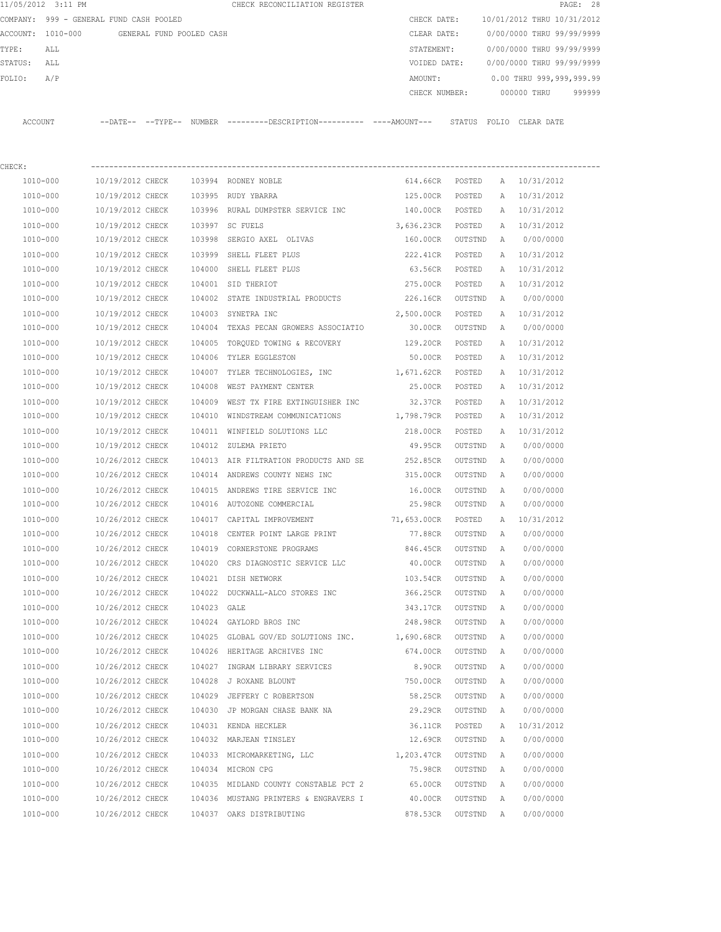|          | 11/05/2012 3:11 PM |                                         |  | CHECK RECONCILIATION REGISTER                                                                |                   |         |                |                                        | PAGE: 28 |
|----------|--------------------|-----------------------------------------|--|----------------------------------------------------------------------------------------------|-------------------|---------|----------------|----------------------------------------|----------|
|          |                    | COMPANY: 999 - GENERAL FUND CASH POOLED |  |                                                                                              |                   |         |                | CHECK DATE: 10/01/2012 THRU 10/31/2012 |          |
|          | ACCOUNT: 1010-000  | GENERAL FUND POOLED CASH                |  |                                                                                              | CLEAR DATE:       |         |                | 0/00/0000 THRU 99/99/9999              |          |
| TYPE:    | ALL                |                                         |  |                                                                                              | STATEMENT:        |         |                | 0/00/0000 THRU 99/99/9999              |          |
| STATUS:  | ALL                |                                         |  |                                                                                              | VOIDED DATE:      |         |                | 0/00/0000 THRU 99/99/9999              |          |
| FOLIO:   | A/P                |                                         |  |                                                                                              | AMOUNT:           |         |                | 0.00 THRU 999,999,999.99               |          |
|          |                    |                                         |  |                                                                                              | CHECK NUMBER:     |         |                | 000000 THRU                            | 999999   |
|          |                    |                                         |  |                                                                                              |                   |         |                |                                        |          |
| ACCOUNT  |                    |                                         |  | --DATE-- --TYPE-- NUMBER ---------DESCRIPTION---------- ----AMOUNT--- STATUS FOLIO CLEARDATE |                   |         |                |                                        |          |
|          |                    |                                         |  |                                                                                              |                   |         |                |                                        |          |
|          |                    |                                         |  |                                                                                              |                   |         |                |                                        |          |
| CHECK:   |                    |                                         |  |                                                                                              |                   |         |                |                                        |          |
| 1010-000 |                    | 10/19/2012 CHECK                        |  | 103994 RODNEY NOBLE                                                                          | 614.66CR POSTED   |         |                | A 10/31/2012                           |          |
| 1010-000 |                    | 10/19/2012 CHECK                        |  | 103995 RUDY YBARRA                                                                           | 125.00CR POSTED   |         |                | A 10/31/2012                           |          |
| 1010-000 |                    | 10/19/2012 CHECK                        |  | 103996 RURAL DUMPSTER SERVICE INC                                                            | 140.00CR POSTED   |         |                | A 10/31/2012                           |          |
| 1010-000 |                    | 10/19/2012 CHECK                        |  | 103997 SC FUELS                                                                              | 3,636.23CR POSTED |         |                | A 10/31/2012                           |          |
| 1010-000 |                    | 10/19/2012 CHECK                        |  | 103998 SERGIO AXEL OLIVAS                                                                    | 160.00CR          | OUTSTND | A              | 0/00/0000                              |          |
| 1010-000 |                    | 10/19/2012 CHECK                        |  | 103999 SHELL FLEET PLUS                                                                      | 222.41CR          | POSTED  |                | A 10/31/2012                           |          |
| 1010-000 |                    | 10/19/2012 CHECK                        |  | 104000 SHELL FLEET PLUS                                                                      | 63.56CR           | POSTED  |                | A 10/31/2012                           |          |
| 1010-000 |                    | 10/19/2012 CHECK                        |  | 104001 SID THERIOT                                                                           | 275.00CR          | POSTED  |                | A 10/31/2012                           |          |
| 1010-000 |                    | 10/19/2012 CHECK                        |  | 104002 STATE INDUSTRIAL PRODUCTS                                                             | 226.16CR          | OUTSTND | $\overline{A}$ | 0/00/0000                              |          |
| 1010-000 |                    | 10/19/2012 CHECK                        |  | 104003 SYNETRA INC                                                                           | 2,500.00CR        | POSTED  |                | A 10/31/2012                           |          |
| 1010-000 |                    | 10/19/2012 CHECK                        |  | 104004 TEXAS PECAN GROWERS ASSOCIATIO                                                        | 30.00CR           | OUTSTND | A              | 0/00/0000                              |          |
| 1010-000 |                    | 10/19/2012 CHECK                        |  | 104005 TORQUED TOWING & RECOVERY                                                             | 129.20CR          | POSTED  |                | A 10/31/2012                           |          |
| 1010-000 |                    | 10/19/2012 CHECK                        |  | 104006 TYLER EGGLESTON                                                                       | 50.00CR POSTED    |         | Α              | 10/31/2012                             |          |
| 1010-000 |                    | 10/19/2012 CHECK                        |  | 104007 TYLER TECHNOLOGIES, INC                                                               | 1,671.62CR POSTED |         | A              | 10/31/2012                             |          |
| 1010-000 |                    | 10/19/2012 CHECK                        |  | 104008 WEST PAYMENT CENTER                                                                   | 25.00CR           | POSTED  | A              | 10/31/2012                             |          |
| 1010-000 |                    | 10/19/2012 CHECK                        |  | 104009 WEST TX FIRE EXTINGUISHER INC                                                         | 32.37CR           | POSTED  |                | A 10/31/2012                           |          |
| 1010-000 |                    | 10/19/2012 CHECK                        |  | 104010 WINDSTREAM COMMUNICATIONS 1,798.79CR                                                  |                   | POSTED  |                | A 10/31/2012                           |          |
| 1010-000 |                    | 10/19/2012 CHECK                        |  | 104011 WINFIELD SOLUTIONS LLC                                                                | 218.00CR          | POSTED  | Α              | 10/31/2012                             |          |
| 1010-000 |                    | 10/19/2012 CHECK                        |  | 104012 ZULEMA PRIETO                                                                         | 49.95CR           | OUTSTND | A              | 0/00/0000                              |          |
| 1010-000 |                    | 10/26/2012 CHECK                        |  | 104013 AIR FILTRATION PRODUCTS AND SE                                                        | 252.85CR          | OUTSTND | A              | 0/00/0000                              |          |
| 1010-000 |                    | 10/26/2012 CHECK                        |  | 104014 ANDREWS COUNTY NEWS INC                                                               | 315.00CR          | OUTSTND | A              | 0/00/0000                              |          |
| 1010-000 |                    | 10/26/2012 CHECK                        |  | 104015 ANDREWS TIRE SERVICE INC                                                              | 16.00CR           | OUTSTND | A              | 0/00/0000                              |          |
| 1010-000 |                    | 10/26/2012 CHECK                        |  | 104016 AUTOZONE COMMERCIAL                                                                   | 25.98CR           | OUTSTND | A              | 0/00/0000                              |          |
| 1010-000 |                    | 10/26/2012 CHECK                        |  | 104017 CAPITAL IMPROVEMENT                                                                   | 71,653.00CR       | POSTED  | Α              | 10/31/2012                             |          |
| 1010-000 |                    | 10/26/2012 CHECK                        |  | 104018 CENTER POINT LARGE PRINT                                                              | 77.88CR           | OUTSTND | A              | 0/00/0000                              |          |
| 1010-000 |                    | 10/26/2012 CHECK                        |  | 104019 CORNERSTONE PROGRAMS                                                                  | 846.45CR          | OUTSTND | A              | 0/00/0000                              |          |
| 1010-000 |                    | 10/26/2012 CHECK                        |  | 104020 CRS DIAGNOSTIC SERVICE LLC                                                            | 40.00CR           | OUTSTND | A              | 0/00/0000                              |          |
|          |                    |                                         |  |                                                                                              |                   |         |                |                                        |          |

| TATA-000     | IU/Z0/ZUIZ UHBUN | 1040ZU | CKS DIAGNOSTIC SEKVICE BBC     | 40.00CK    | UUISIND | $\mathcal{A}$  | U/UU/UUUU  |
|--------------|------------------|--------|--------------------------------|------------|---------|----------------|------------|
| $1010 - 000$ | 10/26/2012 CHECK | 104021 | DISH NETWORK                   | 103.54CR   | OUTSTND | $\mathbb{A}$   | 0/00/0000  |
| $1010 - 000$ | 10/26/2012 CHECK | 104022 | DUCKWALL-ALCO STORES INC       | 366.25CR   | OUTSTND | $\mathbb{A}$   | 0/00/0000  |
| 1010-000     | 10/26/2012 CHECK | 104023 | GALE                           | 343.17CR   | OUTSTND | A              | 0/00/0000  |
| $1010 - 000$ | 10/26/2012 CHECK | 104024 | GAYLORD BROS INC               | 248.98CR   | OUTSTND | A              | 0/00/0000  |
| $1010 - 000$ | 10/26/2012 CHECK | 104025 | GLOBAL GOV/ED SOLUTIONS INC.   | 1,690.68CR | OUTSTND | $\mathbb{A}$   | 0/00/0000  |
| 1010-000     | 10/26/2012 CHECK | 104026 | HERITAGE ARCHIVES INC          | 674.00CR   | OUTSTND | $\mathbb{A}$   | 0/00/0000  |
| 1010-000     | 10/26/2012 CHECK | 104027 | INGRAM LIBRARY SERVICES        | 8.90CR     | OUTSTND | $\mathbb{A}$   | 0/00/0000  |
| $1010 - 000$ | 10/26/2012 CHECK | 104028 | J ROXANE BLOUNT                | 750.00CR   | OUTSTND | A              | 0/00/0000  |
| $1010 - 000$ | 10/26/2012 CHECK | 104029 | JEFFERY C ROBERTSON            | 58.25CR    | OUTSTND | $\mathbb{A}$   | 0/00/0000  |
| $1010 - 000$ | 10/26/2012 CHECK | 104030 | JP MORGAN CHASE BANK NA        | 29.29CR    | OUTSTND | $\mathbb{A}$   | 0/00/0000  |
| 1010-000     | 10/26/2012 CHECK | 104031 | KENDA HECKLER                  | 36.11CR    | POSTED  | $\overline{A}$ | 10/31/2012 |
| $1010 - 000$ | 10/26/2012 CHECK | 104032 | MARJEAN TINSLEY                | 12.69CR    | OUTSTND | $\mathbb{A}$   | 0/00/0000  |
| 1010-000     | 10/26/2012 CHECK | 104033 | MICROMARKETING, LLC            | 1,203.47CR | OUTSTND | $\mathbb{A}$   | 0/00/0000  |
| $1010 - 000$ | 10/26/2012 CHECK | 104034 | MICRON CPG                     | 75.98CR    | OUTSTND | $\mathbb{A}$   | 0/00/0000  |
| 1010-000     | 10/26/2012 CHECK | 104035 | MIDLAND COUNTY CONSTABLE PCT 2 | 65.00CR    | OUTSTND | A              | 0/00/0000  |
| 1010-000     | 10/26/2012 CHECK | 104036 | MUSTANG PRINTERS & ENGRAVERS I | 40.00CR    | OUTSTND | $\mathbb{A}$   | 0/00/0000  |
| 1010-000     | 10/26/2012 CHECK | 104037 | OAKS DISTRIBUTING              | 878.53CR   | OUTSTND | A              | 0/00/0000  |
|              |                  |        |                                |            |         |                |            |